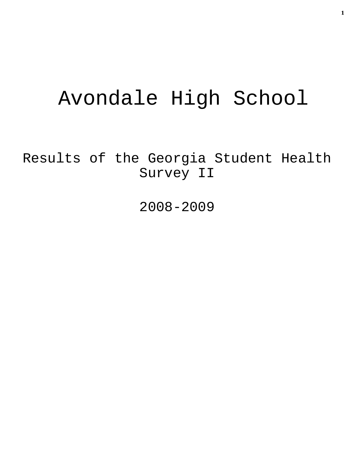# Avondale High School

Results of the Georgia Student Health Survey II

2008-2009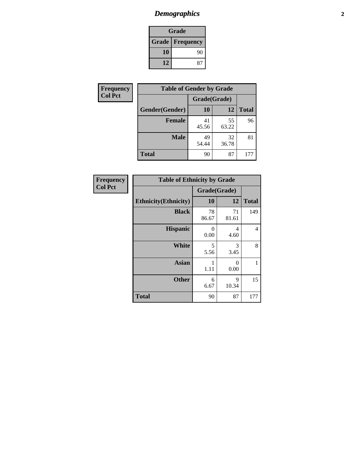# *Demographics* **2**

| Grade                    |    |  |  |
|--------------------------|----|--|--|
| <b>Grade   Frequency</b> |    |  |  |
| 10                       | 90 |  |  |
| 12                       | 87 |  |  |

| <b>Frequency</b> | <b>Table of Gender by Grade</b> |              |             |              |  |  |
|------------------|---------------------------------|--------------|-------------|--------------|--|--|
| <b>Col Pct</b>   |                                 | Grade(Grade) |             |              |  |  |
|                  | Gender(Gender)                  | <b>10</b>    | 12          | <b>Total</b> |  |  |
|                  | <b>Female</b>                   | 41<br>45.56  | 55<br>63.22 | 96           |  |  |
|                  | <b>Male</b>                     | 49<br>54.44  | 32<br>36.78 | 81           |  |  |
|                  | <b>Total</b>                    | 90           | 87          | 177          |  |  |

| Frequency<br>Col Pct |
|----------------------|
|                      |

| <b>Table of Ethnicity by Grade</b> |              |             |              |  |  |  |
|------------------------------------|--------------|-------------|--------------|--|--|--|
|                                    | Grade(Grade) |             |              |  |  |  |
| <b>Ethnicity</b> (Ethnicity)       | 10           | 12          | <b>Total</b> |  |  |  |
| <b>Black</b>                       | 78<br>86.67  | 71<br>81.61 | 149          |  |  |  |
| <b>Hispanic</b>                    | 0<br>0.00    | 4<br>4.60   | 4            |  |  |  |
| White                              | 5<br>5.56    | 3<br>3.45   | 8            |  |  |  |
| <b>Asian</b>                       | 1<br>1.11    | 0<br>0.00   | 1            |  |  |  |
| <b>Other</b>                       | 6<br>6.67    | 9<br>10.34  | 15           |  |  |  |
| <b>Total</b>                       | 90           | 87          | 177          |  |  |  |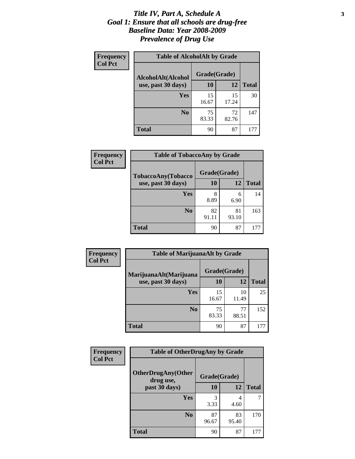#### *Title IV, Part A, Schedule A* **3** *Goal 1: Ensure that all schools are drug-free Baseline Data: Year 2008-2009 Prevalence of Drug Use*

| Frequency<br><b>Col Pct</b> | <b>Table of AlcoholAlt by Grade</b> |              |             |              |  |  |
|-----------------------------|-------------------------------------|--------------|-------------|--------------|--|--|
|                             | AlcoholAlt(Alcohol                  | Grade(Grade) |             |              |  |  |
|                             | use, past 30 days)                  | 10           | 12          | <b>Total</b> |  |  |
|                             | Yes                                 | 15<br>16.67  | 15<br>17.24 | 30           |  |  |
|                             | N <sub>0</sub>                      | 75<br>83.33  | 72<br>82.76 | 147          |  |  |
|                             | <b>Total</b>                        | 90           | 87          | 177          |  |  |

| Frequency      | <b>Table of TobaccoAny by Grade</b> |              |             |              |  |  |
|----------------|-------------------------------------|--------------|-------------|--------------|--|--|
| <b>Col Pct</b> | TobaccoAny(Tobacco                  | Grade(Grade) |             |              |  |  |
|                | use, past 30 days)                  | 10           | 12          | <b>Total</b> |  |  |
|                | Yes                                 | 8<br>8.89    | 6<br>6.90   | 14           |  |  |
|                | N <sub>0</sub>                      | 82<br>91.11  | 81<br>93.10 | 163          |  |  |
|                | Total                               | 90           | 87          | 177          |  |  |

| Frequency<br><b>Col Pct</b> | <b>Table of MarijuanaAlt by Grade</b> |              |             |              |  |
|-----------------------------|---------------------------------------|--------------|-------------|--------------|--|
|                             | MarijuanaAlt(Marijuana                | Grade(Grade) |             |              |  |
|                             | use, past 30 days)                    | 10           | 12          | <b>Total</b> |  |
|                             | Yes                                   | 15<br>16.67  | 10<br>11.49 | 25           |  |
|                             | N <sub>0</sub>                        | 75<br>83.33  | 77<br>88.51 | 152          |  |
|                             | <b>Total</b>                          | 90           | 87          | 177          |  |

| Frequency      | <b>Table of OtherDrugAny by Grade</b>  |              |             |              |  |  |
|----------------|----------------------------------------|--------------|-------------|--------------|--|--|
| <b>Col Pct</b> | <b>OtherDrugAny(Other</b><br>drug use, | Grade(Grade) |             |              |  |  |
|                | past 30 days)                          | 10           | 12          | <b>Total</b> |  |  |
|                | Yes                                    | 3<br>3.33    | 4<br>4.60   | 7            |  |  |
|                | N <sub>0</sub>                         | 87<br>96.67  | 83<br>95.40 | 170          |  |  |
|                | <b>Total</b>                           | 90           | 87          | 177          |  |  |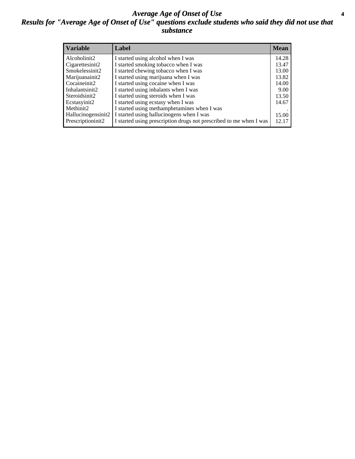#### *Average Age of Onset of Use* **4** *Results for "Average Age of Onset of Use" questions exclude students who said they did not use that substance*

| <b>Variable</b>    | Label                                                              | <b>Mean</b> |
|--------------------|--------------------------------------------------------------------|-------------|
| Alcoholinit2       | I started using alcohol when I was                                 | 14.28       |
| Cigarettesinit2    | I started smoking tobacco when I was                               | 13.47       |
| Smokelessinit2     | I started chewing tobacco when I was                               | 13.00       |
| Marijuanainit2     | I started using marijuana when I was                               | 13.82       |
| Cocaineinit2       | I started using cocaine when I was                                 | 14.00       |
| Inhalantsinit2     | I started using inhalants when I was                               | 9.00        |
| Steroidsinit2      | I started using steroids when I was                                | 13.50       |
| Ecstasyinit2       | I started using ecstasy when I was                                 | 14.67       |
| Methinit2          | I started using methamphetamines when I was                        |             |
| Hallucinogensinit2 | I started using hallucinogens when I was                           | 15.00       |
| Prescriptioninit2  | I started using prescription drugs not prescribed to me when I was | 12.17       |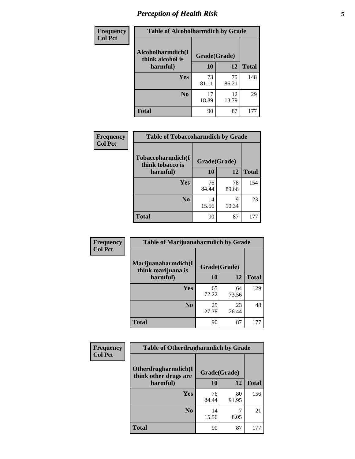# *Perception of Health Risk* **5**

| <b>Frequency</b> | <b>Table of Alcoholharmdich by Grade</b> |              |             |              |  |
|------------------|------------------------------------------|--------------|-------------|--------------|--|
| <b>Col Pct</b>   | Alcoholharmdich(I<br>think alcohol is    | Grade(Grade) |             |              |  |
|                  | harmful)                                 | 10           | 12          | <b>Total</b> |  |
|                  | <b>Yes</b>                               | 73<br>81.11  | 75<br>86.21 | 148          |  |
|                  | N <sub>0</sub>                           | 17<br>18.89  | 12<br>13.79 | 29           |  |
|                  | <b>Total</b>                             | 90           | 87          | 177          |  |

| Frequency |                                       | <b>Table of Tobaccoharmdich by Grade</b> |             |              |  |
|-----------|---------------------------------------|------------------------------------------|-------------|--------------|--|
| Col Pct   | Tobaccoharmdich(I<br>think tobacco is | Grade(Grade)                             |             |              |  |
|           | harmful)                              | <b>10</b>                                | 12          | <b>Total</b> |  |
|           | Yes                                   | 76<br>84.44                              | 78<br>89.66 | 154          |  |
|           | N <sub>0</sub>                        | 14<br>15.56                              | 9<br>10.34  | 23           |  |
|           | <b>Total</b>                          | 90                                       | 87          | 177          |  |

| Frequency      | <b>Table of Marijuanaharmdich by Grade</b> |              |             |              |  |  |
|----------------|--------------------------------------------|--------------|-------------|--------------|--|--|
| <b>Col Pct</b> | Marijuanaharmdich(I<br>think marijuana is  | Grade(Grade) |             |              |  |  |
|                | harmful)                                   | 10           | 12          | <b>Total</b> |  |  |
|                | Yes                                        | 65<br>72.22  | 64<br>73.56 | 129          |  |  |
|                | N <sub>0</sub>                             | 25<br>27.78  | 23<br>26.44 | 48           |  |  |
|                | <b>Total</b>                               | 90           | 87          | 177          |  |  |

| <b>Frequency</b> | <b>Table of Otherdrugharmdich by Grade</b>   |              |             |              |
|------------------|----------------------------------------------|--------------|-------------|--------------|
| <b>Col Pct</b>   | Otherdrugharmdich(I<br>think other drugs are | Grade(Grade) |             |              |
|                  | harmful)                                     | 10           | 12          | <b>Total</b> |
|                  | <b>Yes</b>                                   | 76<br>84.44  | 80<br>91.95 | 156          |
|                  | N <sub>0</sub>                               | 14<br>15.56  | 8.05        | 21           |
|                  | <b>Total</b>                                 | 90           | 87          | 177          |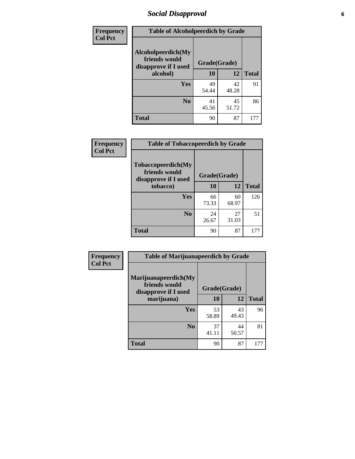# *Social Disapproval* **6**

| Frequency      | <b>Table of Alcoholpeerdich by Grade</b>                    |              |             |              |
|----------------|-------------------------------------------------------------|--------------|-------------|--------------|
| <b>Col Pct</b> | Alcoholpeerdich(My<br>friends would<br>disapprove if I used | Grade(Grade) |             |              |
|                | alcohol)                                                    | 10           | <b>12</b>   | <b>Total</b> |
|                | <b>Yes</b>                                                  | 49<br>54.44  | 42<br>48.28 | 91           |
|                | N <sub>0</sub>                                              | 41<br>45.56  | 45<br>51.72 | 86           |
|                | <b>Total</b>                                                | 90           | 87          | 177          |

| <b>Frequency</b> |
|------------------|
| <b>Col Pct</b>   |

| <b>Table of Tobaccopeerdich by Grade</b>                            |              |             |              |
|---------------------------------------------------------------------|--------------|-------------|--------------|
| <b>Tobaccopeerdich</b> (My<br>friends would<br>disapprove if I used | Grade(Grade) |             |              |
| tobacco)                                                            | 10           | 12          | <b>Total</b> |
| Yes                                                                 | 66<br>73.33  | 60<br>68.97 | 126          |
| N <sub>0</sub>                                                      | 24<br>26.67  | 27<br>31.03 | 51           |
| <b>Total</b>                                                        | 90           | 87          |              |

| Frequency      | <b>Table of Marijuanapeerdich by Grade</b>                    |              |             |              |
|----------------|---------------------------------------------------------------|--------------|-------------|--------------|
| <b>Col Pct</b> | Marijuanapeerdich(My<br>friends would<br>disapprove if I used | Grade(Grade) |             |              |
|                | marijuana)                                                    | 10           | 12          | <b>Total</b> |
|                | <b>Yes</b>                                                    | 53<br>58.89  | 43<br>49.43 | 96           |
|                | N <sub>0</sub>                                                | 37<br>41.11  | 44<br>50.57 | 81           |
|                | <b>Total</b>                                                  | 90           | 87          | 177          |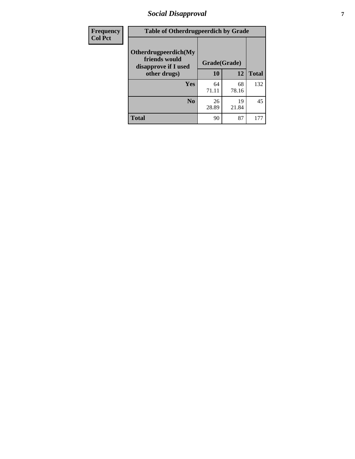# *Social Disapproval* **7**

| Frequency      | <b>Table of Otherdrugpeerdich by Grade</b>                    |              |             |              |
|----------------|---------------------------------------------------------------|--------------|-------------|--------------|
| <b>Col Pct</b> | Otherdrugpeerdich(My<br>friends would<br>disapprove if I used | Grade(Grade) |             |              |
|                | other drugs)                                                  | 10           | 12          | <b>Total</b> |
|                | Yes                                                           | 64<br>71.11  | 68<br>78.16 | 132          |
|                | N <sub>0</sub>                                                | 26<br>28.89  | 19<br>21.84 | 45           |
|                | <b>Total</b>                                                  | 90           | 87          | 177          |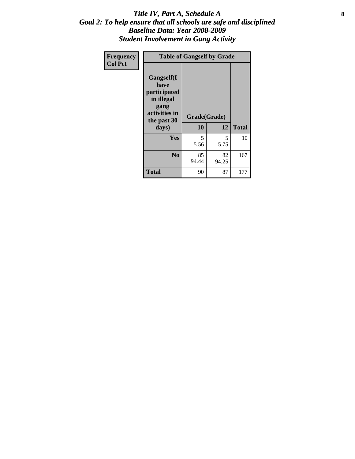#### Title IV, Part A, Schedule A **8** *Goal 2: To help ensure that all schools are safe and disciplined Baseline Data: Year 2008-2009 Student Involvement in Gang Activity*

| Frequency      |                                                                                                   | <b>Table of Gangself by Grade</b> |             |              |
|----------------|---------------------------------------------------------------------------------------------------|-----------------------------------|-------------|--------------|
| <b>Col Pct</b> | Gangself(I<br>have<br>participated<br>in illegal<br>gang<br>activities in<br>the past 30<br>days) | Grade(Grade)<br>10                | 12          | <b>Total</b> |
|                | Yes                                                                                               | 5<br>5.56                         | 5<br>5.75   | 10           |
|                | N <sub>0</sub>                                                                                    | 85<br>94.44                       | 82<br>94.25 | 167          |
|                | <b>Total</b>                                                                                      | 90                                | 87          | 177          |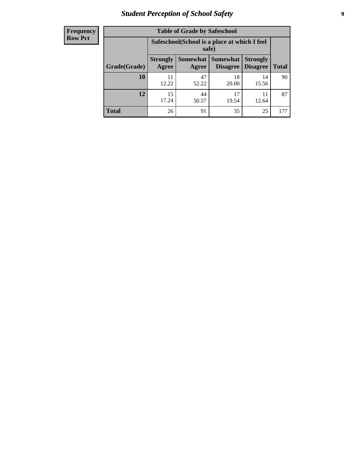# *Student Perception of School Safety* **9**

| <b>Frequency</b><br>Row Pct |
|-----------------------------|
|                             |

| <b>Table of Grade by Safeschool</b> |                          |                                                        |                               |                                    |              |
|-------------------------------------|--------------------------|--------------------------------------------------------|-------------------------------|------------------------------------|--------------|
|                                     |                          | Safeschool (School is a place at which I feel<br>safe) |                               |                                    |              |
| Grade(Grade)                        | <b>Strongly</b><br>Agree | Agree                                                  | Somewhat Somewhat<br>Disagree | <b>Strongly</b><br><b>Disagree</b> | <b>Total</b> |
| 10                                  | 11<br>12.22              | 47<br>52.22                                            | 18<br>20.00                   | 14<br>15.56                        | 90           |
| 12                                  | 15<br>17.24              | 44<br>50.57                                            | 17<br>19.54                   | 11<br>12.64                        | 87           |
| <b>Total</b>                        | 26                       | 91                                                     | 35                            | 25                                 | 177          |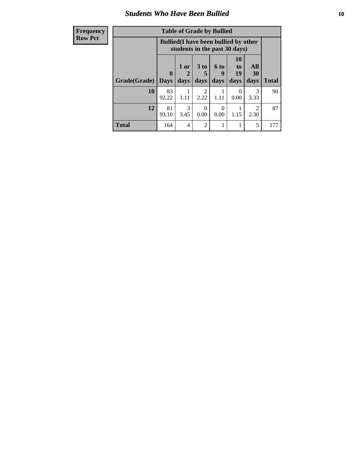### *Students Who Have Been Bullied* **10**

| <b>Frequency</b> | <b>Table of Grade by Bullied</b> |              |                                                                               |                                     |           |                       |                                     |              |
|------------------|----------------------------------|--------------|-------------------------------------------------------------------------------|-------------------------------------|-----------|-----------------------|-------------------------------------|--------------|
| <b>Row Pct</b>   |                                  |              | <b>Bullied</b> (I have been bullied by other<br>students in the past 30 days) |                                     |           |                       |                                     |              |
|                  |                                  | $\mathbf{0}$ | 1 or<br>2                                                                     | 3 to                                | 6 to<br>9 | <b>10</b><br>to<br>19 | All<br>30                           |              |
|                  | Grade(Grade)                     | <b>Days</b>  | days                                                                          | days                                | days      | days                  | days                                | <b>Total</b> |
|                  | 10                               | 83<br>92.22  | 1.11                                                                          | $\mathcal{D}_{\mathcal{A}}$<br>2.22 | 1.11      | $\Omega$<br>0.00      | $\mathcal{R}$<br>3.33               | 90           |
|                  | 12                               | 81<br>93.10  | 3<br>3.45                                                                     | ∩<br>0.00                           | 0<br>0.00 | 1.15                  | $\mathcal{D}_{\mathcal{L}}$<br>2.30 | 87           |
|                  | <b>Total</b>                     | 164          | 4                                                                             | $\mathfrak{D}$                      |           |                       | 5                                   | 177          |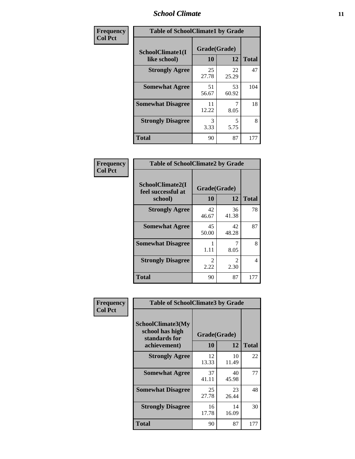### *School Climate* **11**

| <b>Frequency</b> | <b>Table of SchoolClimate1 by Grade</b> |                    |             |              |
|------------------|-----------------------------------------|--------------------|-------------|--------------|
| <b>Col Pct</b>   | SchoolClimate1(I<br>like school)        | Grade(Grade)<br>10 | 12          | <b>Total</b> |
|                  | <b>Strongly Agree</b>                   | 25<br>27.78        | 22<br>25.29 | 47           |
|                  | <b>Somewhat Agree</b>                   | 51<br>56.67        | 53<br>60.92 | 104          |
|                  | <b>Somewhat Disagree</b>                | 11<br>12.22        | 8.05        | 18           |
|                  | <b>Strongly Disagree</b>                | 3<br>3.33          | 5<br>5.75   | 8            |
|                  | <b>Total</b>                            | 90                 | 87          | 177          |

| Frequency<br><b>Col Pct</b> | <b>Table of SchoolClimate2 by Grade</b> |                        |             |              |  |  |
|-----------------------------|-----------------------------------------|------------------------|-------------|--------------|--|--|
|                             | SchoolClimate2(I<br>feel successful at  | Grade(Grade)           |             |              |  |  |
|                             | school)                                 | 10                     | 12          | <b>Total</b> |  |  |
|                             | <b>Strongly Agree</b>                   | 42<br>46.67            | 36<br>41.38 | 78           |  |  |
|                             | <b>Somewhat Agree</b>                   | 45<br>50.00            | 42<br>48.28 | 87           |  |  |
|                             | <b>Somewhat Disagree</b>                | 1.11                   | 8.05        | 8            |  |  |
|                             | <b>Strongly Disagree</b>                | $\overline{2}$<br>2.22 | 2<br>2.30   | 4            |  |  |
|                             | <b>Total</b>                            | 90                     | 87          | 177          |  |  |

| Frequency<br>Col Pct | <b>Table of SchoolClimate3 by Grade</b>               |              |             |              |  |
|----------------------|-------------------------------------------------------|--------------|-------------|--------------|--|
|                      | SchoolClimate3(My<br>school has high<br>standards for | Grade(Grade) |             |              |  |
|                      | achievement)                                          | 10           | 12          | <b>Total</b> |  |
|                      | <b>Strongly Agree</b>                                 | 12<br>13.33  | 10<br>11.49 | 22           |  |
|                      | <b>Somewhat Agree</b>                                 | 37<br>41.11  | 40<br>45.98 | 77           |  |
|                      | <b>Somewhat Disagree</b>                              | 25<br>27.78  | 23<br>26.44 | 48           |  |
|                      | <b>Strongly Disagree</b>                              | 16<br>17.78  | 14<br>16.09 | 30           |  |
|                      | Total                                                 | 90           | 87          | 177          |  |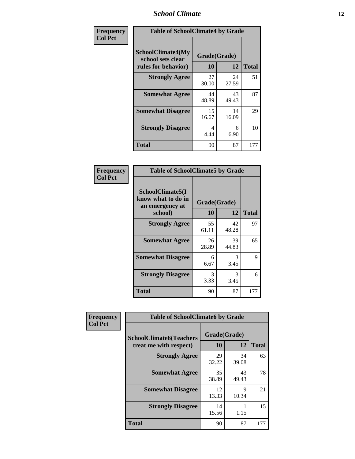### *School Climate* **12**

| Frequency      | <b>Table of SchoolClimate4 by Grade</b>                       |                    |             |              |
|----------------|---------------------------------------------------------------|--------------------|-------------|--------------|
| <b>Col Pct</b> | SchoolClimate4(My<br>school sets clear<br>rules for behavior) | Grade(Grade)<br>10 | 12          | <b>Total</b> |
|                | <b>Strongly Agree</b>                                         | 27<br>30.00        | 24<br>27.59 | 51           |
|                | <b>Somewhat Agree</b>                                         | 44<br>48.89        | 43<br>49.43 | 87           |
|                | <b>Somewhat Disagree</b>                                      | 15<br>16.67        | 14<br>16.09 | 29           |
|                | <b>Strongly Disagree</b>                                      | 4<br>4.44          | 6<br>6.90   | 10           |
|                | <b>Total</b>                                                  | 90                 | 87          | 177          |

| <b>Table of SchoolClimate5 by Grade</b>                              |                    |              |     |  |
|----------------------------------------------------------------------|--------------------|--------------|-----|--|
| SchoolClimate5(I<br>know what to do in<br>an emergency at<br>school) | Grade(Grade)<br>10 | <b>Total</b> |     |  |
| <b>Strongly Agree</b>                                                | 55<br>61.11        | 42<br>48.28  | 97  |  |
| <b>Somewhat Agree</b>                                                | 26<br>28.89        | 39<br>44.83  | 65  |  |
| <b>Somewhat Disagree</b>                                             | 6<br>6.67          | 3<br>3.45    | 9   |  |
| <b>Strongly Disagree</b>                                             | 3<br>3.33          | 3<br>3.45    | 6   |  |
| Total                                                                | 90                 | 87           | 177 |  |

| Frequency      | <b>Table of SchoolClimate6 by Grade</b>                  |                    |             |              |  |
|----------------|----------------------------------------------------------|--------------------|-------------|--------------|--|
| <b>Col Pct</b> | <b>SchoolClimate6(Teachers</b><br>treat me with respect) | Grade(Grade)<br>10 | 12          | <b>Total</b> |  |
|                | <b>Strongly Agree</b>                                    | 29<br>32.22        | 34<br>39.08 | 63           |  |
|                | <b>Somewhat Agree</b>                                    | 35<br>38.89        | 43<br>49.43 | 78           |  |
|                | <b>Somewhat Disagree</b>                                 | 12<br>13.33        | 9<br>10.34  | 21           |  |
|                | <b>Strongly Disagree</b>                                 | 14<br>15.56        | 1.15        | 15           |  |
|                | <b>Total</b>                                             | 90                 | 87          | 177          |  |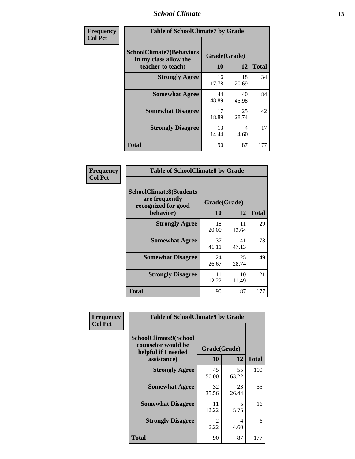### *School Climate* **13**

| Frequency      | <b>Table of SchoolClimate7 by Grade</b>                                       |                           |             |              |
|----------------|-------------------------------------------------------------------------------|---------------------------|-------------|--------------|
| <b>Col Pct</b> | <b>SchoolClimate7(Behaviors</b><br>in my class allow the<br>teacher to teach) | Grade(Grade)<br><b>10</b> | 12          | <b>Total</b> |
|                | <b>Strongly Agree</b>                                                         | 16<br>17.78               | 18<br>20.69 | 34           |
|                | <b>Somewhat Agree</b>                                                         | 44<br>48.89               | 40<br>45.98 | 84           |
|                | <b>Somewhat Disagree</b>                                                      | 17<br>18.89               | 25<br>28.74 | 42           |
|                | <b>Strongly Disagree</b>                                                      | 13<br>14.44               | 4<br>4.60   | 17           |
|                | <b>Total</b>                                                                  | 90                        | 87          | 177          |

| Frequency      | <b>Table of SchoolClimate8 by Grade</b>                                 |              |             |              |
|----------------|-------------------------------------------------------------------------|--------------|-------------|--------------|
| <b>Col Pct</b> | <b>SchoolClimate8(Students</b><br>are frequently<br>recognized for good | Grade(Grade) |             |              |
|                | behavior)                                                               | 10           | 12          | <b>Total</b> |
|                | <b>Strongly Agree</b>                                                   | 18<br>20.00  | 11<br>12.64 | 29           |
|                | <b>Somewhat Agree</b>                                                   | 37<br>41.11  | 41<br>47.13 | 78           |
|                | <b>Somewhat Disagree</b>                                                | 24<br>26.67  | 25<br>28.74 | 49           |
|                | <b>Strongly Disagree</b>                                                | 11<br>12.22  | 10<br>11.49 | 21           |
|                | <b>Total</b>                                                            | 90           | 87          | 177          |

| Frequency      | <b>Table of SchoolClimate9 by Grade</b>                                           |                    |             |              |
|----------------|-----------------------------------------------------------------------------------|--------------------|-------------|--------------|
| <b>Col Pct</b> | SchoolClimate9(School<br>counselor would be<br>helpful if I needed<br>assistance) | Grade(Grade)<br>10 | 12          | <b>Total</b> |
|                | <b>Strongly Agree</b>                                                             | 45<br>50.00        | 55<br>63.22 | 100          |
|                | <b>Somewhat Agree</b>                                                             | 32<br>35.56        | 23<br>26.44 | 55           |
|                | <b>Somewhat Disagree</b>                                                          | 11<br>12.22        | 5<br>5.75   | 16           |
|                | <b>Strongly Disagree</b>                                                          | 2<br>2.22          | 4<br>4.60   | 6            |
|                | <b>Total</b>                                                                      | 90                 | 87          | 177          |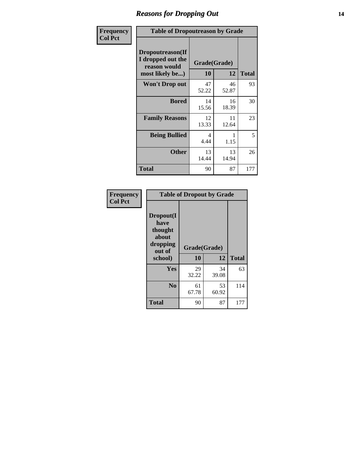### *Reasons for Dropping Out* **14**

| Frequency      | <b>Table of Dropoutreason by Grade</b>                                   |                    |             |              |
|----------------|--------------------------------------------------------------------------|--------------------|-------------|--------------|
| <b>Col Pct</b> | Dropoutreason(If<br>I dropped out the<br>reason would<br>most likely be) | Grade(Grade)<br>10 | 12          | <b>Total</b> |
|                | <b>Won't Drop out</b>                                                    | 47<br>52.22        | 46<br>52.87 | 93           |
|                | <b>Bored</b>                                                             | 14<br>15.56        | 16<br>18.39 | 30           |
|                | <b>Family Reasons</b>                                                    | 12<br>13.33        | 11<br>12.64 | 23           |
|                | <b>Being Bullied</b>                                                     | 4<br>4.44          | 1.15        | 5            |
|                | <b>Other</b>                                                             | 13<br>14.44        | 13<br>14.94 | 26           |
|                | <b>Total</b>                                                             | 90                 | 87          | 177          |

| Frequency      | <b>Table of Dropout by Grade</b>                                       |                    |             |              |  |
|----------------|------------------------------------------------------------------------|--------------------|-------------|--------------|--|
| <b>Col Pct</b> | Dropout(I<br>have<br>thought<br>about<br>dropping<br>out of<br>school) | Grade(Grade)<br>10 | 12          | <b>Total</b> |  |
|                | Yes                                                                    | 29<br>32.22        | 34<br>39.08 | 63           |  |
|                | N <sub>0</sub>                                                         | 61<br>67.78        | 53<br>60.92 | 114          |  |
|                | <b>Total</b>                                                           | 90                 | 87          | 177          |  |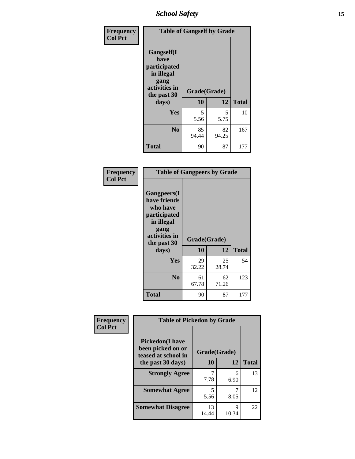*School Safety* **15**

| Frequency      | <b>Table of Gangself by Grade</b>                                                                         |                    |             |              |
|----------------|-----------------------------------------------------------------------------------------------------------|--------------------|-------------|--------------|
| <b>Col Pct</b> | <b>Gangself</b> (I<br>have<br>participated<br>in illegal<br>gang<br>activities in<br>the past 30<br>days) | Grade(Grade)<br>10 | 12          | <b>Total</b> |
|                | Yes                                                                                                       | 5<br>5.56          | 5<br>5.75   | 10           |
|                | N <sub>0</sub>                                                                                            | 85<br>94.44        | 82<br>94.25 | 167          |
|                | <b>Total</b>                                                                                              | 90                 | 87          | 177          |

| Frequency<br><b>Col Pct</b> | <b>Table of Gangpeers by Grade</b>                                                                                             |                    |             |              |
|-----------------------------|--------------------------------------------------------------------------------------------------------------------------------|--------------------|-------------|--------------|
|                             | <b>Gangpeers</b> (I<br>have friends<br>who have<br>participated<br>in illegal<br>gang<br>activities in<br>the past 30<br>days) | Grade(Grade)<br>10 | 12          | <b>Total</b> |
|                             | Yes                                                                                                                            | 29<br>32.22        | 25<br>28.74 | 54           |
|                             | N <sub>0</sub>                                                                                                                 | 61<br>67.78        | 62<br>71.26 | 123          |
|                             | Total                                                                                                                          | 90                 | 87          | 177          |

| Frequency      | <b>Table of Pickedon by Grade</b>                                   |              |            |              |
|----------------|---------------------------------------------------------------------|--------------|------------|--------------|
| <b>Col Pct</b> | <b>Pickedon</b> (I have<br>been picked on or<br>teased at school in | Grade(Grade) |            |              |
|                | the past 30 days)                                                   | 10           | 12         | <b>Total</b> |
|                | <b>Strongly Agree</b>                                               | 7.78         | 6<br>6.90  | 13           |
|                | <b>Somewhat Agree</b>                                               | 5<br>5.56    | 8.05       | 12           |
|                | <b>Somewhat Disagree</b>                                            | 13<br>14.44  | 9<br>10.34 | 22           |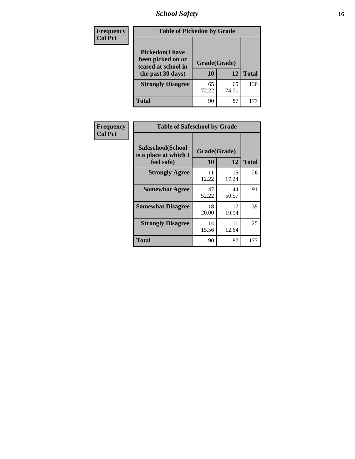*School Safety* **16**

| <b>Frequency</b> | <b>Table of Pickedon by Grade</b>                                                        |                    |             |              |
|------------------|------------------------------------------------------------------------------------------|--------------------|-------------|--------------|
| <b>Col Pct</b>   | <b>Pickedon</b> (I have<br>been picked on or<br>teased at school in<br>the past 30 days) | Grade(Grade)<br>10 | 12          | <b>Total</b> |
|                  | <b>Strongly Disagree</b>                                                                 | 65<br>72.22        | 65<br>74.71 | 130          |
|                  | <b>Total</b>                                                                             | 90                 | 87          | 17'          |

| Frequency      |                                                          | <b>Table of Safeschool by Grade</b> |             |              |  |  |  |  |  |
|----------------|----------------------------------------------------------|-------------------------------------|-------------|--------------|--|--|--|--|--|
| <b>Col Pct</b> | Safeschool(School<br>is a place at which I<br>feel safe) | Grade(Grade)<br><b>10</b>           | 12          | <b>Total</b> |  |  |  |  |  |
|                | <b>Strongly Agree</b>                                    | 11<br>12.22                         | 15<br>17.24 | 26           |  |  |  |  |  |
|                | <b>Somewhat Agree</b>                                    | 47<br>52.22                         | 44<br>50.57 | 91           |  |  |  |  |  |
|                | <b>Somewhat Disagree</b>                                 | 18<br>20.00                         | 17<br>19.54 | 35           |  |  |  |  |  |
|                | <b>Strongly Disagree</b>                                 | 14<br>15.56                         | 11<br>12.64 | 25           |  |  |  |  |  |
|                | <b>Total</b>                                             | 90                                  | 87          | 177          |  |  |  |  |  |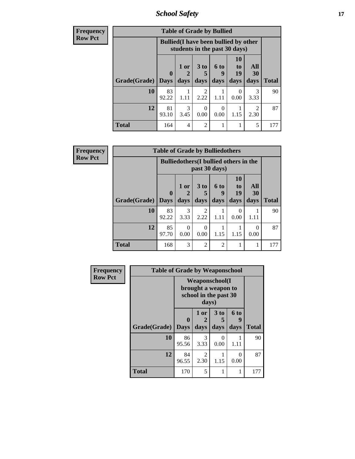*School Safety* **17**

| <b>Frequency</b> | <b>Table of Grade by Bullied</b> |             |                                                                               |                        |                  |                |                  |              |  |  |
|------------------|----------------------------------|-------------|-------------------------------------------------------------------------------|------------------------|------------------|----------------|------------------|--------------|--|--|
| <b>Row Pct</b>   |                                  |             | <b>Bullied</b> (I have been bullied by other<br>students in the past 30 days) |                        |                  |                |                  |              |  |  |
|                  |                                  | $\mathbf 0$ | 1 or                                                                          | 3 <sub>to</sub><br>5   | 6 to<br>9        | 10<br>to<br>19 | All<br><b>30</b> |              |  |  |
|                  | <b>Grade</b> (Grade) Days        |             | days                                                                          | days                   | days             | days           | days             | <b>Total</b> |  |  |
|                  | 10                               | 83<br>92.22 | 1.11                                                                          | $\mathfrak{D}$<br>2.22 | 1.11             | 0<br>0.00      | 3<br>3.33        | 90           |  |  |
|                  | 12                               | 81<br>93.10 | 3<br>3.45                                                                     | 0<br>0.00              | $\Omega$<br>0.00 | 1.15           | 2<br>2.30        | 87           |  |  |
|                  | <b>Total</b>                     | 164         | 4                                                                             | $\overline{2}$         |                  |                | 5                | 177          |  |  |

| Frequency      |                           | <b>Table of Grade by Bulliedothers</b> |                                                                |                |                   |                        |                   |              |  |  |  |
|----------------|---------------------------|----------------------------------------|----------------------------------------------------------------|----------------|-------------------|------------------------|-------------------|--------------|--|--|--|
| <b>Row Pct</b> |                           |                                        | <b>Bulliedothers</b> (I bullied others in the<br>past 30 days) |                |                   |                        |                   |              |  |  |  |
|                | <b>Grade</b> (Grade) Days | $\mathbf 0$                            | 1 or<br>days                                                   | 3 to<br>days   | 6 to<br>9<br>days | 10<br>to<br>19<br>days | All<br>30<br>days | <b>Total</b> |  |  |  |
|                | 10                        | 83<br>92.22                            | 3<br>3.33                                                      | 2<br>2.22      | 1.11              | 0<br>0.00              | 1.11              | 90           |  |  |  |
|                | 12                        | 85<br>97.70                            | $\Omega$<br>0.00                                               | 0<br>0.00      | 1.15              | 1.15                   | 0<br>0.00         | 87           |  |  |  |
|                | <b>Total</b>              | 168                                    | 3                                                              | $\overline{2}$ | $\overline{c}$    |                        | 1                 | 177          |  |  |  |

| Frequency      | <b>Table of Grade by Weaponschool</b> |                                                                        |                        |                      |           |              |  |  |
|----------------|---------------------------------------|------------------------------------------------------------------------|------------------------|----------------------|-----------|--------------|--|--|
| <b>Row Pct</b> |                                       | <b>Weaponschool</b> (I<br>brought a weapon to<br>school in the past 30 |                        |                      |           |              |  |  |
|                |                                       | $\mathbf{0}$                                                           | 1 or<br>2              | 3 <sub>to</sub><br>5 | 6 to<br>9 |              |  |  |
|                | Grade(Grade)   Days                   |                                                                        | days                   | days                 | days      | <b>Total</b> |  |  |
|                | 10                                    | 86<br>95.56                                                            | 3<br>3.33              | 0<br>0.00            | 1.11      | 90           |  |  |
|                | 12                                    | 84<br>96.55                                                            | $\mathfrak{D}$<br>2.30 | 1.15                 | 0<br>0.00 | 87           |  |  |
|                | <b>Total</b>                          | 170                                                                    | 5                      |                      | 1         | 177          |  |  |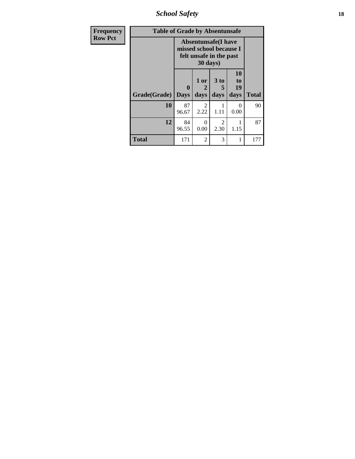*School Safety* **18**

| <b>Frequency</b> | <b>Table of Grade by Absentunsafe</b> |                  |                        |                                                                                  |                        |              |  |  |  |
|------------------|---------------------------------------|------------------|------------------------|----------------------------------------------------------------------------------|------------------------|--------------|--|--|--|
| <b>Row Pct</b>   |                                       |                  | 30 days)               | <b>Absentunsafe(I have</b><br>missed school because I<br>felt unsafe in the past |                        |              |  |  |  |
|                  | Grade(Grade)                          | 0<br><b>Days</b> | 1 or<br>2<br>days      | 3 <sub>to</sub><br>5<br>days                                                     | 10<br>to<br>19<br>days | <b>Total</b> |  |  |  |
|                  | 10                                    | 87<br>96.67      | $\mathfrak{D}$<br>2.22 | 1.11                                                                             | $\Omega$<br>0.00       | 90           |  |  |  |
|                  | 12                                    | 84<br>96.55      | 0<br>0.00              | 2<br>2.30                                                                        | 1.15                   | 87           |  |  |  |
|                  | <b>Total</b>                          | 171              | $\mathfrak{D}$         | 3                                                                                | 1                      | 177          |  |  |  |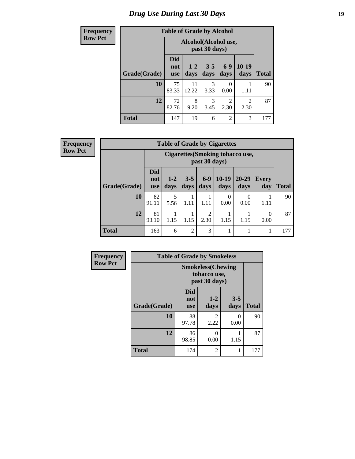# *Drug Use During Last 30 Days* **19**

| Frequency      | <b>Table of Grade by Alcohol</b> |                                 |                                       |                 |                       |                        |              |  |
|----------------|----------------------------------|---------------------------------|---------------------------------------|-----------------|-----------------------|------------------------|--------------|--|
| <b>Row Pct</b> |                                  |                                 | Alcohol(Alcohol use,<br>past 30 days) |                 |                       |                        |              |  |
|                | Grade(Grade)                     | <b>Did</b><br>not<br><b>use</b> | $1 - 2$<br>days                       | $3 - 5$<br>days | $6-9$<br>days         | 10-19<br>days          | <b>Total</b> |  |
|                | 10                               | 75<br>83.33                     | 11<br>12.22                           | 3<br>3.33       | $\mathbf{0}$<br>0.00  | 1.11                   | 90           |  |
|                | 12                               | 72<br>82.76                     | 8<br>9.20                             | 3<br>3.45       | $\mathcal{D}$<br>2.30 | $\mathfrak{D}$<br>2.30 | 87           |  |
|                | <b>Total</b>                     | 147                             | 19                                    | 6               | $\mathfrak{D}$        | 3                      | 177          |  |

**Frequency Row Pct**

| <b>Table of Grade by Cigarettes</b> |                                 |                                                                                                                                      |                |           |           |           |      |     |  |  |
|-------------------------------------|---------------------------------|--------------------------------------------------------------------------------------------------------------------------------------|----------------|-----------|-----------|-----------|------|-----|--|--|
|                                     |                                 | Cigarettes (Smoking tobacco use,<br>past 30 days)                                                                                    |                |           |           |           |      |     |  |  |
| Grade(Grade)                        | <b>Did</b><br>not<br><b>use</b> | $6 - 9$<br>$10-19$<br>$20 - 29$<br>$1 - 2$<br>$3 - 5$<br><b>Every</b><br><b>Total</b><br>day<br>days<br>days<br>days<br>days<br>days |                |           |           |           |      |     |  |  |
| 10                                  | 82<br>91.11                     | 5<br>5.56                                                                                                                            | 1.11           | п<br>1.11 | 0<br>0.00 | 0<br>0.00 | 1.11 | 90  |  |  |
| 12                                  | 81<br>93.10                     | $\overline{c}$<br>0<br>2.30<br>0.00<br>1.15<br>1.15<br>1.15<br>1.15                                                                  |                |           |           |           |      |     |  |  |
| <b>Total</b>                        | 163                             | 6                                                                                                                                    | $\overline{2}$ | 3         |           |           |      | 177 |  |  |

| Frequency      | <b>Table of Grade by Smokeless</b> |                                                            |                        |                  |              |  |  |  |  |
|----------------|------------------------------------|------------------------------------------------------------|------------------------|------------------|--------------|--|--|--|--|
| <b>Row Pct</b> |                                    | <b>Smokeless</b> (Chewing<br>tobacco use,<br>past 30 days) |                        |                  |              |  |  |  |  |
|                | Grade(Grade)                       | <b>Did</b><br>not<br><b>use</b>                            | $1 - 2$<br>days        | $3 - 5$<br>days  | <b>Total</b> |  |  |  |  |
|                | 10                                 | 88<br>97.78                                                | $\mathfrak{D}$<br>2.22 | $\Omega$<br>0.00 | 90           |  |  |  |  |
|                | 12                                 | 86<br>98.85                                                | 0<br>0.00              | 1.15             | 87           |  |  |  |  |
|                | <b>Total</b>                       | 174                                                        | 2                      | 1                | 177          |  |  |  |  |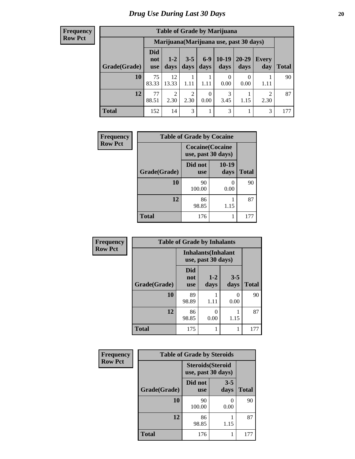#### **Frequency Row Pct**

| <b>Table of Grade by Marijuana</b>                                                                                                                        |             |                                         |           |                  |           |      |           |     |  |  |
|-----------------------------------------------------------------------------------------------------------------------------------------------------------|-------------|-----------------------------------------|-----------|------------------|-----------|------|-----------|-----|--|--|
|                                                                                                                                                           |             | Marijuana (Marijuana use, past 30 days) |           |                  |           |      |           |     |  |  |
| Did<br>$10-19$<br>$6-9$<br>$20 - 29$<br>$3 - 5$<br>$1 - 2$<br>Every<br>not<br>Grade(Grade)<br>days<br>days<br>days<br>days<br>day<br>Total<br>days<br>use |             |                                         |           |                  |           |      |           |     |  |  |
| 10                                                                                                                                                        | 75<br>83.33 | 12<br>13.33                             | 1.11      | 1.11             | 0<br>0.00 | 0.00 | 1.11      | 90  |  |  |
| 12                                                                                                                                                        | 77<br>88.51 | $\overline{2}$<br>2.30                  | 2<br>2.30 | $\theta$<br>0.00 | 3<br>3.45 | 1.15 | 2<br>2.30 | 87  |  |  |
| <b>Total</b>                                                                                                                                              | 152         | 14                                      | 3         | 1                | 3         |      | 3         | 177 |  |  |

| Frequency      | <b>Table of Grade by Cocaine</b> |                                               |               |              |  |  |  |  |
|----------------|----------------------------------|-----------------------------------------------|---------------|--------------|--|--|--|--|
| <b>Row Pct</b> |                                  | <b>Cocaine</b> (Cocaine<br>use, past 30 days) |               |              |  |  |  |  |
|                | Grade(Grade)                     | Did not<br><b>use</b>                         | 10-19<br>days | <b>Total</b> |  |  |  |  |
|                | 10                               | 90<br>100.00                                  | 0<br>0.00     | 90           |  |  |  |  |
|                | 12                               | 86<br>98.85                                   | 1.15          | 87           |  |  |  |  |
|                | <b>Total</b>                     | 176                                           |               | 177          |  |  |  |  |

| Frequency      | <b>Table of Grade by Inhalants</b> |                                                  |                 |                 |              |  |  |  |  |
|----------------|------------------------------------|--------------------------------------------------|-----------------|-----------------|--------------|--|--|--|--|
| <b>Row Pct</b> |                                    | <b>Inhalants</b> (Inhalant<br>use, past 30 days) |                 |                 |              |  |  |  |  |
|                | Grade(Grade)                       | Did<br>not<br><b>use</b>                         | $1 - 2$<br>days | $3 - 5$<br>days | <b>Total</b> |  |  |  |  |
|                | 10                                 | 89<br>98.89                                      | 1.11            | 0<br>0.00       | 90           |  |  |  |  |
|                | 12                                 | 86<br>98.85                                      | 0<br>0.00       | 1.15            | 87           |  |  |  |  |
|                | <b>Total</b>                       | 175                                              |                 |                 | 177          |  |  |  |  |

| Frequency      | <b>Table of Grade by Steroids</b> |                                                |                 |              |
|----------------|-----------------------------------|------------------------------------------------|-----------------|--------------|
| <b>Row Pct</b> |                                   | <b>Steroids</b> (Steroid<br>use, past 30 days) |                 |              |
|                | Grade(Grade)                      | Did not<br><b>use</b>                          | $3 - 5$<br>days | <b>Total</b> |
|                | 10                                | 90<br>100.00                                   | 0.00            | 90           |
|                | 12                                | 86<br>98.85                                    | 1.15            | 87           |
|                | <b>Total</b>                      | 176                                            |                 | 177          |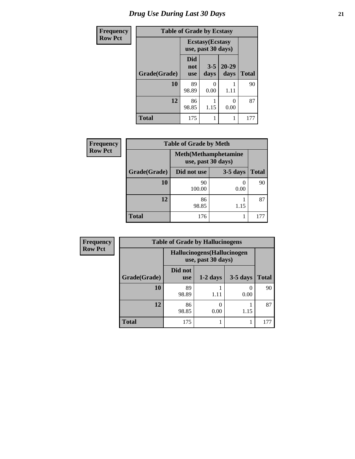| <b>Frequency</b> | <b>Table of Grade by Ecstasy</b> |                                               |                 |                   |              |
|------------------|----------------------------------|-----------------------------------------------|-----------------|-------------------|--------------|
| <b>Row Pct</b>   |                                  | <b>Ecstasy</b> (Ecstasy<br>use, past 30 days) |                 |                   |              |
|                  | Grade(Grade)                     | Did<br>not<br><b>use</b>                      | $3 - 5$<br>days | $20 - 29$<br>days | <b>Total</b> |
|                  | 10                               | 89<br>98.89                                   | O<br>0.00       | 1.11              | 90           |
|                  | 12                               | 86<br>98.85                                   | 1.15            | 0.00              | 87           |
|                  | <b>Total</b>                     | 175                                           | 1               |                   | 177          |

| Frequency      | <b>Table of Grade by Meth</b> |                                                    |            |              |  |
|----------------|-------------------------------|----------------------------------------------------|------------|--------------|--|
| <b>Row Pct</b> |                               | <b>Meth</b> (Methamphetamine<br>use, past 30 days) |            |              |  |
|                | Grade(Grade)                  | Did not use                                        | $3-5$ days | <b>Total</b> |  |
|                | 10                            | 90<br>100.00                                       | 0.00       | 90           |  |
|                | 12                            | 86<br>98.85                                        | 1.15       | 87           |  |
|                | <b>Total</b>                  | 176                                                |            | 177          |  |

| Frequency      | <b>Table of Grade by Hallucinogens</b> |                                                   |            |            |              |
|----------------|----------------------------------------|---------------------------------------------------|------------|------------|--------------|
| <b>Row Pct</b> |                                        | Hallucinogens (Hallucinogen<br>use, past 30 days) |            |            |              |
|                | Grade(Grade)                           | Did not<br><b>use</b>                             | $1-2$ days | $3-5$ days | <b>Total</b> |
|                | 10                                     | 89<br>98.89                                       | 1.11       | 0<br>0.00  | 90           |
|                | 12                                     | 86<br>98.85                                       | 0.00       | 1.15       | 87           |
|                | <b>Total</b>                           | 175                                               |            |            | 177          |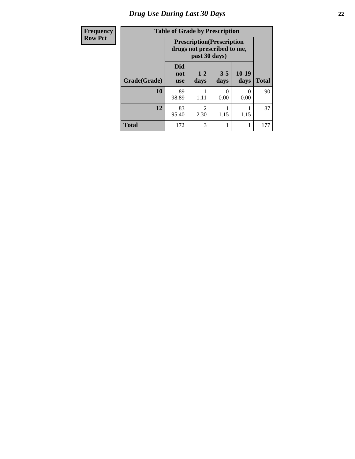# *Drug Use During Last 30 Days* **22**

| Frequency      | <b>Table of Grade by Prescription</b><br><b>Prescription</b> (Prescription<br>drugs not prescribed to me,<br>past 30 days) |                                 |                        |                      |                 |              |
|----------------|----------------------------------------------------------------------------------------------------------------------------|---------------------------------|------------------------|----------------------|-----------------|--------------|
| <b>Row Pct</b> |                                                                                                                            |                                 |                        |                      |                 |              |
|                | Grade(Grade)                                                                                                               | <b>Did</b><br>not<br><b>use</b> | $1 - 2$<br>days        | $3 - 5$<br>days      | $10-19$<br>days | <b>Total</b> |
|                | 10                                                                                                                         | 89<br>98.89                     | 1.11                   | $\mathbf{0}$<br>0.00 | 0<br>0.00       | 90           |
|                | 12                                                                                                                         | 83<br>95.40                     | $\mathfrak{D}$<br>2.30 | 1.15                 | 1.15            | 87           |
|                | <b>Total</b>                                                                                                               | 172                             | 3                      | 1                    |                 | 177          |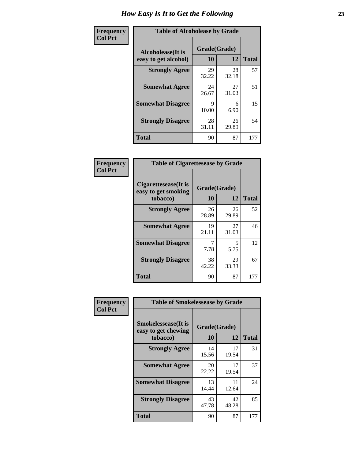| Frequency      | <b>Table of Alcoholease by Grade</b>              |                    |             |              |
|----------------|---------------------------------------------------|--------------------|-------------|--------------|
| <b>Col Pct</b> | <b>Alcoholease</b> (It is<br>easy to get alcohol) | Grade(Grade)<br>10 | 12          | <b>Total</b> |
|                | <b>Strongly Agree</b>                             | 29<br>32.22        | 28<br>32.18 | 57           |
|                | <b>Somewhat Agree</b>                             | 24<br>26.67        | 27<br>31.03 | 51           |
|                | <b>Somewhat Disagree</b>                          | 9<br>10.00         | 6<br>6.90   | 15           |
|                | <b>Strongly Disagree</b>                          | 28<br>31.11        | 26<br>29.89 | 54           |
|                | <b>Total</b>                                      | 90                 | 87          | 177          |

| Frequency      | <b>Table of Cigarettesease by Grade</b>                         |                    |             |              |
|----------------|-----------------------------------------------------------------|--------------------|-------------|--------------|
| <b>Col Pct</b> | <b>Cigarettesease</b> (It is<br>easy to get smoking<br>tobacco) | Grade(Grade)<br>10 | 12          | <b>Total</b> |
|                | <b>Strongly Agree</b>                                           | 26<br>28.89        | 26<br>29.89 | 52           |
|                | <b>Somewhat Agree</b>                                           | 19<br>21.11        | 27<br>31.03 | 46           |
|                | <b>Somewhat Disagree</b>                                        | 7<br>7.78          | 5<br>5.75   | 12           |
|                | <b>Strongly Disagree</b>                                        | 38<br>42.22        | 29<br>33.33 | 67           |
|                | Total                                                           | 90                 | 87          | 177          |

| Frequency      | <b>Table of Smokelessease by Grade</b>                         |                    |             |              |
|----------------|----------------------------------------------------------------|--------------------|-------------|--------------|
| <b>Col Pct</b> | <b>Smokelessease</b> (It is<br>easy to get chewing<br>tobacco) | Grade(Grade)<br>10 | <b>12</b>   | <b>Total</b> |
|                | <b>Strongly Agree</b>                                          | 14<br>15.56        | 17<br>19.54 | 31           |
|                | <b>Somewhat Agree</b>                                          | 20<br>22.22        | 17<br>19.54 | 37           |
|                | <b>Somewhat Disagree</b>                                       | 13<br>14.44        | 11<br>12.64 | 24           |
|                | <b>Strongly Disagree</b>                                       | 43<br>47.78        | 42<br>48.28 | 85           |
|                | <b>Total</b>                                                   | 90                 | 87          | 177          |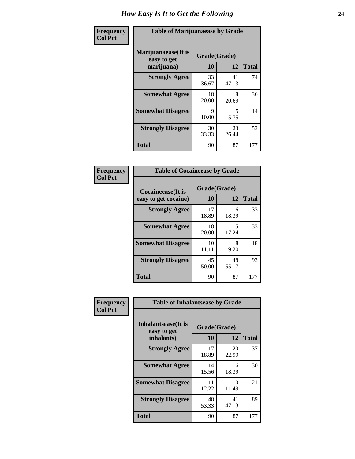| Frequency      | <b>Table of Marijuanaease by Grade</b>           |                    |             |              |
|----------------|--------------------------------------------------|--------------------|-------------|--------------|
| <b>Col Pct</b> | Marijuanaease(It is<br>easy to get<br>marijuana) | Grade(Grade)<br>10 | 12          | <b>Total</b> |
|                | <b>Strongly Agree</b>                            | 33<br>36.67        | 41<br>47.13 | 74           |
|                | <b>Somewhat Agree</b>                            | 18<br>20.00        | 18<br>20.69 | 36           |
|                | <b>Somewhat Disagree</b>                         | 9<br>10.00         | 5<br>5.75   | 14           |
|                | <b>Strongly Disagree</b>                         | 30<br>33.33        | 23<br>26.44 | 53           |
|                | <b>Total</b>                                     | 90                 | 87          | 177          |

| <b>Table of Cocaineease by Grade</b>      |                    |             |              |  |  |
|-------------------------------------------|--------------------|-------------|--------------|--|--|
| Cocaineease(It is<br>easy to get cocaine) | Grade(Grade)<br>10 | 12          | <b>Total</b> |  |  |
| <b>Strongly Agree</b>                     | 17<br>18.89        | 16<br>18.39 | 33           |  |  |
| <b>Somewhat Agree</b>                     | 18<br>20.00        | 15<br>17.24 | 33           |  |  |
| <b>Somewhat Disagree</b>                  | 10<br>11.11        | 8<br>9.20   | 18           |  |  |
| <b>Strongly Disagree</b>                  | 45<br>50.00        | 48<br>55.17 | 93           |  |  |
| <b>Total</b>                              | 90                 | 87          | 177          |  |  |

| Frequency      | <b>Table of Inhalantsease by Grade</b>     |              |             |              |
|----------------|--------------------------------------------|--------------|-------------|--------------|
| <b>Col Pct</b> | <b>Inhalantsease</b> (It is<br>easy to get | Grade(Grade) |             |              |
|                | inhalants)                                 | 10           | 12          | <b>Total</b> |
|                | <b>Strongly Agree</b>                      | 17<br>18.89  | 20<br>22.99 | 37           |
|                | <b>Somewhat Agree</b>                      | 14<br>15.56  | 16<br>18.39 | 30           |
|                | <b>Somewhat Disagree</b>                   | 11<br>12.22  | 10<br>11.49 | 21           |
|                | <b>Strongly Disagree</b>                   | 48<br>53.33  | 41<br>47.13 | 89           |
|                | <b>Total</b>                               | 90           | 87          | 177          |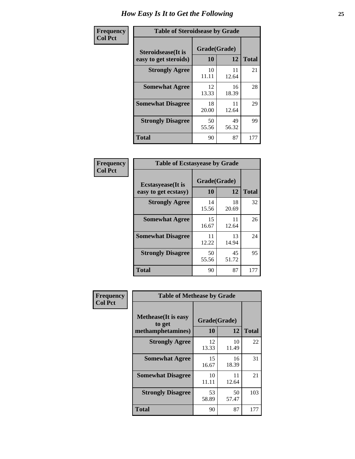| Frequency      | <b>Table of Steroidsease by Grade</b>               |                    |             |              |
|----------------|-----------------------------------------------------|--------------------|-------------|--------------|
| <b>Col Pct</b> | <b>Steroidsease</b> (It is<br>easy to get steroids) | Grade(Grade)<br>10 | 12          | <b>Total</b> |
|                | <b>Strongly Agree</b>                               | 10<br>11.11        | 11<br>12.64 | 21           |
|                | <b>Somewhat Agree</b>                               | 12<br>13.33        | 16<br>18.39 | 28           |
|                | <b>Somewhat Disagree</b>                            | 18<br>20.00        | 11<br>12.64 | 29           |
|                | <b>Strongly Disagree</b>                            | 50<br>55.56        | 49<br>56.32 | 99           |
|                | <b>Total</b>                                        | 90                 | 87          | 177          |

| Frequency      |                                                   | <b>Table of Ecstasyease by Grade</b> |              |     |  |  |  |  |  |
|----------------|---------------------------------------------------|--------------------------------------|--------------|-----|--|--|--|--|--|
| <b>Col Pct</b> | <b>Ecstasyease</b> (It is<br>easy to get ecstasy) | Grade(Grade)<br>10                   | <b>Total</b> |     |  |  |  |  |  |
|                | <b>Strongly Agree</b>                             | 14<br>15.56                          | 18<br>20.69  | 32  |  |  |  |  |  |
|                | <b>Somewhat Agree</b>                             | 15<br>16.67                          | 11<br>12.64  | 26  |  |  |  |  |  |
|                | <b>Somewhat Disagree</b>                          | 11<br>12.22                          | 13<br>14.94  | 24  |  |  |  |  |  |
|                | <b>Strongly Disagree</b>                          | 50<br>55.56                          | 45<br>51.72  | 95  |  |  |  |  |  |
|                | Total                                             | 90                                   | 87           | 177 |  |  |  |  |  |

| Frequency      | <b>Table of Methease by Grade</b>     |              |             |              |
|----------------|---------------------------------------|--------------|-------------|--------------|
| <b>Col Pct</b> | <b>Methease</b> (It is easy<br>to get | Grade(Grade) |             |              |
|                | methamphetamines)                     | 10           | 12          | <b>Total</b> |
|                | <b>Strongly Agree</b>                 | 12<br>13.33  | 10<br>11.49 | 22           |
|                | <b>Somewhat Agree</b>                 | 15<br>16.67  | 16<br>18.39 | 31           |
|                | <b>Somewhat Disagree</b>              | 10<br>11.11  | 11<br>12.64 | 21           |
|                | <b>Strongly Disagree</b>              | 53<br>58.89  | 50<br>57.47 | 103          |
|                | <b>Total</b>                          | 90           | 87          | 177          |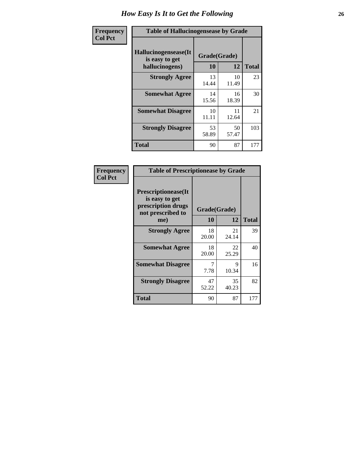| <b>Frequency</b> | <b>Table of Hallucinogensease by Grade</b>               |                    |             |              |  |  |  |
|------------------|----------------------------------------------------------|--------------------|-------------|--------------|--|--|--|
| <b>Col Pct</b>   | Hallucinogensease(It<br>is easy to get<br>hallucinogens) | Grade(Grade)<br>10 | 12          | <b>Total</b> |  |  |  |
|                  | <b>Strongly Agree</b>                                    | 13<br>14.44        | 10<br>11.49 | 23           |  |  |  |
|                  | <b>Somewhat Agree</b>                                    | 14<br>15.56        | 16<br>18.39 | 30           |  |  |  |
|                  | <b>Somewhat Disagree</b>                                 | 10<br>11.11        | 11<br>12.64 | 21           |  |  |  |
|                  | <b>Strongly Disagree</b>                                 | 53<br>58.89        | 50<br>57.47 | 103          |  |  |  |
|                  | <b>Total</b>                                             | 90                 | 87          | 177          |  |  |  |

| <b>Table of Prescriptionease by Grade</b>                                                |              |             |              |  |  |  |  |  |
|------------------------------------------------------------------------------------------|--------------|-------------|--------------|--|--|--|--|--|
| <b>Prescriptionease</b> (It<br>is easy to get<br>prescription drugs<br>not prescribed to | Grade(Grade) |             |              |  |  |  |  |  |
| me)                                                                                      | 10           | 12          | <b>Total</b> |  |  |  |  |  |
| <b>Strongly Agree</b>                                                                    | 18<br>20.00  | 21<br>24.14 | 39           |  |  |  |  |  |
| <b>Somewhat Agree</b>                                                                    | 18<br>20.00  | 22<br>25.29 | 40           |  |  |  |  |  |
| <b>Somewhat Disagree</b>                                                                 | 7.78         | Q<br>10.34  | 16           |  |  |  |  |  |
| <b>Strongly Disagree</b>                                                                 | 47<br>52.22  | 35<br>40.23 | 82           |  |  |  |  |  |
| Total                                                                                    | 90           | 87          | 177          |  |  |  |  |  |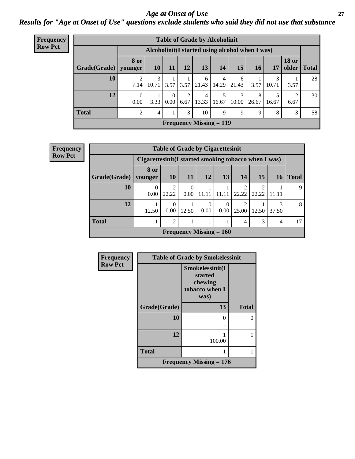### *Age at Onset of Use* **27** *Results for "Age at Onset of Use" questions exclude students who said they did not use that substance*

| <b>Frequency</b> |                                                  | <b>Table of Grade by Alcoholinit</b> |                |                  |           |            |                                             |            |            |       |                       |              |
|------------------|--------------------------------------------------|--------------------------------------|----------------|------------------|-----------|------------|---------------------------------------------|------------|------------|-------|-----------------------|--------------|
| <b>Row Pct</b>   | Alcoholinit (I started using alcohol when I was) |                                      |                |                  |           |            |                                             |            |            |       |                       |              |
|                  | Grade(Grade)   younger                           | 8 or                                 | 10             | 11               | 12        | 13         | 14                                          | 15         | <b>16</b>  | 17    | <b>18 or</b><br>older | <b>Total</b> |
|                  | 10                                               | 7.14                                 | 3<br>10.71     | 3.57             | 3.57      | 6<br>21.43 | 4<br>14.29                                  | 6<br>21.43 | 3.57       | 10.71 | 3.57                  | 28           |
|                  | 12                                               | $\Omega$<br>0.00                     | 3.33           | $\Omega$<br>0.00 | 2<br>6.67 | 4<br>13.33 | 16.67                                       | 3<br>10.00 | 8<br>26.67 | 16.67 | 2<br>6.67             | 30           |
|                  | <b>Total</b>                                     | ↑                                    | $\overline{4}$ |                  | 3         | 10         | 9                                           | 9          | 9          | 8     | 3                     | 58           |
|                  |                                                  |                                      |                |                  |           |            | <b>Frequency Missing <math>= 119</math></b> |            |            |       |                       |              |

| <b>Frequency</b> |              |                                                       |            |                  | <b>Table of Grade by Cigarettesinit</b> |                            |            |                         |       |              |
|------------------|--------------|-------------------------------------------------------|------------|------------------|-----------------------------------------|----------------------------|------------|-------------------------|-------|--------------|
| <b>Row Pct</b>   |              | Cigarettesinit (I started smoking tobacco when I was) |            |                  |                                         |                            |            |                         |       |              |
|                  | Grade(Grade) | 8 or<br>younger                                       | <b>10</b>  | 11               | 12                                      | 13                         | 14         | 15                      | 16 I  | <b>Total</b> |
|                  | 10           | $\theta$<br>0.00                                      | 2<br>22.22 | $\Omega$<br>0.00 | 11.11                                   | 11.11                      | ↑<br>22.22 | $\mathfrak{D}$<br>22.22 | 11.11 | 9            |
|                  | 12           | 12.50                                                 | 0<br>0.00  | 12.50            | $\Omega$<br>$0.00 -$                    | $\theta$<br>$0.00^{\circ}$ | 2<br>25.00 | 12.50                   | 37.50 | 8            |
|                  | <b>Total</b> |                                                       | 2          |                  |                                         |                            | 4          | 3                       | 4     | 17           |
|                  |              |                                                       |            |                  | <b>Frequency Missing = 160</b>          |                            |            |                         |       |              |

| Frequency      | <b>Table of Grade by Smokelessinit</b> |                                                                 |              |  |  |  |  |  |
|----------------|----------------------------------------|-----------------------------------------------------------------|--------------|--|--|--|--|--|
| <b>Row Pct</b> |                                        | Smokelessinit(I<br>started<br>chewing<br>tobacco when I<br>was) |              |  |  |  |  |  |
|                | Grade(Grade)                           | 13                                                              | <b>Total</b> |  |  |  |  |  |
|                | 10                                     | 0                                                               |              |  |  |  |  |  |
|                | 12                                     | 100.00                                                          |              |  |  |  |  |  |
|                | <b>Total</b>                           |                                                                 |              |  |  |  |  |  |
|                | Frequency Missing $= 176$              |                                                                 |              |  |  |  |  |  |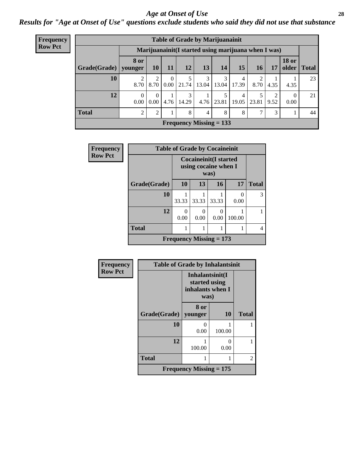#### *Age at Onset of Use* **28**

*Results for "Age at Onset of Use" questions exclude students who said they did not use that substance*

| <b>Frequency</b> |                                                      | <b>Table of Grade by Marijuanainit</b> |           |           |            |            |                           |            |       |           |                  |             |
|------------------|------------------------------------------------------|----------------------------------------|-----------|-----------|------------|------------|---------------------------|------------|-------|-----------|------------------|-------------|
| <b>Row Pct</b>   | Marijuanainit (I started using marijuana when I was) |                                        |           |           |            |            |                           |            |       |           |                  |             |
|                  | Grade(Grade)   younger                               | <b>8 or</b>                            | <b>10</b> | <b>11</b> | 12         | 13         | 14                        | 15         | 16    | 17        | <b>18 or</b>     | older Total |
|                  | 10                                                   | 8.70                                   | 8.70      | 0<br>0.00 | 21.74      | 3<br>13.04 | 3<br>13.04                | 4<br>17.39 | 8.70  | 4.35      | 4.35             | 23          |
|                  | 12                                                   | $\Omega$<br>0.00                       | 0<br>0.00 | 4.76      | 3<br>14.29 |            | 5.<br>$4.76$   23.81      | 4<br>19.05 | 23.81 | ↑<br>9.52 | $\Omega$<br>0.00 | 21          |
|                  | <b>Total</b>                                         | 2                                      | 2         |           | 8          | 4          | 8                         | 8          |       | 3         |                  | 44          |
|                  |                                                      |                                        |           |           |            |            | Frequency Missing $= 133$ |            |       |           |                  |             |

| Frequency      |              | <b>Table of Grade by Cocaineinit</b> |                                                              |           |                      |              |  |  |  |
|----------------|--------------|--------------------------------------|--------------------------------------------------------------|-----------|----------------------|--------------|--|--|--|
| <b>Row Pct</b> |              |                                      | <b>Cocaineinit(I started</b><br>using cocaine when I<br>was) |           |                      |              |  |  |  |
|                | Grade(Grade) | 10                                   | 13                                                           | 16        | 17                   | <b>Total</b> |  |  |  |
|                | 10           | 33.33                                | 33.33                                                        | 33.33     | $\mathbf{0}$<br>0.00 | 3            |  |  |  |
|                | 12           | 0<br>0.00                            | 0.00                                                         | 0<br>0.00 | 100.00               |              |  |  |  |
|                | <b>Total</b> |                                      |                                                              |           |                      | 4            |  |  |  |
|                |              | Frequency Missing $= 173$            |                                                              |           |                      |              |  |  |  |

| Frequency      | <b>Table of Grade by Inhalantsinit</b> |                                                              |           |              |  |  |  |  |  |  |
|----------------|----------------------------------------|--------------------------------------------------------------|-----------|--------------|--|--|--|--|--|--|
| <b>Row Pct</b> |                                        | Inhalantsinit(I<br>started using<br>inhalants when I<br>was) |           |              |  |  |  |  |  |  |
|                | Grade(Grade)                           | 8 or<br>younger                                              | <b>10</b> | <b>Total</b> |  |  |  |  |  |  |
|                | 10                                     | $\mathbf{\Omega}$<br>0.00                                    | 100.00    |              |  |  |  |  |  |  |
|                | 12                                     | 100.00                                                       | 0<br>0.00 |              |  |  |  |  |  |  |
|                | <b>Total</b>                           |                                                              |           | 2            |  |  |  |  |  |  |
|                |                                        | Frequency Missing $= 175$                                    |           |              |  |  |  |  |  |  |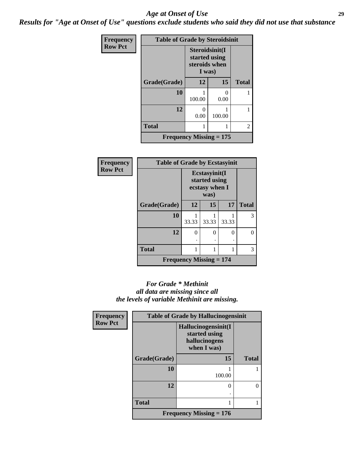#### *Age at Onset of Use* **29**

*Results for "Age at Onset of Use" questions exclude students who said they did not use that substance*

| <b>Frequency</b> | <b>Table of Grade by Steroidsinit</b> |                                                            |           |              |
|------------------|---------------------------------------|------------------------------------------------------------|-----------|--------------|
| <b>Row Pct</b>   |                                       | Steroidsinit(I<br>started using<br>steroids when<br>I was) |           |              |
|                  | Grade(Grade)                          | 12                                                         | 15        | <b>Total</b> |
|                  | 10                                    | 100.00                                                     | 0<br>0.00 | 1            |
|                  | 12                                    | 0<br>0.00                                                  | 100.00    | 1            |
|                  | <b>Total</b>                          | 1                                                          |           | 2            |
|                  | <b>Frequency Missing = 175</b>        |                                                            |           |              |

| <b>Frequency</b> | <b>Table of Grade by Ecstasyinit</b>        |                                                  |       |       |              |
|------------------|---------------------------------------------|--------------------------------------------------|-------|-------|--------------|
| <b>Row Pct</b>   |                                             | Ecstasyinit(I<br>started using<br>ecstasy when I |       |       |              |
|                  | Grade(Grade)                                | 12                                               | 15    | 17    | <b>Total</b> |
|                  | 10                                          | 33.33                                            | 33.33 | 33.33 | 3            |
|                  | 12                                          | $\Omega$                                         | 0     | ∩     | 0            |
|                  | <b>Total</b>                                |                                                  | 1     |       | 3            |
|                  | <b>Frequency Missing <math>= 174</math></b> |                                                  |       |       |              |

#### *For Grade \* Methinit all data are missing since all the levels of variable Methinit are missing.*

| Frequency      |              | <b>Table of Grade by Hallucinogensinit</b>                           |              |  |  |  |
|----------------|--------------|----------------------------------------------------------------------|--------------|--|--|--|
| <b>Row Pct</b> |              | Hallucinogensinit(I<br>started using<br>hallucinogens<br>when I was) |              |  |  |  |
|                | Grade(Grade) | 15                                                                   | <b>Total</b> |  |  |  |
|                | 10           | 100.00                                                               |              |  |  |  |
|                | 12           | 0                                                                    | 0            |  |  |  |
|                | <b>Total</b> | 1                                                                    |              |  |  |  |
|                |              | Frequency Missing $= 176$                                            |              |  |  |  |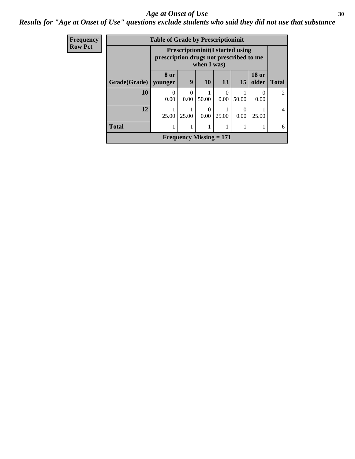#### Age at Onset of Use **30**

### *Results for "Age at Onset of Use" questions exclude students who said they did not use that substance*

| Frequency      |              | <b>Table of Grade by Prescriptioninit</b><br><b>Prescriptioninit(I started using</b><br>prescription drugs not prescribed to me<br>when I was) |                  |           |                           |           |                       |                |
|----------------|--------------|------------------------------------------------------------------------------------------------------------------------------------------------|------------------|-----------|---------------------------|-----------|-----------------------|----------------|
| <b>Row Pct</b> |              |                                                                                                                                                |                  |           |                           |           |                       |                |
|                | Grade(Grade) | 8 or<br>younger                                                                                                                                | 9                | <b>10</b> | <b>13</b>                 | <b>15</b> | <b>18 or</b><br>older | <b>Total</b>   |
|                | 10           | 0.00                                                                                                                                           | $\Omega$<br>0.00 | 50.00     | $\Omega$<br>0.00          | 50.00     | 0.00                  | $\mathfrak{D}$ |
|                | 12           | 25.00                                                                                                                                          | 25.00            | 0.00      | 25.00                     | 0.00      | 25.00                 | 4              |
|                | <b>Total</b> |                                                                                                                                                |                  |           |                           | 1         |                       | 6              |
|                |              |                                                                                                                                                |                  |           | Frequency Missing $= 171$ |           |                       |                |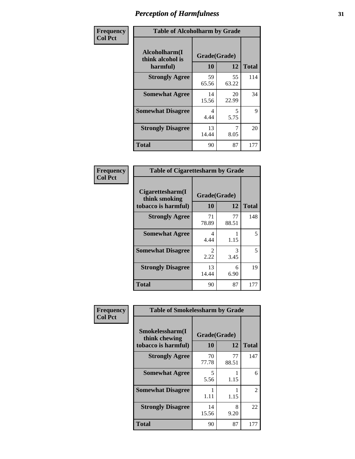| Frequency      | <b>Table of Alcoholharm by Grade</b>          |                           |             |              |
|----------------|-----------------------------------------------|---------------------------|-------------|--------------|
| <b>Col Pct</b> | Alcoholharm(I<br>think alcohol is<br>harmful) | Grade(Grade)<br><b>10</b> | 12          | <b>Total</b> |
|                | <b>Strongly Agree</b>                         | 59<br>65.56               | 55<br>63.22 | 114          |
|                | <b>Somewhat Agree</b>                         | 14<br>15.56               | 20<br>22.99 | 34           |
|                | <b>Somewhat Disagree</b>                      | 4<br>4.44                 | 5<br>5.75   | 9            |
|                | <b>Strongly Disagree</b>                      | 13<br>14.44               | 8.05        | 20           |
|                | <b>Total</b>                                  | 90                        | 87          | 177          |

| <b>Table of Cigarettesharm by Grade</b>                  |                    |             |              |  |  |
|----------------------------------------------------------|--------------------|-------------|--------------|--|--|
| Cigarettesharm(I<br>think smoking<br>tobacco is harmful) | Grade(Grade)<br>10 | 12          | <b>Total</b> |  |  |
| <b>Strongly Agree</b>                                    | 71<br>78.89        | 77<br>88.51 | 148          |  |  |
| <b>Somewhat Agree</b>                                    | 4<br>4.44          | 1.15        | 5            |  |  |
| <b>Somewhat Disagree</b>                                 | 2<br>2.22          | 3<br>3.45   | 5            |  |  |
| <b>Strongly Disagree</b>                                 | 13<br>14.44        | 6<br>6.90   | 19           |  |  |
| <b>Total</b>                                             | 90                 | 87          | 177          |  |  |

| Frequency      | <b>Table of Smokelessharm by Grade</b>                  |                           |             |              |
|----------------|---------------------------------------------------------|---------------------------|-------------|--------------|
| <b>Col Pct</b> | Smokelessharm(I<br>think chewing<br>tobacco is harmful) | Grade(Grade)<br><b>10</b> | 12          | <b>Total</b> |
|                | <b>Strongly Agree</b>                                   | 70<br>77.78               | 77<br>88.51 | 147          |
|                | <b>Somewhat Agree</b>                                   | 5<br>5.56                 | 1.15        | 6            |
|                | <b>Somewhat Disagree</b>                                | 1.11                      | 1.15        | 2            |
|                | <b>Strongly Disagree</b>                                | 14<br>15.56               | 8<br>9.20   | 22           |
|                | <b>Total</b>                                            | 90                        | 87          | 177          |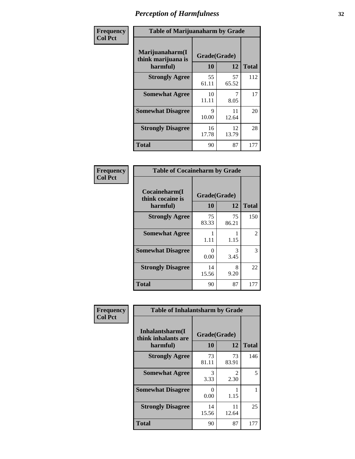| Frequency      | <b>Table of Marijuanaharm by Grade</b>            |                      |                    |              |
|----------------|---------------------------------------------------|----------------------|--------------------|--------------|
| <b>Col Pct</b> | Marijuanaharm(I<br>think marijuana is<br>harmful) | 10                   | Grade(Grade)<br>12 | <b>Total</b> |
|                | <b>Strongly Agree</b>                             | 55<br>61.11          | 57<br>65.52        | 112          |
|                | <b>Somewhat Agree</b>                             | 10<br>11.11          | 8.05               | 17           |
|                | <b>Somewhat Disagree</b>                          | $\mathbf Q$<br>10.00 | 11<br>12.64        | 20           |
|                | <b>Strongly Disagree</b>                          | 16<br>17.78          | 12<br>13.79        | 28           |
|                | <b>Total</b>                                      | 90                   | 87                 | 177          |

| <b>Table of Cocaineharm by Grade</b>          |                    |             |              |  |  |  |
|-----------------------------------------------|--------------------|-------------|--------------|--|--|--|
| Cocaineharm(I<br>think cocaine is<br>harmful) | Grade(Grade)<br>10 | 12          | <b>Total</b> |  |  |  |
| <b>Strongly Agree</b>                         | 75<br>83.33        | 75<br>86.21 | 150          |  |  |  |
| <b>Somewhat Agree</b>                         | 1<br>1.11          | 1.15        | 2            |  |  |  |
| <b>Somewhat Disagree</b>                      | 0<br>0.00          | 3<br>3.45   | 3            |  |  |  |
| <b>Strongly Disagree</b>                      | 14<br>15.56        | 8<br>9.20   | 22           |  |  |  |
| Total                                         | 90                 | 87          | 177          |  |  |  |

| Frequency      | <b>Table of Inhalantsharm by Grade</b>             |                           |             |              |
|----------------|----------------------------------------------------|---------------------------|-------------|--------------|
| <b>Col Pct</b> | Inhalantsharm(I<br>think inhalants are<br>harmful) | Grade(Grade)<br><b>10</b> | 12          | <b>Total</b> |
|                | <b>Strongly Agree</b>                              | 73<br>81.11               | 73<br>83.91 | 146          |
|                | <b>Somewhat Agree</b>                              | 3<br>3.33                 | 2<br>2.30   | 5            |
|                | <b>Somewhat Disagree</b>                           | 0<br>0.00                 | 1.15        |              |
|                | <b>Strongly Disagree</b>                           | 14<br>15.56               | 11<br>12.64 | 25           |
|                | <b>Total</b>                                       | 90                        | 87          | 177          |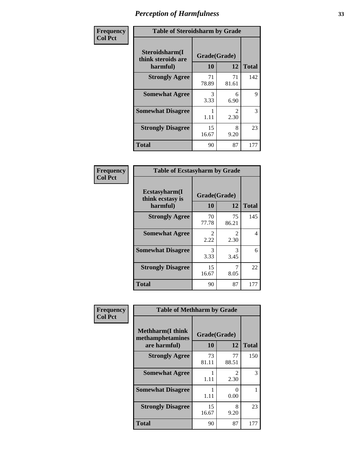| Frequency      | <b>Table of Steroidsharm by Grade</b>            |                    |                        |              |
|----------------|--------------------------------------------------|--------------------|------------------------|--------------|
| <b>Col Pct</b> | Steroidsharm(I<br>think steroids are<br>harmful) | Grade(Grade)<br>10 | 12                     | <b>Total</b> |
|                | <b>Strongly Agree</b>                            | 71<br>78.89        | 71<br>81.61            | 142          |
|                | <b>Somewhat Agree</b>                            | 3<br>3.33          | 6<br>6.90              | 9            |
|                | <b>Somewhat Disagree</b>                         | 1.11               | $\mathfrak{D}$<br>2.30 | 3            |
|                | <b>Strongly Disagree</b>                         | 15<br>16.67        | 8<br>9.20              | 23           |
|                | <b>Total</b>                                     | 90                 | 87                     | 177          |

| <b>Table of Ecstasyharm by Grade</b>          |                    |                        |              |  |  |  |
|-----------------------------------------------|--------------------|------------------------|--------------|--|--|--|
| Ecstasyharm(I<br>think ecstasy is<br>harmful) | Grade(Grade)<br>10 | 12                     | <b>Total</b> |  |  |  |
| <b>Strongly Agree</b>                         | 70<br>77.78        | 75<br>86.21            | 145          |  |  |  |
| <b>Somewhat Agree</b>                         | 2<br>2.22          | $\mathfrak{D}$<br>2.30 | 4            |  |  |  |
| <b>Somewhat Disagree</b>                      | 3<br>3.33          | 3<br>3.45              | 6            |  |  |  |
| <b>Strongly Disagree</b>                      | 15<br>16.67        | 7<br>8.05              | 22           |  |  |  |
| <b>Total</b>                                  | 90                 | 87                     | 177          |  |  |  |

| Frequency      | <b>Table of Methharm by Grade</b>                            |                    |                       |              |
|----------------|--------------------------------------------------------------|--------------------|-----------------------|--------------|
| <b>Col Pct</b> | <b>Methharm</b> (I think<br>methamphetamines<br>are harmful) | Grade(Grade)<br>10 | 12                    | <b>Total</b> |
|                | <b>Strongly Agree</b>                                        | 73<br>81.11        | 77<br>88.51           | 150          |
|                | <b>Somewhat Agree</b>                                        | 1.11               | $\mathcal{L}$<br>2.30 | 3            |
|                | <b>Somewhat Disagree</b>                                     | 1.11               | 0<br>0.00             |              |
|                | <b>Strongly Disagree</b>                                     | 15<br>16.67        | 8<br>9.20             | 23           |
|                | Total                                                        | 90                 | 87                    | 177          |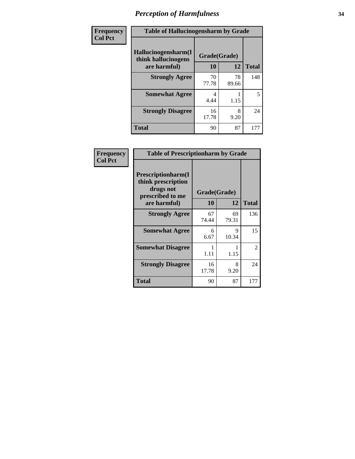| Frequency | <b>Table of Hallucinogensharm by Grade</b> |              |             |              |
|-----------|--------------------------------------------|--------------|-------------|--------------|
| Col Pct   | Hallucinogensharm(I<br>think hallucinogens | Grade(Grade) |             |              |
|           | are harmful)                               | 10           | 12          | <b>Total</b> |
|           | <b>Strongly Agree</b>                      | 70<br>77.78  | 78<br>89.66 | 148          |
|           | <b>Somewhat Agree</b>                      | 4<br>4.44    | 1.15        | 5            |
|           | <b>Strongly Disagree</b>                   | 16<br>17.78  | 8<br>9.20   | 24           |
|           | <b>Total</b>                               | 90           | 87          | 177          |

| Frequency      | <b>Table of Prescriptionharm by Grade</b>                                 |              |             |                |
|----------------|---------------------------------------------------------------------------|--------------|-------------|----------------|
| <b>Col Pct</b> | Prescriptionharm(I<br>think prescription<br>drugs not<br>prescribed to me | Grade(Grade) |             |                |
|                | are harmful)                                                              | <b>10</b>    | 12          | <b>Total</b>   |
|                | <b>Strongly Agree</b>                                                     | 67<br>74.44  | 69<br>79.31 | 136            |
|                | <b>Somewhat Agree</b>                                                     | 6<br>6.67    | 9<br>10.34  | 15             |
|                | <b>Somewhat Disagree</b>                                                  | 1.11         | 1.15        | $\mathfrak{2}$ |
|                | <b>Strongly Disagree</b>                                                  | 16<br>17.78  | 8<br>9.20   | 24             |
|                | Total                                                                     | 90           | 87          | 177            |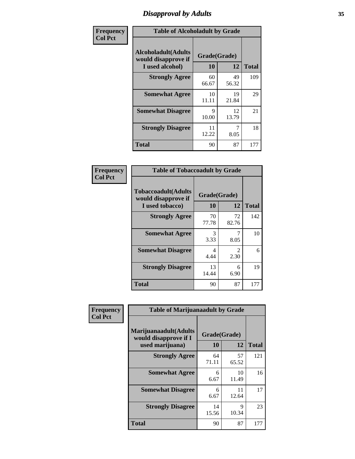# *Disapproval by Adults* **35**

| Frequency      | <b>Table of Alcoholadult by Grade</b>                                 |                    |             |              |
|----------------|-----------------------------------------------------------------------|--------------------|-------------|--------------|
| <b>Col Pct</b> | <b>Alcoholadult</b> (Adults<br>would disapprove if<br>I used alcohol) | Grade(Grade)<br>10 | 12          | <b>Total</b> |
|                | <b>Strongly Agree</b>                                                 | 60<br>66.67        | 49<br>56.32 | 109          |
|                | <b>Somewhat Agree</b>                                                 | 10<br>11.11        | 19<br>21.84 | 29           |
|                | <b>Somewhat Disagree</b>                                              | 9<br>10.00         | 12<br>13.79 | 21           |
|                | <b>Strongly Disagree</b>                                              | 11<br>12.22        | 8.05        | 18           |
|                | <b>Total</b>                                                          | 90                 | 87          | 177          |

| <b>Table of Tobaccoadult by Grade</b>                                 |                    |                       |     |  |  |
|-----------------------------------------------------------------------|--------------------|-----------------------|-----|--|--|
| <b>Tobaccoadult</b> (Adults<br>would disapprove if<br>I used tobacco) | Grade(Grade)<br>10 | <b>Total</b>          |     |  |  |
| <b>Strongly Agree</b>                                                 | 70<br>77.78        | 72<br>82.76           | 142 |  |  |
| <b>Somewhat Agree</b>                                                 | 3<br>3.33          | 8.05                  | 10  |  |  |
| <b>Somewhat Disagree</b>                                              | 4<br>4.44          | $\mathcal{L}$<br>2.30 | 6   |  |  |
| <b>Strongly Disagree</b>                                              | 13<br>14.44        | 6<br>6.90             | 19  |  |  |
| <b>Total</b>                                                          | 90                 | 87                    | 177 |  |  |

| Frequency<br><b>Col Pct</b> | <b>Table of Marijuanaadult by Grade</b>                           |                    |             |              |
|-----------------------------|-------------------------------------------------------------------|--------------------|-------------|--------------|
|                             | Marijuanaadult(Adults<br>would disapprove if I<br>used marijuana) | Grade(Grade)<br>10 | 12          | <b>Total</b> |
|                             | <b>Strongly Agree</b>                                             | 64<br>71.11        | 57<br>65.52 | 121          |
|                             | <b>Somewhat Agree</b>                                             | 6<br>6.67          | 10<br>11.49 | 16           |
|                             | <b>Somewhat Disagree</b>                                          | 6<br>6.67          | 11<br>12.64 | 17           |
|                             | <b>Strongly Disagree</b>                                          | 14<br>15.56        | 9<br>10.34  | 23           |
|                             | <b>Total</b>                                                      | 90                 | 87          | 177          |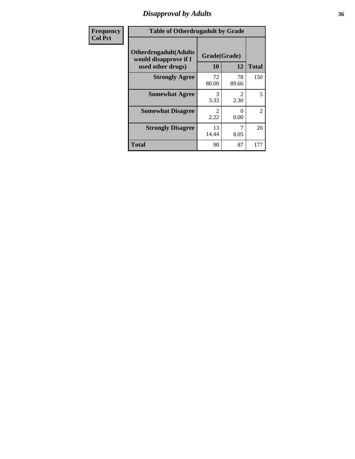### *Disapproval by Adults* **36**

| <b>Frequency</b> | <b>Table of Otherdrugadult by Grade</b>                                     |                    |                                     |                |
|------------------|-----------------------------------------------------------------------------|--------------------|-------------------------------------|----------------|
| <b>Col Pct</b>   | <b>Otherdrugadult</b> (Adults<br>would disapprove if I<br>used other drugs) | Grade(Grade)<br>10 | 12                                  | <b>Total</b>   |
|                  | <b>Strongly Agree</b>                                                       | 72<br>80.00        | 78<br>89.66                         | 150            |
|                  | <b>Somewhat Agree</b>                                                       | 3<br>3.33          | $\mathcal{D}_{\mathcal{L}}$<br>2.30 | 5              |
|                  | <b>Somewhat Disagree</b>                                                    | 2.22               | 0<br>0.00                           | $\overline{2}$ |
|                  | <b>Strongly Disagree</b>                                                    | 13<br>14.44        | 8.05                                | 20             |
|                  | <b>Total</b>                                                                | 90                 | 87                                  | 177            |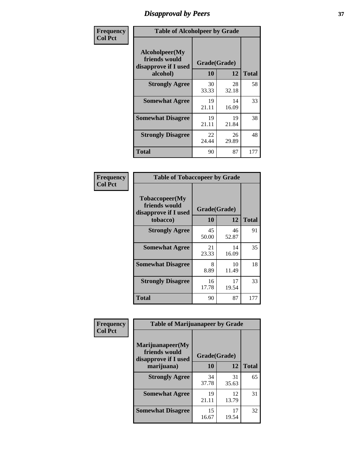# *Disapproval by Peers* **37**

| Frequency      | <b>Table of Alcoholpeer by Grade</b>                    |              |             |              |  |
|----------------|---------------------------------------------------------|--------------|-------------|--------------|--|
| <b>Col Pct</b> | Alcoholpeer(My<br>friends would<br>disapprove if I used | Grade(Grade) |             |              |  |
|                | alcohol)                                                | 10           | 12          | <b>Total</b> |  |
|                | <b>Strongly Agree</b>                                   | 30<br>33.33  | 28<br>32.18 | 58           |  |
|                | <b>Somewhat Agree</b>                                   | 19<br>21.11  | 14<br>16.09 | 33           |  |
|                | <b>Somewhat Disagree</b>                                | 19<br>21.11  | 19<br>21.84 | 38           |  |
|                | <b>Strongly Disagree</b>                                | 22<br>24.44  | 26<br>29.89 | 48           |  |
|                | Total                                                   | 90           | 87          | 177          |  |

| Frequency      | <b>Table of Tobaccopeer by Grade</b>                                |                           |             |              |  |
|----------------|---------------------------------------------------------------------|---------------------------|-------------|--------------|--|
| <b>Col Pct</b> | Tobaccopeer(My<br>friends would<br>disapprove if I used<br>tobacco) | Grade(Grade)<br><b>10</b> | 12          | <b>Total</b> |  |
|                | <b>Strongly Agree</b>                                               | 45<br>50.00               | 46<br>52.87 | 91           |  |
|                | <b>Somewhat Agree</b>                                               | 21<br>23.33               | 14<br>16.09 | 35           |  |
|                | <b>Somewhat Disagree</b>                                            | 8<br>8.89                 | 10<br>11.49 | 18           |  |
|                | <b>Strongly Disagree</b>                                            | 16<br>17.78               | 17<br>19.54 | 33           |  |
|                | Total                                                               | 90                        | 87          | 177          |  |

| Frequency      | <b>Table of Marijuanapeer by Grade</b> |              |             |              |
|----------------|----------------------------------------|--------------|-------------|--------------|
| <b>Col Pct</b> | Marijuanapeer(My<br>friends would      | Grade(Grade) |             |              |
|                | disapprove if I used<br>marijuana)     | 10           | 12          | <b>Total</b> |
|                | <b>Strongly Agree</b>                  | 34<br>37.78  | 31<br>35.63 | 65           |
|                | <b>Somewhat Agree</b>                  | 19<br>21.11  | 12<br>13.79 | 31           |
|                | <b>Somewhat Disagree</b>               | 15<br>16.67  | 17<br>19.54 | 32           |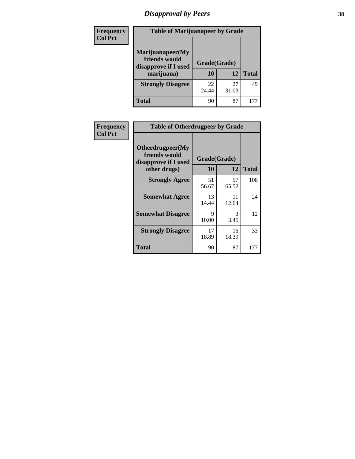# *Disapproval by Peers* **38**

| Frequency<br><b>Col Pct</b> | <b>Table of Marijuanapeer by Grade</b>                                  |                    |             |              |
|-----------------------------|-------------------------------------------------------------------------|--------------------|-------------|--------------|
|                             | Marijuanapeer(My<br>friends would<br>disapprove if I used<br>marijuana) | Grade(Grade)<br>10 | 12          | <b>Total</b> |
|                             | <b>Strongly Disagree</b>                                                | 22<br>24.44        | 27<br>31.03 | 49           |
|                             | Total                                                                   | 90                 | 87          | 17           |

| Frequency      | <b>Table of Otherdrugpeer by Grade</b>                                    |                    |             |              |
|----------------|---------------------------------------------------------------------------|--------------------|-------------|--------------|
| <b>Col Pct</b> | Otherdrugpeer(My<br>friends would<br>disapprove if I used<br>other drugs) | Grade(Grade)<br>10 | 12          | <b>Total</b> |
|                | <b>Strongly Agree</b>                                                     | 51<br>56.67        | 57<br>65.52 | 108          |
|                | <b>Somewhat Agree</b>                                                     | 13<br>14.44        | 11<br>12.64 | 24           |
|                | <b>Somewhat Disagree</b>                                                  | 9<br>10.00         | 3<br>3.45   | 12           |
|                | <b>Strongly Disagree</b>                                                  | 17<br>18.89        | 16<br>18.39 | 33           |
|                | Total                                                                     | 90                 | 87          | 177          |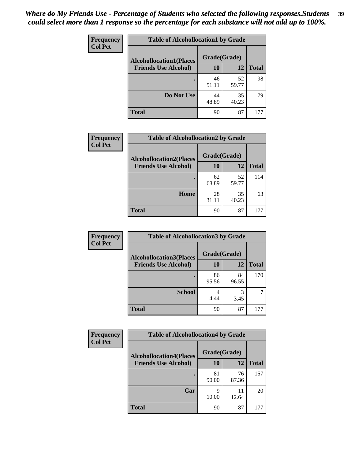| Frequency      | <b>Table of Alcohollocation1 by Grade</b> |              |             |              |
|----------------|-------------------------------------------|--------------|-------------|--------------|
| <b>Col Pct</b> | <b>Alcohollocation1(Places</b>            | Grade(Grade) |             |              |
|                | <b>Friends Use Alcohol)</b>               | 10           | 12          | <b>Total</b> |
|                |                                           | 46<br>51.11  | 52<br>59.77 | 98           |
|                | Do Not Use                                | 44<br>48.89  | 35<br>40.23 | 79           |
|                | <b>Total</b>                              | 90           | 87          | 177          |

| Frequency      | <b>Table of Alcohollocation2 by Grade</b> |              |             |              |
|----------------|-------------------------------------------|--------------|-------------|--------------|
| <b>Col Pct</b> | <b>Alcohollocation2(Places</b>            | Grade(Grade) |             |              |
|                | <b>Friends Use Alcohol)</b>               | 10           | 12          | <b>Total</b> |
|                |                                           | 62<br>68.89  | 52<br>59.77 | 114          |
|                | Home                                      | 28<br>31.11  | 35<br>40.23 | 63           |
|                | <b>Total</b>                              | 90           | 87          | 177          |

| Frequency      | <b>Table of Alcohollocation 3 by Grade</b> |              |             |              |
|----------------|--------------------------------------------|--------------|-------------|--------------|
| <b>Col Pct</b> | <b>Alcohollocation3(Places</b>             | Grade(Grade) |             |              |
|                | <b>Friends Use Alcohol)</b>                | 10           | 12          | <b>Total</b> |
|                |                                            | 86<br>95.56  | 84<br>96.55 | 170          |
|                | <b>School</b>                              | 4<br>4.44    | 3<br>3.45   |              |
|                | <b>Total</b>                               | 90           | 87          | 177          |

| <b>Frequency</b> | <b>Table of Alcohollocation4 by Grade</b> |              |             |              |
|------------------|-------------------------------------------|--------------|-------------|--------------|
| <b>Col Pct</b>   | <b>Alcohollocation4(Places</b>            | Grade(Grade) |             |              |
|                  | <b>Friends Use Alcohol)</b>               | 10           | 12          | <b>Total</b> |
|                  |                                           | 81<br>90.00  | 76<br>87.36 | 157          |
|                  | Car                                       | Q<br>10.00   | 11<br>12.64 | 20           |
|                  | <b>Total</b>                              | 90           | 87          |              |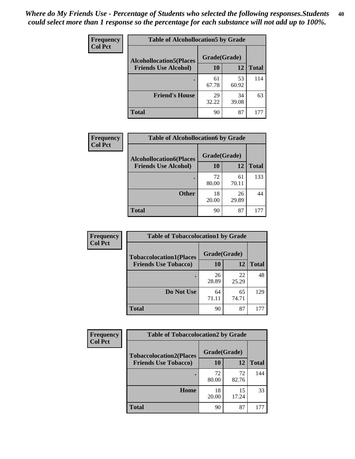| Frequency<br><b>Col Pct</b> | <b>Table of Alcohollocation5 by Grade</b>      |             |             |              |
|-----------------------------|------------------------------------------------|-------------|-------------|--------------|
|                             | Grade(Grade)<br><b>Alcohollocation5(Places</b> |             |             |              |
|                             | <b>Friends Use Alcohol)</b>                    | 10          | 12          | <b>Total</b> |
|                             |                                                | 61<br>67.78 | 53<br>60.92 | 114          |
|                             | <b>Friend's House</b>                          | 29<br>32.22 | 34<br>39.08 | 63           |
|                             | <b>Total</b>                                   | 90          | 87          | 177          |

| <b>Frequency</b> | <b>Table of Alcohollocation6 by Grade</b> |              |             |              |
|------------------|-------------------------------------------|--------------|-------------|--------------|
| <b>Col Pct</b>   | <b>Alcohollocation6(Places</b>            | Grade(Grade) |             |              |
|                  | <b>Friends Use Alcohol)</b>               | 10           | 12          | <b>Total</b> |
|                  |                                           | 72<br>80.00  | 61<br>70.11 | 133          |
|                  | <b>Other</b>                              | 18<br>20.00  | 26<br>29.89 | 44           |
|                  | <b>Total</b>                              | 90           | 87          |              |

| Frequency      | <b>Table of Tobaccolocation1 by Grade</b> |              |             |              |
|----------------|-------------------------------------------|--------------|-------------|--------------|
| <b>Col Pct</b> | <b>Tobaccolocation1(Places</b>            | Grade(Grade) |             |              |
|                | <b>Friends Use Tobacco)</b>               | 10           | 12          | <b>Total</b> |
|                |                                           | 26<br>28.89  | 22<br>25.29 | 48           |
|                | Do Not Use                                | 64<br>71.11  | 65<br>74.71 | 129          |
|                | <b>Total</b>                              | 90           | 87          | 177          |

| Frequency      | <b>Table of Tobaccolocation2 by Grade</b> |              |             |              |
|----------------|-------------------------------------------|--------------|-------------|--------------|
| <b>Col Pct</b> | <b>Tobaccolocation2(Places</b>            | Grade(Grade) |             |              |
|                | <b>Friends Use Tobacco)</b>               | 10           | 12          | <b>Total</b> |
|                |                                           | 72<br>80.00  | 72<br>82.76 | 144          |
|                | Home                                      | 18<br>20.00  | 15<br>17.24 | 33           |
|                | <b>Total</b>                              | 90           | 87          |              |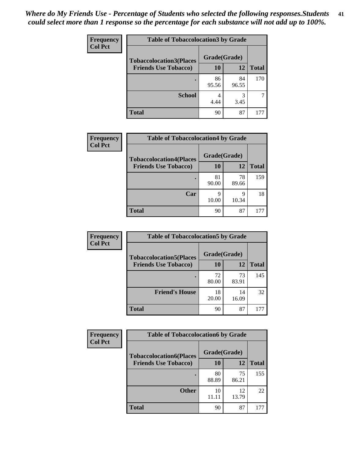| Frequency      | <b>Table of Tobaccolocation 3 by Grade</b> |              |             |              |
|----------------|--------------------------------------------|--------------|-------------|--------------|
| <b>Col Pct</b> | <b>Tobaccolocation3(Places</b>             | Grade(Grade) |             |              |
|                | <b>Friends Use Tobacco)</b>                | 10           | 12          | <b>Total</b> |
|                |                                            | 86<br>95.56  | 84<br>96.55 | 170          |
|                | <b>School</b>                              | 4<br>4.44    | 3<br>3.45   |              |
|                | <b>Total</b>                               | 90           | 87          | 177          |

| Frequency      | <b>Table of Tobaccolocation4 by Grade</b> |              |             |              |
|----------------|-------------------------------------------|--------------|-------------|--------------|
| <b>Col Pct</b> | <b>Tobaccolocation4(Places</b>            | Grade(Grade) |             |              |
|                | <b>Friends Use Tobacco)</b>               | 10           | 12          | <b>Total</b> |
|                |                                           | 81<br>90.00  | 78<br>89.66 | 159          |
|                | Car                                       | q<br>10.00   | q<br>10.34  | 18           |
|                | <b>Total</b>                              | 90           | 87          | 177          |

| Frequency      | <b>Table of Tobaccolocation5 by Grade</b> |              |             |              |
|----------------|-------------------------------------------|--------------|-------------|--------------|
| <b>Col Pct</b> | <b>Tobaccolocation5(Places</b>            | Grade(Grade) |             |              |
|                | <b>Friends Use Tobacco)</b>               | 10           | 12          | <b>Total</b> |
|                |                                           | 72<br>80.00  | 73<br>83.91 | 145          |
|                | <b>Friend's House</b>                     | 18<br>20.00  | 14<br>16.09 | 32           |
|                | <b>Total</b>                              | 90           | 87          | 177          |

| <b>Frequency</b> | <b>Table of Tobaccolocation6 by Grade</b> |              |             |              |  |  |
|------------------|-------------------------------------------|--------------|-------------|--------------|--|--|
| <b>Col Pct</b>   | <b>Tobaccolocation6(Places</b>            | Grade(Grade) |             |              |  |  |
|                  | <b>Friends Use Tobacco)</b>               | 10           | 12          | <b>Total</b> |  |  |
|                  |                                           | 80<br>88.89  | 75<br>86.21 | 155          |  |  |
|                  | <b>Other</b>                              | 10<br>11.11  | 12<br>13.79 | 22           |  |  |
|                  | <b>Total</b>                              | 90           | 87          |              |  |  |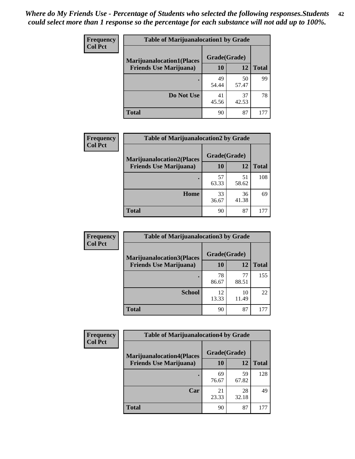| <b>Frequency</b> | <b>Table of Marijuanalocation1 by Grade</b> |              |             |              |
|------------------|---------------------------------------------|--------------|-------------|--------------|
| <b>Col Pct</b>   | <b>Marijuanalocation1(Places</b>            | Grade(Grade) |             |              |
|                  | <b>Friends Use Marijuana</b> )              | 10           | 12          | <b>Total</b> |
|                  |                                             | 49<br>54.44  | 50<br>57.47 | 99           |
|                  | Do Not Use                                  | 41<br>45.56  | 37<br>42.53 | 78           |
|                  | <b>Total</b>                                | 90           | 87          | 177          |

| <b>Frequency</b> | <b>Table of Marijuanalocation2 by Grade</b>                        |                    |             |              |
|------------------|--------------------------------------------------------------------|--------------------|-------------|--------------|
| <b>Col Pct</b>   | <b>Marijuanalocation2(Places</b><br><b>Friends Use Marijuana</b> ) | Grade(Grade)<br>10 | 12          | <b>Total</b> |
|                  |                                                                    | 57<br>63.33        | 51<br>58.62 | 108          |
|                  | Home                                                               | 33<br>36.67        | 36<br>41.38 | 69           |
|                  | <b>Total</b>                                                       | 90                 | 87          | 177          |

| Frequency<br><b>Col Pct</b> | <b>Table of Marijuanalocation3 by Grade</b> |              |             |              |
|-----------------------------|---------------------------------------------|--------------|-------------|--------------|
|                             | <b>Marijuanalocation3</b> (Places           | Grade(Grade) |             |              |
|                             | <b>Friends Use Marijuana</b> )              | <b>10</b>    | 12          | <b>Total</b> |
|                             |                                             | 78<br>86.67  | 77<br>88.51 | 155          |
|                             | <b>School</b>                               | 12<br>13.33  | 10<br>11.49 | 22           |
|                             | <b>Total</b>                                | 90           | 87          | 177          |

| <b>Frequency</b> | <b>Table of Marijuanalocation4 by Grade</b> |              |             |              |  |
|------------------|---------------------------------------------|--------------|-------------|--------------|--|
| <b>Col Pct</b>   | <b>Marijuanalocation4(Places</b>            | Grade(Grade) |             |              |  |
|                  | <b>Friends Use Marijuana</b> )              | <b>10</b>    | 12          | <b>Total</b> |  |
|                  |                                             | 69<br>76.67  | 59<br>67.82 | 128          |  |
|                  | Car                                         | 21<br>23.33  | 28<br>32.18 | 49           |  |
|                  | <b>Total</b>                                | 90           | 87          |              |  |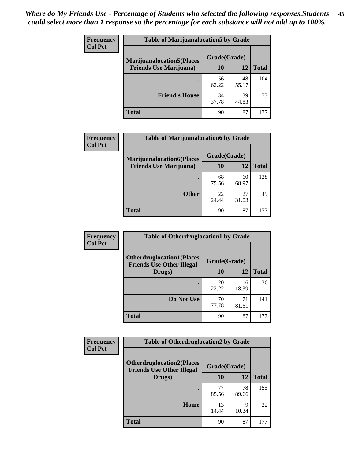| <b>Frequency</b> | <b>Table of Marijuanalocation5 by Grade</b> |              |             |              |
|------------------|---------------------------------------------|--------------|-------------|--------------|
| <b>Col Pct</b>   | <b>Marijuanalocation5(Places)</b>           | Grade(Grade) |             |              |
|                  | <b>Friends Use Marijuana</b> )              | 10           | 12          | <b>Total</b> |
|                  |                                             | 56<br>62.22  | 48<br>55.17 | 104          |
|                  | <b>Friend's House</b>                       | 34<br>37.78  | 39<br>44.83 | 73           |
|                  | <b>Total</b>                                | 90           | 87          |              |

| Frequency      | <b>Table of Marijuanalocation6 by Grade</b> |              |             |              |
|----------------|---------------------------------------------|--------------|-------------|--------------|
| <b>Col Pct</b> | <b>Marijuanalocation6(Places</b>            | Grade(Grade) |             |              |
|                | <b>Friends Use Marijuana</b> )              | 10           | 12          | <b>Total</b> |
|                |                                             | 68<br>75.56  | 60<br>68.97 | 128          |
|                | <b>Other</b>                                | 22<br>24.44  | 27<br>31.03 | 49           |
|                | <b>Total</b>                                | 90           | 87          | 177          |

| <b>Frequency</b> | <b>Table of Otherdruglocation1 by Grade</b>                          |              |             |              |
|------------------|----------------------------------------------------------------------|--------------|-------------|--------------|
| <b>Col Pct</b>   | <b>Otherdruglocation1(Places</b><br><b>Friends Use Other Illegal</b> | Grade(Grade) |             |              |
|                  | Drugs)                                                               | 10           | 12          | <b>Total</b> |
|                  |                                                                      | 20<br>22.22  | 16<br>18.39 | 36           |
|                  | Do Not Use                                                           | 70<br>77.78  | 71<br>81.61 | 141          |
|                  | <b>Total</b>                                                         | 90           | 87          | 177          |

| Frequency      | <b>Table of Otherdruglocation2 by Grade</b>                          |              |             |              |
|----------------|----------------------------------------------------------------------|--------------|-------------|--------------|
| <b>Col Pct</b> | <b>Otherdruglocation2(Places</b><br><b>Friends Use Other Illegal</b> | Grade(Grade) |             |              |
|                | Drugs)                                                               | 10           | 12          | <b>Total</b> |
|                |                                                                      | 77<br>85.56  | 78<br>89.66 | 155          |
|                | Home                                                                 | 13<br>14.44  | 9<br>10.34  | 22           |
|                | <b>Total</b>                                                         | 90           | 87          | 177          |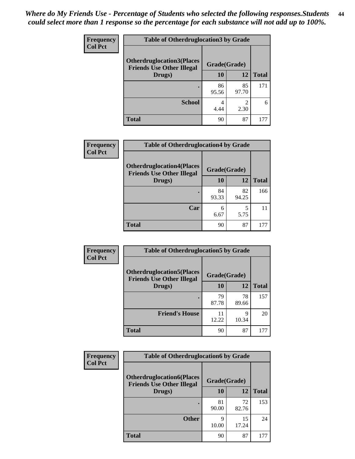| <b>Frequency</b> | <b>Table of Otherdruglocation 3 by Grade</b>                         |              |             |              |
|------------------|----------------------------------------------------------------------|--------------|-------------|--------------|
| <b>Col Pct</b>   | <b>Otherdruglocation3(Places</b><br><b>Friends Use Other Illegal</b> | Grade(Grade) |             |              |
|                  | Drugs)                                                               | <b>10</b>    | 12          | <b>Total</b> |
|                  |                                                                      | 86<br>95.56  | 85<br>97.70 | 171          |
|                  | <b>School</b>                                                        | 4<br>4.44    | 2<br>2.30   | 6            |
|                  | <b>Total</b>                                                         | 90           | 87          | 177          |

| <b>Frequency</b> | <b>Table of Otherdruglocation4 by Grade</b>                          |              |             |              |
|------------------|----------------------------------------------------------------------|--------------|-------------|--------------|
| <b>Col Pct</b>   | <b>Otherdruglocation4(Places</b><br><b>Friends Use Other Illegal</b> | Grade(Grade) |             |              |
|                  | Drugs)                                                               | 10           | 12          | <b>Total</b> |
|                  |                                                                      | 84<br>93.33  | 82<br>94.25 | 166          |
|                  | Car                                                                  | 6<br>6.67    | 5.75        |              |
|                  | <b>Total</b>                                                         | 90           | 87          | 177          |

| <b>Frequency</b> | <b>Table of Otherdruglocation5 by Grade</b>                          |              |             |              |
|------------------|----------------------------------------------------------------------|--------------|-------------|--------------|
| <b>Col Pct</b>   | <b>Otherdruglocation5(Places</b><br><b>Friends Use Other Illegal</b> | Grade(Grade) |             |              |
|                  | Drugs)                                                               | 10           | 12          | <b>Total</b> |
|                  |                                                                      | 79<br>87.78  | 78<br>89.66 | 157          |
|                  | <b>Friend's House</b>                                                | 11<br>12.22  | 9<br>10.34  | 20           |
|                  | <b>Total</b>                                                         | 90           | 87          | 177          |

| <b>Frequency</b> | <b>Table of Otherdruglocation6 by Grade</b>                          |              |             |              |
|------------------|----------------------------------------------------------------------|--------------|-------------|--------------|
| <b>Col Pct</b>   | <b>Otherdruglocation6(Places</b><br><b>Friends Use Other Illegal</b> | Grade(Grade) |             |              |
|                  | Drugs)                                                               | 10           | 12          | <b>Total</b> |
|                  |                                                                      | 81<br>90.00  | 72<br>82.76 | 153          |
|                  | <b>Other</b>                                                         | 9<br>10.00   | 15<br>17.24 | 24           |
|                  | <b>Total</b>                                                         | 90           | 87          | 177          |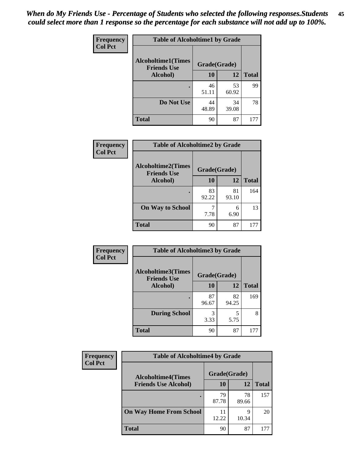| Frequency      | <b>Table of Alcoholtime1 by Grade</b>           |              |             |              |
|----------------|-------------------------------------------------|--------------|-------------|--------------|
| <b>Col Pct</b> | <b>Alcoholtime1(Times</b><br><b>Friends Use</b> | Grade(Grade) |             |              |
|                | Alcohol)                                        | 10           | 12          | <b>Total</b> |
|                |                                                 | 46<br>51.11  | 53<br>60.92 | 99           |
|                | Do Not Use                                      | 44<br>48.89  | 34<br>39.08 | 78           |
|                | <b>Total</b>                                    | 90           | 87          | 177          |

| Frequency      | <b>Table of Alcoholtime2 by Grade</b>           |              |             |              |
|----------------|-------------------------------------------------|--------------|-------------|--------------|
| <b>Col Pct</b> | <b>Alcoholtime2(Times</b><br><b>Friends Use</b> | Grade(Grade) |             |              |
|                | Alcohol)                                        | 10           | 12          | <b>Total</b> |
|                |                                                 | 83<br>92.22  | 81<br>93.10 | 164          |
|                | <b>On Way to School</b>                         | 7.78         | 6<br>6.90   | 13           |
|                | <b>Total</b>                                    | 90           | 87          | 177          |

| Frequency<br><b>Col Pct</b> | <b>Table of Alcoholtime3 by Grade</b>                           |             |             |              |
|-----------------------------|-----------------------------------------------------------------|-------------|-------------|--------------|
|                             | <b>Alcoholtime3(Times</b><br>Grade(Grade)<br><b>Friends Use</b> |             |             |              |
|                             | Alcohol)                                                        | 10          | 12          | <b>Total</b> |
|                             |                                                                 | 87<br>96.67 | 82<br>94.25 | 169          |
|                             | <b>During School</b>                                            | 3<br>3.33   | 5<br>5.75   | 8            |
|                             | <b>Total</b>                                                    | 90          | 87          | 177          |

| <b>Frequency</b><br><b>Col Pct</b> | <b>Table of Alcoholtime4 by Grade</b> |              |             |              |
|------------------------------------|---------------------------------------|--------------|-------------|--------------|
|                                    | <b>Alcoholtime4(Times</b>             | Grade(Grade) |             |              |
|                                    | <b>Friends Use Alcohol)</b>           | 10           | 12          | <b>Total</b> |
|                                    |                                       | 79<br>87.78  | 78<br>89.66 | 157          |
|                                    | <b>On Way Home From School</b>        | 11<br>12.22  | 9<br>10.34  | 20           |
|                                    | <b>Total</b>                          | 90           | 87          | 177          |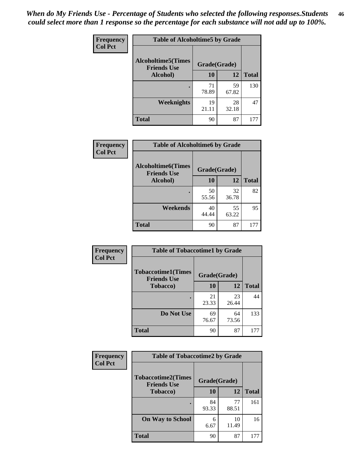*When do My Friends Use - Percentage of Students who selected the following responses.Students could select more than 1 response so the percentage for each substance will not add up to 100%.* **46**

| Frequency      | <b>Table of Alcoholtime5 by Grade</b>            |              |             |              |
|----------------|--------------------------------------------------|--------------|-------------|--------------|
| <b>Col Pct</b> | <b>Alcoholtime5</b> (Times<br><b>Friends Use</b> | Grade(Grade) |             |              |
|                | Alcohol)                                         | 10           | 12          | <b>Total</b> |
|                |                                                  | 71<br>78.89  | 59<br>67.82 | 130          |
|                | Weeknights                                       | 19<br>21.11  | 28<br>32.18 | 47           |
|                | <b>Total</b>                                     | 90           | 87          | 177          |

| Frequency      | <b>Table of Alcoholtime6 by Grade</b>           |              |             |              |
|----------------|-------------------------------------------------|--------------|-------------|--------------|
| <b>Col Pct</b> | <b>Alcoholtime6(Times</b><br><b>Friends Use</b> | Grade(Grade) |             |              |
|                | Alcohol)                                        | 10           | 12          | <b>Total</b> |
|                |                                                 | 50<br>55.56  | 32<br>36.78 | 82           |
|                | Weekends                                        | 40<br>44.44  | 55<br>63.22 | 95           |
|                | <b>Total</b>                                    | 90           | 87          | 177          |

| Frequency<br><b>Col Pct</b> | <b>Table of Tobaccotime1 by Grade</b>           |              |             |              |
|-----------------------------|-------------------------------------------------|--------------|-------------|--------------|
|                             | <b>Tobaccotime1(Times</b><br><b>Friends Use</b> | Grade(Grade) |             |              |
|                             | <b>Tobacco</b> )                                | 10           | 12          | <b>Total</b> |
|                             |                                                 | 21<br>23.33  | 23<br>26.44 | 44           |
|                             | Do Not Use                                      | 69<br>76.67  | 64<br>73.56 | 133          |
|                             | <b>Total</b>                                    | 90           | 87          | 177          |

| <b>Frequency</b> |                                                 | <b>Table of Tobaccotime2 by Grade</b> |             |              |  |
|------------------|-------------------------------------------------|---------------------------------------|-------------|--------------|--|
| <b>Col Pct</b>   | <b>Tobaccotime2(Times</b><br><b>Friends Use</b> | Grade(Grade)                          |             |              |  |
|                  | <b>Tobacco</b> )                                | 10                                    | 12          | <b>Total</b> |  |
|                  |                                                 | 84<br>93.33                           | 77<br>88.51 | 161          |  |
|                  | <b>On Way to School</b>                         | 6<br>6.67                             | 10<br>11.49 | 16           |  |
|                  | <b>Total</b>                                    | 90                                    | 87          | 177          |  |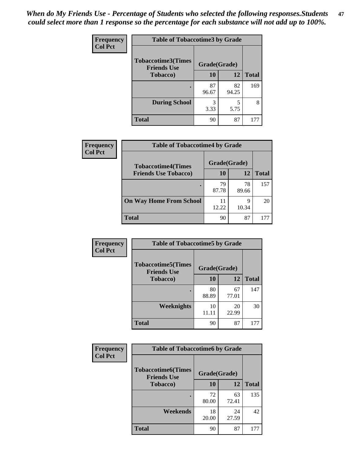| Frequency      | <b>Table of Tobaccotime3 by Grade</b>           |              |             |              |  |
|----------------|-------------------------------------------------|--------------|-------------|--------------|--|
| <b>Col Pct</b> | <b>Tobaccotime3(Times</b><br><b>Friends Use</b> | Grade(Grade) |             |              |  |
|                | <b>Tobacco</b> )                                | 10           | 12          | <b>Total</b> |  |
|                | ٠                                               | 87<br>96.67  | 82<br>94.25 | 169          |  |
|                | <b>During School</b>                            | 3<br>3.33    | 5<br>5.75   | 8            |  |
|                | <b>Total</b>                                    | 90           | 87          | 177          |  |

| <b>Frequency</b><br><b>Col Pct</b> | <b>Table of Tobaccotime4 by Grade</b> |              |             |              |
|------------------------------------|---------------------------------------|--------------|-------------|--------------|
|                                    | <b>Tobaccotime4(Times</b>             | Grade(Grade) |             |              |
|                                    | <b>Friends Use Tobacco)</b>           | 10           | 12          | <b>Total</b> |
|                                    |                                       | 79<br>87.78  | 78<br>89.66 | 157          |
|                                    | <b>On Way Home From School</b>        | 12.22        | O<br>10.34  | 20           |
|                                    | <b>Total</b>                          | 90           | 87          | 177          |

| Frequency      | <b>Table of Tobaccotime5 by Grade</b>           |              |             |              |
|----------------|-------------------------------------------------|--------------|-------------|--------------|
| <b>Col Pct</b> | <b>Tobaccotime5(Times</b><br><b>Friends Use</b> | Grade(Grade) |             |              |
|                | <b>Tobacco</b> )                                | 10           | 12          | <b>Total</b> |
|                | ٠                                               | 80<br>88.89  | 67<br>77.01 | 147          |
|                | Weeknights                                      | 10<br>11.11  | 20<br>22.99 | 30           |
|                | <b>Total</b>                                    | 90           | 87          | 177          |

| Frequency<br><b>Col Pct</b> | <b>Table of Tobaccotime6 by Grade</b>           |              |             |              |
|-----------------------------|-------------------------------------------------|--------------|-------------|--------------|
|                             | <b>Tobaccotime6(Times</b><br><b>Friends Use</b> | Grade(Grade) |             |              |
|                             | <b>Tobacco</b> )                                | 10           | 12          | <b>Total</b> |
|                             | ٠                                               | 72<br>80.00  | 63<br>72.41 | 135          |
|                             | Weekends                                        | 18<br>20.00  | 24<br>27.59 | 42           |
|                             | <b>Total</b>                                    | 90           | 87          | 177          |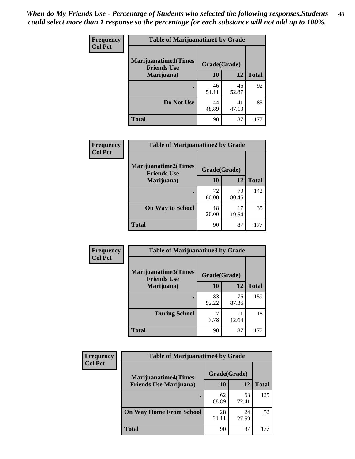| <b>Frequency</b> | <b>Table of Marijuanatime1 by Grade</b>           |              |             |              |
|------------------|---------------------------------------------------|--------------|-------------|--------------|
| <b>Col Pct</b>   | <b>Marijuanatime1(Times</b><br><b>Friends Use</b> | Grade(Grade) |             |              |
|                  | Marijuana)                                        | 10           | 12          | <b>Total</b> |
|                  |                                                   | 46<br>51.11  | 46<br>52.87 | 92           |
|                  | Do Not Use                                        | 44<br>48.89  | 41<br>47.13 | 85           |
|                  | <b>Total</b>                                      | 90           | 87          | 177          |

| Frequency      | <b>Table of Marijuanatime2 by Grade</b>           |              |             |              |
|----------------|---------------------------------------------------|--------------|-------------|--------------|
| <b>Col Pct</b> | <b>Marijuanatime2(Times</b><br><b>Friends Use</b> | Grade(Grade) |             |              |
|                | Marijuana)                                        | 10           | 12          | <b>Total</b> |
|                |                                                   | 72<br>80.00  | 70<br>80.46 | 142          |
|                | <b>On Way to School</b>                           | 18<br>20.00  | 17<br>19.54 | 35           |
|                | <b>Total</b>                                      | 90           | 87          | 177          |

| <b>Frequency</b> | <b>Table of Marijuanatime3 by Grade</b>    |              |             |              |
|------------------|--------------------------------------------|--------------|-------------|--------------|
| <b>Col Pct</b>   | Marijuanatime3(Times<br><b>Friends Use</b> | Grade(Grade) |             |              |
|                  | Marijuana)                                 | 10           | 12          | <b>Total</b> |
|                  |                                            | 83<br>92.22  | 76<br>87.36 | 159          |
|                  | <b>During School</b>                       | 7.78         | 11<br>12.64 | 18           |
|                  | <b>Total</b>                               | 90           | 87          | 177          |

| <b>Frequency</b> | <b>Table of Marijuanatime4 by Grade</b> |              |             |              |
|------------------|-----------------------------------------|--------------|-------------|--------------|
| <b>Col Pct</b>   | <b>Marijuanatime4(Times</b>             | Grade(Grade) |             |              |
|                  | <b>Friends Use Marijuana</b> )          | 10           | 12          | <b>Total</b> |
|                  |                                         | 62<br>68.89  | 63<br>72.41 | 125          |
|                  | <b>On Way Home From School</b>          | 28<br>31.11  | 24<br>27.59 | 52           |
|                  | <b>Total</b>                            | 90           | 87          |              |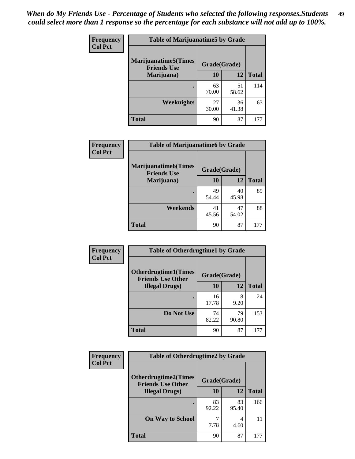| <b>Frequency</b> | <b>Table of Marijuanatime5 by Grade</b>            |              |             |              |
|------------------|----------------------------------------------------|--------------|-------------|--------------|
| <b>Col Pct</b>   | <b>Marijuanatime5</b> (Times<br><b>Friends Use</b> | Grade(Grade) |             |              |
|                  | Marijuana)                                         | 10           | 12          | <b>Total</b> |
|                  |                                                    | 63<br>70.00  | 51<br>58.62 | 114          |
|                  | Weeknights                                         | 27<br>30.00  | 36<br>41.38 | 63           |
|                  | <b>Total</b>                                       | 90           | 87          | 177          |

| Frequency      | <b>Table of Marijuanatime6 by Grade</b>    |              |             |              |
|----------------|--------------------------------------------|--------------|-------------|--------------|
| <b>Col Pct</b> | Marijuanatime6(Times<br><b>Friends Use</b> | Grade(Grade) |             |              |
|                | Marijuana)                                 | 10           | 12          | <b>Total</b> |
|                |                                            | 49<br>54.44  | 40<br>45.98 | 89           |
|                | Weekends                                   | 41<br>45.56  | 47<br>54.02 | 88           |
|                | <b>Total</b>                               | 90           | 87          | 177          |

| Frequency      | <b>Table of Otherdrugtime1 by Grade</b>                 |              |             |              |
|----------------|---------------------------------------------------------|--------------|-------------|--------------|
| <b>Col Pct</b> | <b>Otherdrugtime1(Times</b><br><b>Friends Use Other</b> | Grade(Grade) |             |              |
|                | <b>Illegal Drugs)</b>                                   | 10           | 12          | <b>Total</b> |
|                |                                                         | 16<br>17.78  | 8<br>9.20   | 24           |
|                | Do Not Use                                              | 74<br>82.22  | 79<br>90.80 | 153          |
|                | Total                                                   | 90           | 87          | 177          |

| Frequency      | <b>Table of Otherdrugtime2 by Grade</b>                 |              |             |              |  |  |  |
|----------------|---------------------------------------------------------|--------------|-------------|--------------|--|--|--|
| <b>Col Pct</b> | <b>Otherdrugtime2(Times</b><br><b>Friends Use Other</b> | Grade(Grade) |             |              |  |  |  |
|                | <b>Illegal Drugs</b> )                                  | 10           | 12          | <b>Total</b> |  |  |  |
|                |                                                         | 83<br>92.22  | 83<br>95.40 | 166          |  |  |  |
|                | <b>On Way to School</b>                                 | 7.78         | 4<br>4.60   | 11           |  |  |  |
|                | Total                                                   | 90           | 87          | 177          |  |  |  |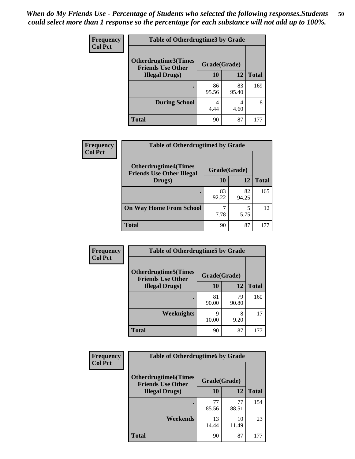| <b>Frequency</b> | <b>Table of Otherdrugtime3 by Grade</b>          |              |             |              |  |  |  |
|------------------|--------------------------------------------------|--------------|-------------|--------------|--|--|--|
| <b>Col Pct</b>   | Otherdrugtime3(Times<br><b>Friends Use Other</b> | Grade(Grade) |             |              |  |  |  |
|                  | <b>Illegal Drugs</b> )                           | 10           | 12          | <b>Total</b> |  |  |  |
|                  |                                                  | 86<br>95.56  | 83<br>95.40 | 169          |  |  |  |
|                  | <b>During School</b>                             | 4<br>4.44    | 4<br>4.60   | 8            |  |  |  |
|                  | <b>Total</b>                                     | 90           | 87          | 177          |  |  |  |

| Frequency      | <b>Table of Otherdrugtime4 by Grade</b>                         |              |             |              |  |  |  |
|----------------|-----------------------------------------------------------------|--------------|-------------|--------------|--|--|--|
| <b>Col Pct</b> | <b>Otherdrugtime4(Times</b><br><b>Friends Use Other Illegal</b> | Grade(Grade) |             |              |  |  |  |
|                | Drugs)                                                          | 10           | 12          | <b>Total</b> |  |  |  |
|                |                                                                 | 83<br>92.22  | 82<br>94.25 | 165          |  |  |  |
|                | <b>On Way Home From School</b>                                  | 7.78         | 5.75        | 12           |  |  |  |
|                | <b>Total</b>                                                    | 90           | 87          | 177          |  |  |  |

| <b>Frequency</b> | <b>Table of Otherdrugtime5 by Grade</b>                  |              |             |              |  |  |  |
|------------------|----------------------------------------------------------|--------------|-------------|--------------|--|--|--|
| <b>Col Pct</b>   | <b>Otherdrugtime5</b> (Times<br><b>Friends Use Other</b> | Grade(Grade) |             |              |  |  |  |
|                  | <b>Illegal Drugs</b> )                                   | 10           | 12          | <b>Total</b> |  |  |  |
|                  |                                                          | 81<br>90.00  | 79<br>90.80 | 160          |  |  |  |
|                  | <b>Weeknights</b>                                        | Q<br>10.00   | 8<br>9.20   | 17           |  |  |  |
|                  | Total                                                    | 90           | 87          | 177          |  |  |  |

| <b>Frequency</b> | <b>Table of Otherdrugtime6 by Grade</b>                 |              |             |              |  |  |  |
|------------------|---------------------------------------------------------|--------------|-------------|--------------|--|--|--|
| <b>Col Pct</b>   | <b>Otherdrugtime6(Times</b><br><b>Friends Use Other</b> | Grade(Grade) |             |              |  |  |  |
|                  | <b>Illegal Drugs</b> )                                  | 10           | 12          | <b>Total</b> |  |  |  |
|                  |                                                         | 77<br>85.56  | 77<br>88.51 | 154          |  |  |  |
|                  | Weekends                                                | 13<br>14.44  | 10<br>11.49 | 23           |  |  |  |
|                  | Total                                                   | 90           | 87          | 177          |  |  |  |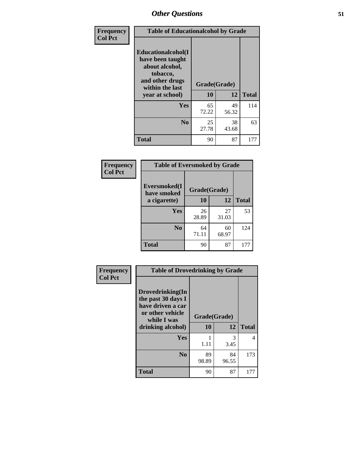| Frequency      | <b>Table of Educationalcohol by Grade</b>                                                                  |              |             |              |  |  |
|----------------|------------------------------------------------------------------------------------------------------------|--------------|-------------|--------------|--|--|
| <b>Col Pct</b> | Educationalcohol(I<br>have been taught<br>about alcohol,<br>tobacco,<br>and other drugs<br>within the last | Grade(Grade) |             |              |  |  |
|                | year at school)                                                                                            | 10           | 12          | <b>Total</b> |  |  |
|                | Yes                                                                                                        | 65<br>72.22  | 49<br>56.32 | 114          |  |  |
|                | N <sub>0</sub>                                                                                             | 25<br>27.78  | 38<br>43.68 | 63           |  |  |
|                | <b>Total</b>                                                                                               | 90           | 87          | 177          |  |  |

| Frequency      | <b>Table of Eversmoked by Grade</b> |              |             |              |  |  |  |
|----------------|-------------------------------------|--------------|-------------|--------------|--|--|--|
| <b>Col Pct</b> | Eversmoked(I<br>have smoked         | Grade(Grade) |             |              |  |  |  |
|                | a cigarette)                        | 10           | 12          | <b>Total</b> |  |  |  |
|                | Yes                                 | 26<br>28.89  | 27<br>31.03 | 53           |  |  |  |
|                | N <sub>0</sub>                      | 64<br>71.11  | 60<br>68.97 | 124          |  |  |  |
|                | <b>Total</b>                        | 90           | 87          | 177          |  |  |  |

| Frequency      | <b>Table of Drovedrinking by Grade</b>                                                                              |                    |             |              |  |  |
|----------------|---------------------------------------------------------------------------------------------------------------------|--------------------|-------------|--------------|--|--|
| <b>Col Pct</b> | Drovedrinking(In<br>the past 30 days I<br>have driven a car<br>or other vehicle<br>while I was<br>drinking alcohol) | Grade(Grade)<br>10 | 12          | <b>Total</b> |  |  |
|                | Yes                                                                                                                 | 1.11               | 3<br>3.45   | 4            |  |  |
|                | N <sub>0</sub>                                                                                                      | 89<br>98.89        | 84<br>96.55 | 173          |  |  |
|                | <b>Total</b>                                                                                                        | 90                 | 87          | 177          |  |  |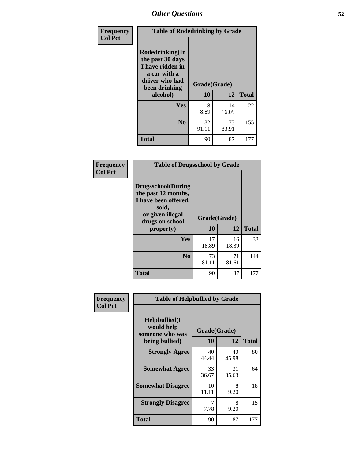| Frequency<br><b>Col Pct</b> | <b>Table of Rodedrinking by Grade</b>                                                                      |              |             |              |  |  |
|-----------------------------|------------------------------------------------------------------------------------------------------------|--------------|-------------|--------------|--|--|
|                             | Rodedrinking(In<br>the past 30 days<br>I have ridden in<br>a car with a<br>driver who had<br>been drinking | Grade(Grade) |             |              |  |  |
|                             | alcohol)                                                                                                   | 10           | 12          | <b>Total</b> |  |  |
|                             | <b>Yes</b>                                                                                                 | 8<br>8.89    | 14<br>16.09 | 22           |  |  |
|                             | N <sub>0</sub>                                                                                             | 82<br>91.11  | 73<br>83.91 | 155          |  |  |
|                             | <b>Total</b>                                                                                               | 90           | 87          | 177          |  |  |

#### **Frequency Col Pct**

| <b>Table of Drugsschool by Grade</b>                                                                                      |              |             |              |  |  |  |  |
|---------------------------------------------------------------------------------------------------------------------------|--------------|-------------|--------------|--|--|--|--|
| <b>Drugsschool</b> (During<br>the past 12 months,<br>I have been offered,<br>sold,<br>or given illegal<br>drugs on school | Grade(Grade) |             |              |  |  |  |  |
| property)                                                                                                                 | 10           | 12          | <b>Total</b> |  |  |  |  |
| Yes                                                                                                                       | 17<br>18.89  | 16<br>18.39 | 33           |  |  |  |  |
| N <sub>0</sub>                                                                                                            | 73<br>81.11  | 71<br>81.61 | 144          |  |  |  |  |
| <b>Total</b>                                                                                                              | 90           | 87          | 177          |  |  |  |  |

| Frequency      | <b>Table of Helpbullied by Grade</b>                                                          |             |              |     |  |  |  |
|----------------|-----------------------------------------------------------------------------------------------|-------------|--------------|-----|--|--|--|
| <b>Col Pct</b> | Helpbullied(I)<br>would help<br>Grade(Grade)<br>someone who was<br>12<br>10<br>being bullied) |             | <b>Total</b> |     |  |  |  |
|                |                                                                                               |             |              |     |  |  |  |
|                | <b>Strongly Agree</b>                                                                         | 40<br>44.44 | 40<br>45.98  | 80  |  |  |  |
|                | <b>Somewhat Agree</b>                                                                         | 33<br>36.67 | 31<br>35.63  | 64  |  |  |  |
|                | <b>Somewhat Disagree</b>                                                                      | 10<br>11.11 | 8<br>9.20    | 18  |  |  |  |
|                | <b>Strongly Disagree</b>                                                                      | 7.78        | 8<br>9.20    | 15  |  |  |  |
|                | <b>Total</b>                                                                                  | 90          | 87           | 177 |  |  |  |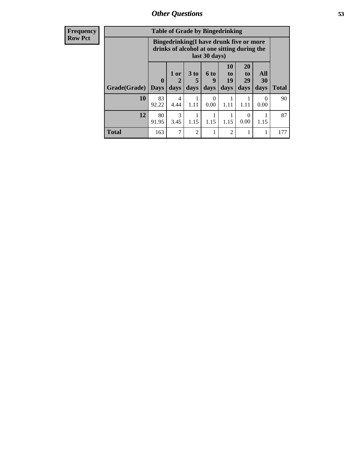| Frequency      | <b>Table of Grade by Bingedrinking</b> |                                 |                |                   |                   |                                                                                        |                               |                          |              |
|----------------|----------------------------------------|---------------------------------|----------------|-------------------|-------------------|----------------------------------------------------------------------------------------|-------------------------------|--------------------------|--------------|
| <b>Row Pct</b> |                                        |                                 |                |                   | last 30 days)     | Bingedrinking(I have drunk five or more<br>drinks of alcohol at one sitting during the |                               |                          |              |
|                | Grade(Grade)                           | $\boldsymbol{0}$<br><b>Days</b> | $1$ or<br>days | 3 to<br>5<br>days | 6 to<br>9<br>days | <b>10</b><br>to<br>19<br>days                                                          | <b>20</b><br>to<br>29<br>days | <b>All</b><br>30<br>days | <b>Total</b> |
|                | 10                                     | 83<br>92.22                     | 4<br>4.44      | 1.11              | 0.00              | 1.11                                                                                   | 1.11                          | $\Omega$<br>0.00         | 90           |
|                | 12                                     | 80<br>91.95                     | 3<br>3.45      | 1.15              | 1.15              | 1.15                                                                                   | 0<br>0.00                     | 1.15                     | 87           |
|                | <b>Total</b>                           | 163                             | 7              | $\overline{2}$    |                   | $\overline{2}$                                                                         |                               |                          | 177          |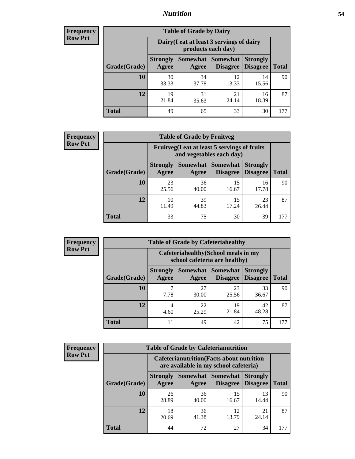## *Nutrition* **54**

| <b>Frequency</b> |
|------------------|
| <b>Row Pct</b>   |

| <b>Table of Grade by Dairy</b> |                                                                                                                                    |                                                                 |             |             |     |  |  |  |
|--------------------------------|------------------------------------------------------------------------------------------------------------------------------------|-----------------------------------------------------------------|-------------|-------------|-----|--|--|--|
|                                |                                                                                                                                    | Dairy (I eat at least 3 servings of dairy<br>products each day) |             |             |     |  |  |  |
| Grade(Grade)                   | Somewhat<br><b>Somewhat</b><br><b>Strongly</b><br><b>Strongly</b><br><b>Disagree</b><br>Disagree<br><b>Total</b><br>Agree<br>Agree |                                                                 |             |             |     |  |  |  |
| 10                             | 30<br>33.33                                                                                                                        | 34<br>37.78                                                     | 12<br>13.33 | 14<br>15.56 | 90  |  |  |  |
| 12                             | 19<br>21.84                                                                                                                        | 31<br>35.63                                                     | 21<br>24.14 | 16<br>18.39 | 87  |  |  |  |
| <b>Total</b>                   | 49                                                                                                                                 | 65                                                              | 33          | 30          | 177 |  |  |  |

| <b>Frequency</b> |  |
|------------------|--|
| <b>Row Pct</b>   |  |

| <b>Table of Grade by Fruitveg</b> |                          |                                                                                                |             |             |     |  |  |
|-----------------------------------|--------------------------|------------------------------------------------------------------------------------------------|-------------|-------------|-----|--|--|
|                                   |                          | Fruitveg(I eat at least 5 servings of fruits<br>and vegetables each day)                       |             |             |     |  |  |
| Grade(Grade)                      | <b>Strongly</b><br>Agree | Somewhat   Somewhat<br><b>Strongly</b><br><b>Disagree</b><br>Disagree<br><b>Total</b><br>Agree |             |             |     |  |  |
| 10                                | 23<br>25.56              | 36<br>40.00                                                                                    | 15<br>16.67 | 16<br>17.78 | 90  |  |  |
| 12                                | 10<br>11.49              | 39<br>44.83                                                                                    | 15<br>17.24 | 23<br>26.44 | 87  |  |  |
| <b>Total</b>                      | 33                       | 75                                                                                             | 30          | 39          | 177 |  |  |

| <b>Frequency</b> | <b>Table of Grade by Cafeteriahealthy</b> |                                                                       |                            |                 |                                    |              |
|------------------|-------------------------------------------|-----------------------------------------------------------------------|----------------------------|-----------------|------------------------------------|--------------|
| <b>Row Pct</b>   |                                           | Cafeteriahealthy (School meals in my<br>school cafeteria are healthy) |                            |                 |                                    |              |
|                  | Grade(Grade)                              | <b>Strongly</b><br>Agree                                              | Somewhat Somewhat<br>Agree | <b>Disagree</b> | <b>Strongly</b><br><b>Disagree</b> | <b>Total</b> |
|                  | 10                                        | 7.78                                                                  | 27<br>30.00                | 23<br>25.56     | 33<br>36.67                        | 90           |
|                  | 12                                        | 4<br>4.60                                                             | 22<br>25.29                | 19<br>21.84     | 42<br>48.28                        | 87           |
|                  | Total                                     | 11                                                                    | 49                         | 42              | 75                                 | 177          |

| <b>Frequency</b> |
|------------------|
| <b>Row Pct</b>   |

| <b>Table of Grade by Cafeterianutrition</b> |                          |                                                                                           |                                    |                                    |              |  |  |  |
|---------------------------------------------|--------------------------|-------------------------------------------------------------------------------------------|------------------------------------|------------------------------------|--------------|--|--|--|
|                                             |                          | <b>Cafeterianutrition</b> (Facts about nutrition<br>are available in my school cafeteria) |                                    |                                    |              |  |  |  |
| Grade(Grade)                                | <b>Strongly</b><br>Agree | Somewhat  <br>Agree                                                                       | <b>Somewhat</b><br><b>Disagree</b> | <b>Strongly</b><br><b>Disagree</b> | <b>Total</b> |  |  |  |
| <b>10</b>                                   | 26<br>28.89              | 36<br>40.00                                                                               | 15<br>16.67                        | 13<br>14.44                        | 90           |  |  |  |
| 12                                          | 18<br>20.69              | 36<br>41.38                                                                               | 12<br>13.79                        | 21<br>24.14                        | 87           |  |  |  |
| <b>Total</b>                                | 44                       | 72                                                                                        | 27                                 | 34                                 | 177          |  |  |  |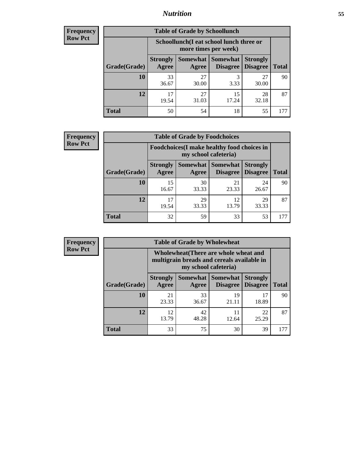## *Nutrition* **55**

| Frequency |
|-----------|
| Row Pct   |

| <b>Table of Grade by Schoollunch</b> |                          |                                                                                                          |             |             |     |  |  |  |
|--------------------------------------|--------------------------|----------------------------------------------------------------------------------------------------------|-------------|-------------|-----|--|--|--|
|                                      |                          | Schoollunch(I eat school lunch three or<br>more times per week)                                          |             |             |     |  |  |  |
| Grade(Grade)                         | <b>Strongly</b><br>Agree | Somewhat  <br><b>Somewhat</b><br><b>Strongly</b><br><b>Disagree</b><br>Disagree<br><b>Total</b><br>Agree |             |             |     |  |  |  |
| 10                                   | 33<br>36.67              | 27<br>30.00                                                                                              | 3<br>3.33   | 27<br>30.00 | 90  |  |  |  |
| 12                                   | 17<br>19.54              | 27<br>31.03                                                                                              | 15<br>17.24 | 28<br>32.18 | 87  |  |  |  |
| <b>Total</b>                         | 50                       | 54                                                                                                       | 18          | 55          | 177 |  |  |  |

| <b>Frequency</b> |  |
|------------------|--|
| <b>Row Pct</b>   |  |

| V | <b>Table of Grade by Foodchoices</b> |                                                                                                                                      |                                                                            |             |             |     |  |  |
|---|--------------------------------------|--------------------------------------------------------------------------------------------------------------------------------------|----------------------------------------------------------------------------|-------------|-------------|-----|--|--|
|   |                                      |                                                                                                                                      | <b>Foodchoices</b> (I make healthy food choices in<br>my school cafeteria) |             |             |     |  |  |
|   | Grade(Grade)                         | Somewhat  <br><b>Somewhat</b><br><b>Strongly</b><br><b>Strongly</b><br><b>Disagree</b><br>Agree<br>Disagree<br><b>Total</b><br>Agree |                                                                            |             |             |     |  |  |
|   | 10                                   | 15<br>16.67                                                                                                                          | 30<br>33.33                                                                | 21<br>23.33 | 24<br>26.67 | 90  |  |  |
|   | 12                                   | 17<br>19.54                                                                                                                          | 29<br>33.33                                                                | 12<br>13.79 | 29<br>33.33 | 87  |  |  |
|   | <b>Total</b>                         | 32                                                                                                                                   | 59                                                                         | 33          | 53          | 177 |  |  |

| Frequency      | <b>Table of Grade by Wholewheat</b> |                          |                                                                                     |                                   |                                    |              |  |  |  |
|----------------|-------------------------------------|--------------------------|-------------------------------------------------------------------------------------|-----------------------------------|------------------------------------|--------------|--|--|--|
| <b>Row Pct</b> |                                     | my school cafeteria)     | Wholewheat (There are whole wheat and<br>multigrain breads and cereals available in |                                   |                                    |              |  |  |  |
|                | <b>Grade(Grade)</b>                 | <b>Strongly</b><br>Agree | Agree                                                                               | Somewhat   Somewhat  <br>Disagree | <b>Strongly</b><br><b>Disagree</b> | <b>Total</b> |  |  |  |
|                | <b>10</b>                           | 21<br>23.33              | 33<br>36.67                                                                         | 19<br>21.11                       | 17<br>18.89                        | 90           |  |  |  |
|                | 12                                  | 12<br>13.79              | 42<br>48.28                                                                         | 12.64                             | 22<br>25.29                        | 87           |  |  |  |
|                | <b>Total</b>                        | 33                       | 75                                                                                  | 30                                | 39                                 | 177          |  |  |  |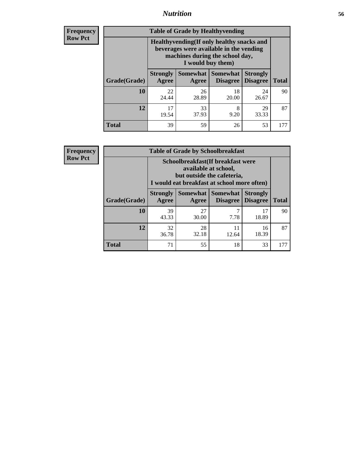## *Nutrition* **56**

**Frequency Row Pct**

| <b>Table of Grade by Healthyvending</b> |                                                                                                                                               |                          |                                    |                                    |              |  |
|-----------------------------------------|-----------------------------------------------------------------------------------------------------------------------------------------------|--------------------------|------------------------------------|------------------------------------|--------------|--|
|                                         | Healthyvending (If only healthy snacks and<br>beverages were available in the vending<br>machines during the school day,<br>I would buy them) |                          |                                    |                                    |              |  |
| Grade(Grade)                            | <b>Strongly</b><br>Agree                                                                                                                      | <b>Somewhat</b><br>Agree | <b>Somewhat</b><br><b>Disagree</b> | <b>Strongly</b><br><b>Disagree</b> | <b>Total</b> |  |
| 10                                      | 22<br>24.44                                                                                                                                   | 26<br>28.89              | 18<br>20.00                        | 24<br>26.67                        | 90           |  |
| 12                                      | 17<br>19.54                                                                                                                                   | 33<br>37.93              | 8<br>9.20                          | 29<br>33.33                        | 87           |  |
| <b>Total</b>                            | 39                                                                                                                                            | 59                       | 26                                 | 53                                 | 177          |  |

**Frequency Row Pct**

| <b>Table of Grade by Schoolbreakfast</b> |                                                                                                                                        |             |                     |                                        |              |  |
|------------------------------------------|----------------------------------------------------------------------------------------------------------------------------------------|-------------|---------------------|----------------------------------------|--------------|--|
|                                          | Schoolbreakfast(If breakfast were<br>available at school,<br>but outside the cafeteria,<br>I would eat breakfast at school more often) |             |                     |                                        |              |  |
| Grade(Grade)                             | <b>Strongly</b><br>Agree                                                                                                               | Agree       | Somewhat   Somewhat | <b>Strongly</b><br>Disagree   Disagree | <b>Total</b> |  |
| <b>10</b>                                | 39<br>43.33                                                                                                                            | 27<br>30.00 | 7<br>7.78           | 17<br>18.89                            | 90           |  |
| 12                                       | 32<br>36.78                                                                                                                            | 28<br>32.18 | 11<br>12.64         | 16<br>18.39                            | 87           |  |
| <b>Total</b>                             | 71                                                                                                                                     | 55          | 18                  | 33                                     | 177          |  |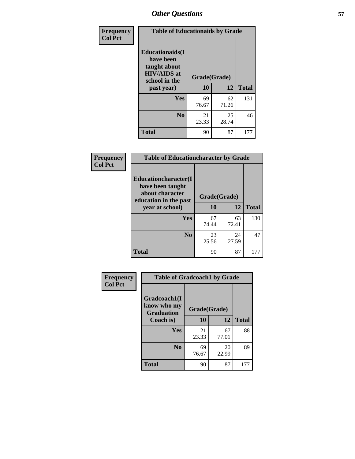| Frequency<br><b>Col Pct</b> | <b>Table of Educationaids by Grade</b>                                                                    |                    |             |              |
|-----------------------------|-----------------------------------------------------------------------------------------------------------|--------------------|-------------|--------------|
|                             | <b>Educationaids</b> (I<br>have been<br>taught about<br><b>HIV/AIDS</b> at<br>school in the<br>past year) | Grade(Grade)<br>10 | 12          | <b>Total</b> |
|                             | <b>Yes</b>                                                                                                | 69<br>76.67        | 62<br>71.26 | 131          |
|                             | N <sub>0</sub>                                                                                            | 21<br>23.33        | 25<br>28.74 | 46           |
|                             | <b>Total</b>                                                                                              | 90                 | 87          | 177          |

| Frequency<br><b>Col Pct</b> | <b>Table of Educationcharacter by Grade</b> |              |             |              |  |
|-----------------------------|---------------------------------------------|--------------|-------------|--------------|--|
|                             | Educationcharacter(I<br>have been taught    |              |             |              |  |
|                             | about character<br>education in the past    | Grade(Grade) |             |              |  |
|                             | year at school)                             | 10           | 12          | <b>Total</b> |  |
|                             | Yes                                         | 67<br>74.44  | 63<br>72.41 | 130          |  |
|                             | N <sub>0</sub>                              | 23<br>25.56  | 24<br>27.59 | 47           |  |
|                             | <b>Total</b>                                | 90           | 87          | 177          |  |

| Frequency      | <b>Table of Gradcoach1 by Grade</b>              |              |             |              |
|----------------|--------------------------------------------------|--------------|-------------|--------------|
| <b>Col Pct</b> | Gradcoach1(I<br>know who my<br><b>Graduation</b> | Grade(Grade) |             |              |
|                | Coach is)                                        | 10           | 12          | <b>Total</b> |
|                | Yes                                              | 21<br>23.33  | 67<br>77.01 | 88           |
|                | N <sub>0</sub>                                   | 69<br>76.67  | 20<br>22.99 | 89           |
|                | <b>Total</b>                                     | 90           | 87          | 177          |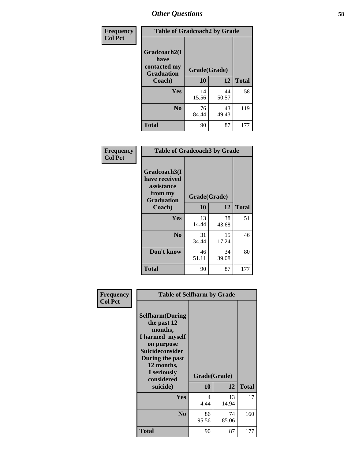| Frequency      | <b>Table of Gradcoach2 by Grade</b> |              |             |              |
|----------------|-------------------------------------|--------------|-------------|--------------|
| <b>Col Pct</b> |                                     |              |             |              |
|                | Gradcoach2(I<br>have                |              |             |              |
|                | contacted my<br><b>Graduation</b>   | Grade(Grade) |             |              |
|                | Coach)                              | 10           | 12          | <b>Total</b> |
|                | Yes                                 | 14<br>15.56  | 44<br>50.57 | 58           |
|                | N <sub>0</sub>                      | 76<br>84.44  | 43<br>49.43 | 119          |
|                | <b>Total</b>                        | 90           | 87          | 177          |

| <b>Frequency</b><br><b>Col Pct</b> |                                                                             | <b>Table of Gradcoach3 by Grade</b> |             |              |  |
|------------------------------------|-----------------------------------------------------------------------------|-------------------------------------|-------------|--------------|--|
|                                    | Gradcoach3(I<br>have received<br>assistance<br>from my<br><b>Graduation</b> | Grade(Grade)                        |             |              |  |
|                                    | Coach)                                                                      | 10                                  | 12          | <b>Total</b> |  |
|                                    | Yes                                                                         | 13<br>14.44                         | 38<br>43.68 | 51           |  |
|                                    | N <sub>0</sub>                                                              | 31<br>34.44                         | 15<br>17.24 | 46           |  |
|                                    | Don't know                                                                  | 46<br>51.11                         | 34<br>39.08 | 80           |  |
|                                    | <b>Total</b>                                                                | 90                                  | 87          | 177          |  |

| Frequency      | <b>Table of Selfharm by Grade</b>                                                                                                                                               |             |                    |              |
|----------------|---------------------------------------------------------------------------------------------------------------------------------------------------------------------------------|-------------|--------------------|--------------|
| <b>Col Pct</b> | <b>Selfharm</b> (During<br>the past 12<br>months,<br>I harmed myself<br>on purpose<br>Suicideconsider<br>During the past<br>12 months,<br>I seriously<br>considered<br>suicide) | 10          | Grade(Grade)<br>12 | <b>Total</b> |
|                | Yes                                                                                                                                                                             | 4<br>4.44   | 13<br>14.94        | 17           |
|                | N <sub>0</sub>                                                                                                                                                                  | 86<br>95.56 | 74<br>85.06        | 160          |
|                | Total                                                                                                                                                                           | 90          | 87                 | 177          |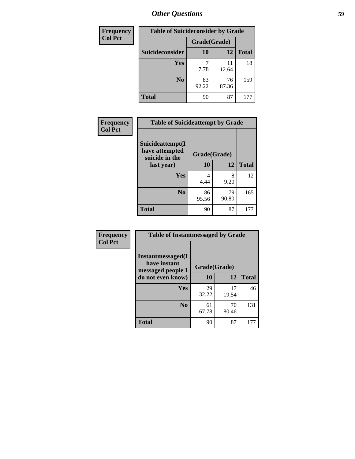| <b>Frequency</b> | <b>Table of Suicideconsider by Grade</b> |              |             |              |
|------------------|------------------------------------------|--------------|-------------|--------------|
| <b>Col Pct</b>   |                                          | Grade(Grade) |             |              |
|                  | Suicideconsider                          | <b>10</b>    | 12          | <b>Total</b> |
|                  | Yes                                      | 7.78         | 11<br>12.64 | 18           |
|                  | N <sub>0</sub>                           | 83<br>92.22  | 76<br>87.36 | 159          |
|                  | <b>Total</b>                             | 90           | 87          | 177          |

| Frequency      | <b>Table of Suicideattempt by Grade</b>              |              |             |              |
|----------------|------------------------------------------------------|--------------|-------------|--------------|
| <b>Col Pct</b> | Suicideattempt(I<br>have attempted<br>suicide in the | Grade(Grade) |             |              |
|                | last year)                                           | 10           | 12          | <b>Total</b> |
|                | Yes                                                  | 4<br>4.44    | 8<br>9.20   | 12           |
|                | N <sub>0</sub>                                       | 86<br>95.56  | 79<br>90.80 | 165          |
|                | <b>Total</b>                                         | 90           | 87          | 177          |

| Frequency      | <b>Table of Instantmessaged by Grade</b>                       |              |             |              |
|----------------|----------------------------------------------------------------|--------------|-------------|--------------|
| <b>Col Pct</b> | <b>Instantmessaged</b> (I<br>have instant<br>messaged people I | Grade(Grade) |             |              |
|                | do not even know)                                              | 10           | 12          | <b>Total</b> |
|                | Yes                                                            | 29<br>32.22  | 17<br>19.54 | 46           |
|                | N <sub>0</sub>                                                 | 61<br>67.78  | 70<br>80.46 | 131          |
|                | <b>Total</b>                                                   | 90           | 87          | 177          |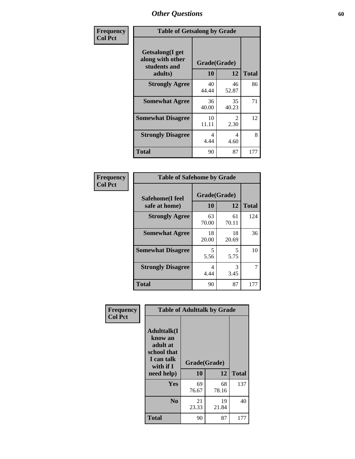| Frequency      | <b>Table of Getsalong by Grade</b>                          |              |             |              |
|----------------|-------------------------------------------------------------|--------------|-------------|--------------|
| <b>Col Pct</b> | <b>Getsalong</b> (I get<br>along with other<br>students and | Grade(Grade) |             |              |
|                | adults)                                                     | 10           | 12          | <b>Total</b> |
|                | <b>Strongly Agree</b>                                       | 40<br>44.44  | 46<br>52.87 | 86           |
|                | <b>Somewhat Agree</b>                                       | 36<br>40.00  | 35<br>40.23 | 71           |
|                | <b>Somewhat Disagree</b>                                    | 10<br>11.11  | 2<br>2.30   | 12           |
|                | <b>Strongly Disagree</b>                                    | 4<br>4.44    | 4<br>4.60   | 8            |
|                | <b>Total</b>                                                | 90           | 87          | 177          |

| Frequency      | <b>Table of Safehome by Grade</b> |                        |             |                |
|----------------|-----------------------------------|------------------------|-------------|----------------|
| <b>Col Pct</b> | Safehome(I feel<br>safe at home)  | Grade(Grade)<br>10     | 12          | <b>Total</b>   |
|                | <b>Strongly Agree</b>             | 63<br>70.00            | 61<br>70.11 | 124            |
|                | <b>Somewhat Agree</b>             | 18<br>20.00            | 18<br>20.69 | 36             |
|                | <b>Somewhat Disagree</b>          | 5<br>5.56              | 5<br>5.75   | 10             |
|                | <b>Strongly Disagree</b>          | $\overline{4}$<br>4.44 | 3<br>3.45   | $\overline{7}$ |
|                | <b>Total</b>                      | 90                     | 87          | 177            |

| Frequency      |                                                                                                   | <b>Table of Adulttalk by Grade</b> |             |              |
|----------------|---------------------------------------------------------------------------------------------------|------------------------------------|-------------|--------------|
| <b>Col Pct</b> | <b>Adulttalk(I</b><br>know an<br>adult at<br>school that<br>I can talk<br>with if I<br>need help) | Grade(Grade)<br>10                 | 12          | <b>Total</b> |
|                | <b>Yes</b>                                                                                        | 69<br>76.67                        | 68<br>78.16 | 137          |
|                | N <sub>0</sub>                                                                                    | 21<br>23.33                        | 19<br>21.84 | 40           |
|                | <b>Total</b>                                                                                      | 90                                 | 87          | 177          |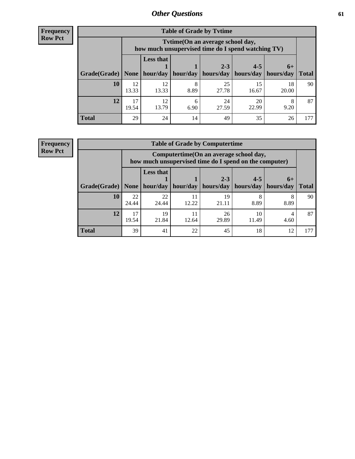**Frequency Row Pct**

| <b>Table of Grade by Tvtime</b> |             |                                                                                         |           |             |             |             |              |  |  |
|---------------------------------|-------------|-----------------------------------------------------------------------------------------|-----------|-------------|-------------|-------------|--------------|--|--|
|                                 |             | Tvtime (On an average school day,<br>how much unsupervised time do I spend watching TV) |           |             |             |             |              |  |  |
|                                 |             | <b>Less that</b>                                                                        |           | $2 - 3$     | $4 - 5$     | $6+$        |              |  |  |
| Grade(Grade)   None             |             | hour/day                                                                                | hour/day  | hours/day   | hours/day   | hours/day   | <b>Total</b> |  |  |
| 10                              | 12<br>13.33 | 12<br>13.33                                                                             | 8<br>8.89 | 25<br>27.78 | 15<br>16.67 | 18<br>20.00 | 90           |  |  |
| 12                              | 17<br>19.54 | 12<br>13.79                                                                             | 6.90      | 24<br>27.59 | 20<br>22.99 | 8<br>9.20   | 87           |  |  |
| <b>Total</b>                    | 29          | 24                                                                                      | 14        | 49          | 35          | 26          |              |  |  |

**Frequency Row Pct**

| <b>Table of Grade by Computertime</b> |             |                                                                                                   |                     |                      |                      |                   |              |  |  |
|---------------------------------------|-------------|---------------------------------------------------------------------------------------------------|---------------------|----------------------|----------------------|-------------------|--------------|--|--|
|                                       |             | Computertime (On an average school day,<br>how much unsupervised time do I spend on the computer) |                     |                      |                      |                   |              |  |  |
| Grade(Grade)                          | None        | <b>Less that</b>                                                                                  | hour/day   hour/day | $2 - 3$<br>hours/day | $4 - 5$<br>hours/day | $6+$<br>hours/day | <b>Total</b> |  |  |
|                                       |             |                                                                                                   |                     |                      |                      |                   |              |  |  |
| 10                                    | 22<br>24.44 | 22<br>24.44                                                                                       | 11<br>12.22         | 19<br>21.11          | 8.89                 | 8.89              | 90           |  |  |
| 12                                    | 17<br>19.54 | 19<br>11<br>26<br>10<br>21.84<br>29.89<br>11.49<br>12.64<br>4.60                                  |                     |                      |                      |                   |              |  |  |
| <b>Total</b>                          | 39          | 41                                                                                                | 22                  | 45                   | 18                   | 12                | 177          |  |  |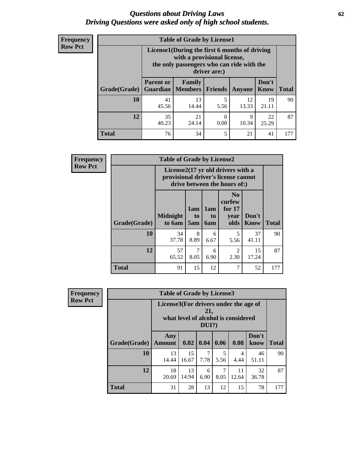#### *Questions about Driving Laws* **62** *Driving Questions were asked only of high school students.*

| <b>Frequency</b> |
|------------------|
| <b>Row Pct</b>   |

| <b>Table of Grade by License1</b> |                                                                      |                                                                                                                                           |           |             |               |              |  |  |  |
|-----------------------------------|----------------------------------------------------------------------|-------------------------------------------------------------------------------------------------------------------------------------------|-----------|-------------|---------------|--------------|--|--|--|
|                                   |                                                                      | License1(During the first 6 months of driving<br>with a provisional license,<br>the only passengers who can ride with the<br>driver are:) |           |             |               |              |  |  |  |
| Grade(Grade)                      | <b>Parent or</b>                                                     | Family<br><b>Guardian</b>   Members                                                                                                       | Friends   | Anyone      | Don't<br>Know | <b>Total</b> |  |  |  |
| 10                                | 41<br>45.56                                                          | 13<br>14.44                                                                                                                               | 5<br>5.56 | 12<br>13.33 | 19<br>21.11   | 90           |  |  |  |
| 12                                | 35<br>22<br>21<br>9<br>0<br>10.34<br>40.23<br>24.14<br>25.29<br>0.00 |                                                                                                                                           |           |             |               |              |  |  |  |
| Total                             | 76                                                                   | 34                                                                                                                                        | 5         | 21          | 41            |              |  |  |  |

| <b>Frequency</b> |                     | <b>Table of Grade by License2</b> |                                                                                                          |                                     |                                                      |                      |              |  |  |
|------------------|---------------------|-----------------------------------|----------------------------------------------------------------------------------------------------------|-------------------------------------|------------------------------------------------------|----------------------|--------------|--|--|
| <b>Row Pct</b>   |                     |                                   | License2(17 yr old drivers with a<br>provisional driver's license cannot<br>drive between the hours of:) |                                     |                                                      |                      |              |  |  |
|                  | <b>Grade(Grade)</b> | <b>Midnight</b><br>to 6am         | 1am<br>t <sub>0</sub><br>5am                                                                             | 1am<br>t <sub>0</sub><br><b>6am</b> | N <sub>0</sub><br>curfew<br>for $17$<br>year<br>olds | Don't<br><b>Know</b> | <b>Total</b> |  |  |
|                  | 10                  | 34<br>37.78                       | 8<br>8.89                                                                                                | 6<br>6.67                           | 5<br>5.56                                            | 37<br>41.11          | 90           |  |  |
|                  | 12                  | 57<br>65.52                       | 7<br>8.05                                                                                                | 6<br>6.90                           | $\overline{2}$<br>2.30                               | 15<br>17.24          | 87           |  |  |
|                  | <b>Total</b>        | 91                                | 15                                                                                                       | 12                                  | 7                                                    | 52                   | 177          |  |  |

| Frequency      | <b>Table of Grade by License3</b> |                                       |             |                 |           |                                     |               |              |
|----------------|-----------------------------------|---------------------------------------|-------------|-----------------|-----------|-------------------------------------|---------------|--------------|
| <b>Row Pct</b> |                                   | License3(For drivers under the age of |             | 21,<br>$DUI$ ?) |           | what level of alcohol is considered |               |              |
|                | Grade(Grade)                      | Any<br><b>Amount</b>                  | 0.02        | 0.04            | 0.06      | 0.08                                | Don't<br>know | <b>Total</b> |
|                | 10                                | 13<br>14.44                           | 15<br>16.67 | 7<br>7.78       | 5<br>5.56 | 4<br>4.44                           | 46<br>51.11   | 90           |
|                | 12                                | 18<br>20.69                           | 13<br>14.94 | 6<br>6.90       | 7<br>8.05 | 11<br>12.64                         | 32<br>36.78   | 87           |
|                | <b>Total</b>                      | 31                                    | 28          | 13              | 12        | 15                                  | 78            | 177          |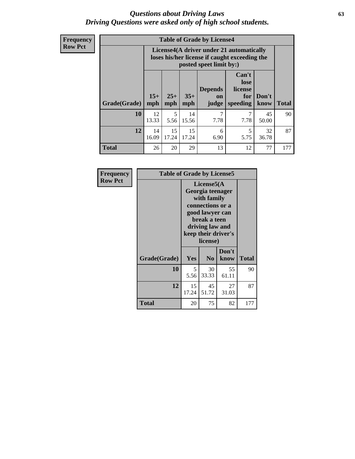#### *Questions about Driving Laws* **63** *Driving Questions were asked only of high school students.*

**Frequency Row Pct**

| <b>Table of Grade by License4</b> |              |                                                                                                                                               |             |           |           |             |     |  |
|-----------------------------------|--------------|-----------------------------------------------------------------------------------------------------------------------------------------------|-------------|-----------|-----------|-------------|-----|--|
|                                   |              | License4(A driver under 21 automatically<br>loses his/her license if caught exceeding the<br>posted speet limit by:)                          |             |           |           |             |     |  |
| Grade(Grade)                      | $15+$<br>mph | Can't<br>lose<br><b>Depends</b><br>license<br>$25+$<br>$35+$<br>Don't<br>for<br>on<br><b>Total</b><br>mph<br>speeding<br>know<br>mph<br>judge |             |           |           |             |     |  |
| 10                                | 12<br>13.33  | 5<br>5.56                                                                                                                                     | 14<br>15.56 | 7<br>7.78 | 7.78      | 45<br>50.00 | 90  |  |
| 12                                | 14<br>16.09  | 15<br>17.24                                                                                                                                   | 15<br>17.24 | 6<br>6.90 | 5<br>5.75 | 32<br>36.78 | 87  |  |
| <b>Total</b>                      | 26           | 20                                                                                                                                            | 29          | 13        | 12        | 77          | 177 |  |

| Frequency      |              | <b>Table of Grade by License5</b> |                                                                                                                                      |                     |       |  |  |
|----------------|--------------|-----------------------------------|--------------------------------------------------------------------------------------------------------------------------------------|---------------------|-------|--|--|
| <b>Row Pct</b> |              |                                   | License5(A)<br>Georgia teenager<br>with family<br>connections or a<br>good lawyer can<br>break a teen<br>driving law and<br>license) | keep their driver's |       |  |  |
|                | Grade(Grade) | Yes                               | N <sub>0</sub>                                                                                                                       | Don't<br>know       | Total |  |  |
|                | 10           | 5<br>5.56                         | 30<br>33.33                                                                                                                          | 55<br>61.11         | 90    |  |  |
|                | 12           | 15<br>17.24                       | 45<br>51.72                                                                                                                          | 27<br>31.03         | 87    |  |  |
|                | Total        | 20                                | 75                                                                                                                                   | 82                  | 177   |  |  |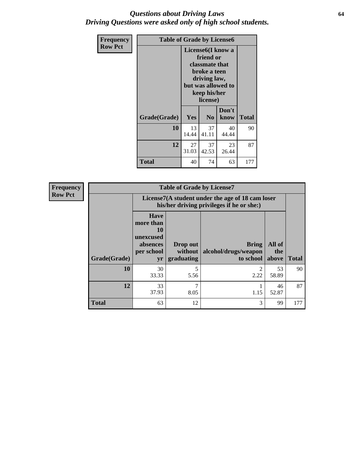### *Questions about Driving Laws* **64** *Driving Questions were asked only of high school students.*

| <b>Frequency</b> | <b>Table of Grade by License6</b> |             |                                                                                                                           |                    |              |  |
|------------------|-----------------------------------|-------------|---------------------------------------------------------------------------------------------------------------------------|--------------------|--------------|--|
| <b>Row Pct</b>   |                                   |             | License <sub>6</sub> (I know a<br>friend or<br>classmate that<br>broke a teen<br>driving law,<br>keep his/her<br>license) | but was allowed to |              |  |
|                  | Grade(Grade)                      | <b>Yes</b>  | N <sub>0</sub>                                                                                                            | Don't<br>know      | <b>Total</b> |  |
|                  | 10                                | 13<br>14.44 | 37<br>41.11                                                                                                               | 40<br>44.44        | 90           |  |
|                  | 12                                | 27<br>31.03 | 37<br>42.53                                                                                                               | 23<br>26.44        | 87           |  |
|                  | <b>Total</b>                      | 40          | 74                                                                                                                        | 63                 | 177          |  |

| <b>Frequency</b> | <b>Table of Grade by License7</b> |                                                                             |                                     |                                                                                               |                        |              |  |  |
|------------------|-----------------------------------|-----------------------------------------------------------------------------|-------------------------------------|-----------------------------------------------------------------------------------------------|------------------------|--------------|--|--|
| <b>Row Pct</b>   |                                   |                                                                             |                                     | License7(A student under the age of 18 cam loser<br>his/her driving privileges if he or she:) |                        |              |  |  |
|                  | Grade(Grade)                      | <b>Have</b><br>more than<br>10<br>unexcused<br>absences<br>per school<br>yr | Drop out<br>without  <br>graduating | <b>Bring</b><br>alcohol/drugs/weapon<br>to school                                             | All of<br>the<br>above | <b>Total</b> |  |  |
|                  | <b>10</b>                         | 30<br>33.33                                                                 | 5<br>5.56                           | $\mathfrak{D}$<br>2.22                                                                        | 53<br>58.89            | 90           |  |  |
|                  | 12                                | 33<br>37.93                                                                 | $\overline{7}$<br>8.05              | 1.15                                                                                          | 46<br>52.87            | 87           |  |  |
|                  | <b>Total</b>                      | 63                                                                          | 12                                  | 3                                                                                             | 99                     | 177          |  |  |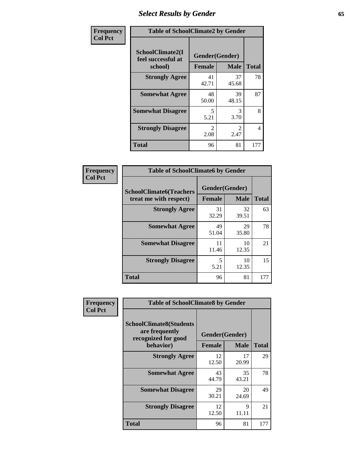# *Select Results by Gender* **65**

| Frequency      | <b>Table of SchoolClimate2 by Gender</b>          |                                 |                       |                |  |
|----------------|---------------------------------------------------|---------------------------------|-----------------------|----------------|--|
| <b>Col Pct</b> | SchoolClimate2(I<br>feel successful at<br>school) | Gender(Gender)<br><b>Female</b> | <b>Male</b>           | <b>Total</b>   |  |
|                | <b>Strongly Agree</b>                             | 41<br>42.71                     | 37<br>45.68           | 78             |  |
|                | <b>Somewhat Agree</b>                             | 48<br>50.00                     | 39<br>48.15           | 87             |  |
|                | <b>Somewhat Disagree</b>                          | 5<br>5.21                       | $\mathcal{R}$<br>3.70 | 8              |  |
|                | <b>Strongly Disagree</b>                          | $\mathcal{L}$<br>2.08           | $\mathcal{L}$<br>2.47 | $\overline{4}$ |  |
|                | <b>Total</b>                                      | 96                              | 81                    | 177            |  |

| Frequency      | <b>Table of SchoolClimate6 by Gender</b>                 |                                 |             |              |  |
|----------------|----------------------------------------------------------|---------------------------------|-------------|--------------|--|
| <b>Col Pct</b> | <b>SchoolClimate6(Teachers</b><br>treat me with respect) | Gender(Gender)<br><b>Female</b> | <b>Male</b> | <b>Total</b> |  |
|                | <b>Strongly Agree</b>                                    | 31<br>32.29                     | 32<br>39.51 | 63           |  |
|                | <b>Somewhat Agree</b>                                    | 49<br>51.04                     | 29<br>35.80 | 78           |  |
|                | <b>Somewhat Disagree</b>                                 | 11<br>11.46                     | 10<br>12.35 | 21           |  |
|                | <b>Strongly Disagree</b>                                 | 5<br>5.21                       | 10<br>12.35 | 15           |  |
|                | Total                                                    | 96                              | 81          | 177          |  |

| Frequency      | <b>Table of SchoolClimate8 by Gender</b>                                             |                                 |             |              |
|----------------|--------------------------------------------------------------------------------------|---------------------------------|-------------|--------------|
| <b>Col Pct</b> | <b>SchoolClimate8(Students</b><br>are frequently<br>recognized for good<br>behavior) | Gender(Gender)<br><b>Female</b> | <b>Male</b> | <b>Total</b> |
|                |                                                                                      |                                 |             |              |
|                | <b>Strongly Agree</b>                                                                | 12<br>12.50                     | 17<br>20.99 | 29           |
|                | <b>Somewhat Agree</b>                                                                | 43<br>44.79                     | 35<br>43.21 | 78           |
|                | <b>Somewhat Disagree</b>                                                             | 29<br>30.21                     | 20<br>24.69 | 49           |
|                | <b>Strongly Disagree</b>                                                             | 12<br>12.50                     | 9<br>11.11  | 21           |
|                | Total                                                                                | 96                              | 81          | 177          |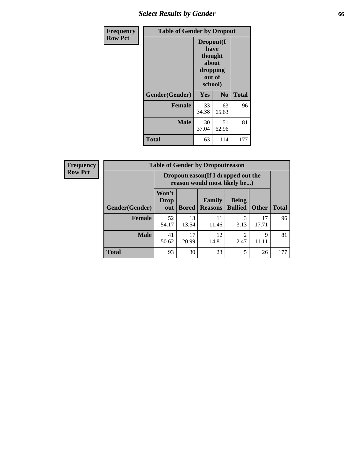# *Select Results by Gender* **66**

| Frequency      | <b>Table of Gender by Dropout</b> |                                                                        |                |              |
|----------------|-----------------------------------|------------------------------------------------------------------------|----------------|--------------|
| <b>Row Pct</b> |                                   | Dropout(I<br>have<br>thought<br>about<br>dropping<br>out of<br>school) |                |              |
|                | Gender(Gender)                    | Yes                                                                    | N <sub>0</sub> | <b>Total</b> |
|                | <b>Female</b>                     | 33<br>34.38                                                            | 63<br>65.63    | 96           |
|                | <b>Male</b>                       | 30<br>37.04                                                            | 51<br>62.96    | 81           |
|                | <b>Total</b>                      | 63                                                                     | 114            | 177          |

| <b>Frequency</b> | <b>Table of Gender by Dropoutreason</b> |                                                                    |              |                                 |                                |              |              |
|------------------|-----------------------------------------|--------------------------------------------------------------------|--------------|---------------------------------|--------------------------------|--------------|--------------|
| <b>Row Pct</b>   |                                         | Dropoutreason(If I dropped out the<br>reason would most likely be) |              |                                 |                                |              |              |
|                  | Gender(Gender)                          | Won't<br><b>Drop</b><br>out                                        | <b>Bored</b> | <b>Family</b><br><b>Reasons</b> | <b>Being</b><br><b>Bullied</b> | <b>Other</b> | <b>Total</b> |
|                  | <b>Female</b>                           | 52<br>54.17                                                        | 13<br>13.54  | 11<br>11.46                     | 3<br>3.13                      | 17<br>17.71  | 96           |
|                  | <b>Male</b>                             | 41<br>50.62                                                        | 17<br>20.99  | 12<br>14.81                     | 2.47                           | 9<br>11.11   | 81           |
|                  | <b>Total</b>                            | 93                                                                 | 30           | 23                              | 5                              | 26           | 177          |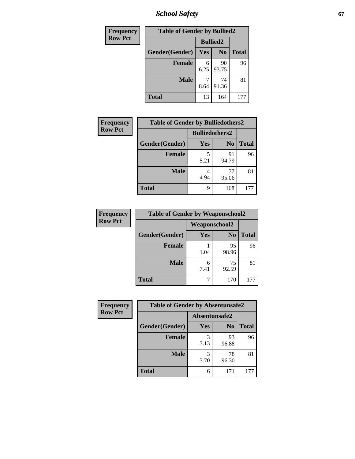*School Safety* **67**

| Frequency      | <b>Table of Gender by Bullied2</b> |                 |                |              |
|----------------|------------------------------------|-----------------|----------------|--------------|
| <b>Row Pct</b> |                                    | <b>Bullied2</b> |                |              |
|                | Gender(Gender)                     | <b>Yes</b>      | N <sub>0</sub> | <b>Total</b> |
|                | <b>Female</b>                      | 6<br>6.25       | 90<br>93.75    | 96           |
|                | <b>Male</b>                        | 8.64            | 74<br>91.36    | 81           |
|                | <b>Total</b>                       | 13              | 164            | 177          |

| <b>Frequency</b> | <b>Table of Gender by Bulliedothers2</b> |                       |                |              |
|------------------|------------------------------------------|-----------------------|----------------|--------------|
| <b>Row Pct</b>   |                                          | <b>Bulliedothers2</b> |                |              |
|                  | Gender(Gender)                           | Yes                   | N <sub>0</sub> | <b>Total</b> |
|                  | <b>Female</b>                            | 5.21                  | 91<br>94.79    | 96           |
|                  | <b>Male</b>                              | 4.94                  | 77<br>95.06    | 81           |
|                  | <b>Total</b>                             | q                     | 168            | 177          |

| Frequency      | <b>Table of Gender by Weaponschool2</b> |                      |                |              |
|----------------|-----------------------------------------|----------------------|----------------|--------------|
| <b>Row Pct</b> |                                         | <b>Weaponschool2</b> |                |              |
|                | Gender(Gender)                          | Yes                  | N <sub>0</sub> | <b>Total</b> |
|                | <b>Female</b>                           | 1.04                 | 95<br>98.96    | 96           |
|                | <b>Male</b>                             | 6<br>7.41            | 75<br>92.59    | 81           |
|                | <b>Total</b>                            |                      | 170            | 177          |

| Frequency      | <b>Table of Gender by Absentunsafe2</b> |               |                |              |  |
|----------------|-----------------------------------------|---------------|----------------|--------------|--|
| <b>Row Pct</b> |                                         | Absentunsafe2 |                |              |  |
|                | Gender(Gender)                          | Yes           | N <sub>0</sub> | <b>Total</b> |  |
|                | <b>Female</b>                           | 3.13          | 93<br>96.88    | 96           |  |
|                | <b>Male</b>                             | 3.70          | 78<br>96.30    | 81           |  |
|                | <b>Total</b>                            | 6             | 171            | 177          |  |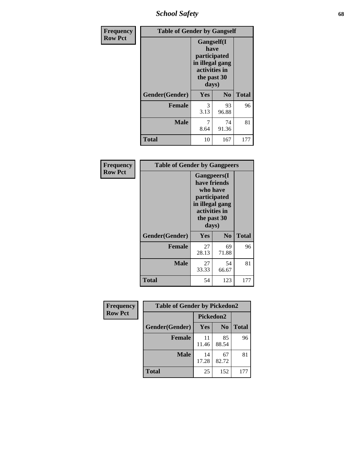*School Safety* **68**

| Frequency      | <b>Table of Gender by Gangself</b> |                                                                                                |                |              |
|----------------|------------------------------------|------------------------------------------------------------------------------------------------|----------------|--------------|
| <b>Row Pct</b> |                                    | Gangself(I<br>have<br>participated<br>in illegal gang<br>activities in<br>the past 30<br>days) |                |              |
|                | Gender(Gender)                     | Yes                                                                                            | N <sub>0</sub> | <b>Total</b> |
|                | <b>Female</b>                      | 3<br>3.13                                                                                      | 93<br>96.88    | 96           |
|                | <b>Male</b>                        | 7<br>8.64                                                                                      | 74<br>91.36    | 81           |
|                | <b>Total</b>                       | 10                                                                                             | 167            | 177          |

| Frequency      |                | <b>Table of Gender by Gangpeers</b>                                                                                         |                |              |
|----------------|----------------|-----------------------------------------------------------------------------------------------------------------------------|----------------|--------------|
| <b>Row Pct</b> |                | <b>Gangpeers</b> (I<br>have friends<br>who have<br>participated<br>in illegal gang<br>activities in<br>the past 30<br>days) |                |              |
|                | Gender(Gender) | Yes                                                                                                                         | N <sub>0</sub> | <b>Total</b> |
|                | <b>Female</b>  | 27<br>28.13                                                                                                                 | 69<br>71.88    | 96           |
|                | <b>Male</b>    | 27<br>33.33                                                                                                                 | 54<br>66.67    | 81           |
|                | Total          | 54                                                                                                                          | 123            | 177          |

| Frequency      | <b>Table of Gender by Pickedon2</b> |             |                |              |
|----------------|-------------------------------------|-------------|----------------|--------------|
| <b>Row Pct</b> |                                     | Pickedon2   |                |              |
|                | Gender(Gender)                      | Yes         | N <sub>0</sub> | <b>Total</b> |
|                | <b>Female</b>                       | 11<br>11.46 | 85<br>88.54    | 96           |
|                | <b>Male</b>                         | 14<br>17.28 | 67<br>82.72    | 81           |
|                | <b>Total</b>                        | 25          | 152            | 177          |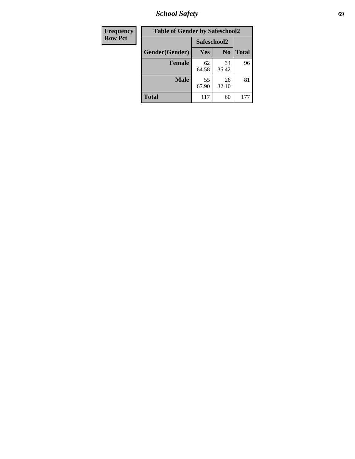*School Safety* **69**

| Frequency      | <b>Table of Gender by Safeschool2</b> |             |                |              |  |
|----------------|---------------------------------------|-------------|----------------|--------------|--|
| <b>Row Pct</b> |                                       | Safeschool2 |                |              |  |
|                | Gender(Gender)                        | Yes         | N <sub>0</sub> | <b>Total</b> |  |
|                | <b>Female</b>                         | 62<br>64.58 | 34<br>35.42    | 96           |  |
|                | <b>Male</b>                           | 55<br>67.90 | 26<br>32.10    | 81           |  |
|                | <b>Total</b>                          | 117         | 60             | 177          |  |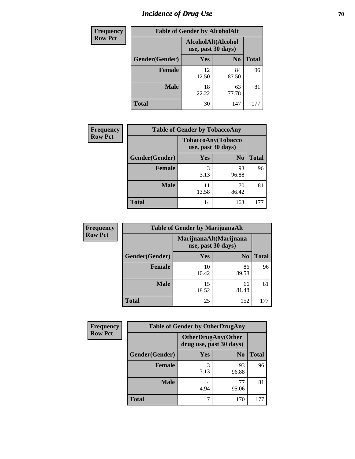# *Incidence of Drug Use* **70**

| <b>Frequency</b> |                | <b>Table of Gender by AlcoholAlt</b>     |                |              |
|------------------|----------------|------------------------------------------|----------------|--------------|
| <b>Row Pct</b>   |                | AlcoholAlt(Alcohol<br>use, past 30 days) |                |              |
|                  | Gender(Gender) | <b>Yes</b>                               | N <sub>0</sub> | <b>Total</b> |
|                  | <b>Female</b>  | 12<br>12.50                              | 84<br>87.50    | 96           |
|                  | <b>Male</b>    | 18<br>22.22                              | 63<br>77.78    | 81           |
|                  | <b>Total</b>   | 30                                       | 147            | 177          |

| <b>Frequency</b> | <b>Table of Gender by TobaccoAny</b> |                    |                    |              |  |
|------------------|--------------------------------------|--------------------|--------------------|--------------|--|
| <b>Row Pct</b>   |                                      | use, past 30 days) | TobaccoAny(Tobacco |              |  |
|                  | Gender(Gender)                       | Yes                | N <sub>0</sub>     | <b>Total</b> |  |
|                  | <b>Female</b>                        | 3<br>3.13          | 93<br>96.88        | 96           |  |
|                  | <b>Male</b>                          | 11<br>13.58        | 70<br>86.42        | 81           |  |
|                  | <b>Total</b>                         | 14                 | 163                |              |  |

| <b>Frequency</b> |                | <b>Table of Gender by MarijuanaAlt</b> |                        |              |
|------------------|----------------|----------------------------------------|------------------------|--------------|
| <b>Row Pct</b>   |                | use, past 30 days)                     | MarijuanaAlt(Marijuana |              |
|                  | Gender(Gender) | <b>Yes</b>                             | N <sub>0</sub>         | <b>Total</b> |
|                  | Female         | 10<br>10.42                            | 86<br>89.58            | 96           |
|                  | <b>Male</b>    | 15<br>18.52                            | 66<br>81.48            | 81           |
|                  | <b>Total</b>   | 25                                     | 152                    | 177          |

| <b>Frequency</b> | <b>Table of Gender by OtherDrugAny</b> |                                                      |                |              |  |
|------------------|----------------------------------------|------------------------------------------------------|----------------|--------------|--|
| <b>Row Pct</b>   |                                        | <b>OtherDrugAny(Other</b><br>drug use, past 30 days) |                |              |  |
|                  | Gender(Gender)                         | <b>Yes</b>                                           | N <sub>0</sub> | <b>Total</b> |  |
|                  | <b>Female</b>                          | 3<br>3.13                                            | 93<br>96.88    | 96           |  |
|                  | <b>Male</b>                            | 4<br>4.94                                            | 77<br>95.06    | 81           |  |
|                  | <b>Total</b>                           | 7                                                    | 170            | 177          |  |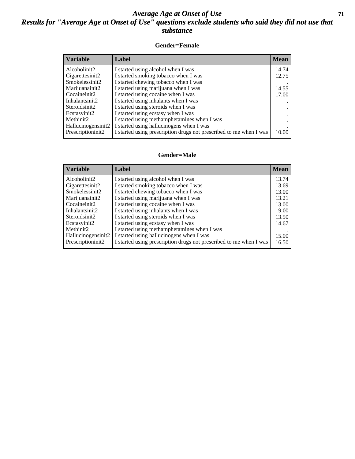### *Average Age at Onset of Use* **71** *Results for "Average Age at Onset of Use" questions exclude students who said they did not use that substance*

#### **Gender=Female**

| <b>Variable</b>    | <b>Label</b>                                                       | <b>Mean</b> |
|--------------------|--------------------------------------------------------------------|-------------|
| Alcoholinit2       | I started using alcohol when I was                                 | 14.74       |
| Cigarettesinit2    | I started smoking tobacco when I was                               | 12.75       |
| Smokelessinit2     | I started chewing tobacco when I was                               |             |
| Marijuanainit2     | I started using marijuana when I was                               | 14.55       |
| Cocaineinit2       | I started using cocaine when I was                                 | 17.00       |
| Inhalantsinit2     | I started using inhalants when I was                               |             |
| Steroidsinit2      | I started using steroids when I was                                |             |
| Ecstasyinit2       | I started using ecstasy when I was                                 |             |
| Methinit2          | I started using methamphetamines when I was                        |             |
| Hallucinogensinit2 | I started using hallucinogens when I was                           |             |
| Prescription in t2 | I started using prescription drugs not prescribed to me when I was | 10.00       |

#### **Gender=Male**

| <b>Variable</b>    | Label                                                              | <b>Mean</b> |
|--------------------|--------------------------------------------------------------------|-------------|
| Alcoholinit2       | I started using alcohol when I was                                 | 13.74       |
| Cigarettesinit2    | I started smoking tobacco when I was                               | 13.69       |
| Smokelessinit2     | I started chewing tobacco when I was                               | 13.00       |
| Marijuanainit2     | I started using marijuana when I was                               | 13.21       |
| Cocaineinit2       | I started using cocaine when I was                                 | 13.00       |
| Inhalantsinit2     | I started using inhalants when I was                               | 9.00        |
| Steroidsinit2      | I started using steroids when I was                                | 13.50       |
| Ecstasyinit2       | I started using ecstasy when I was                                 | 14.67       |
| Methinit2          | I started using methamphetamines when I was                        |             |
| Hallucinogensinit2 | I started using hallucinogens when I was                           | 15.00       |
| Prescriptioninit2  | I started using prescription drugs not prescribed to me when I was | 16.50       |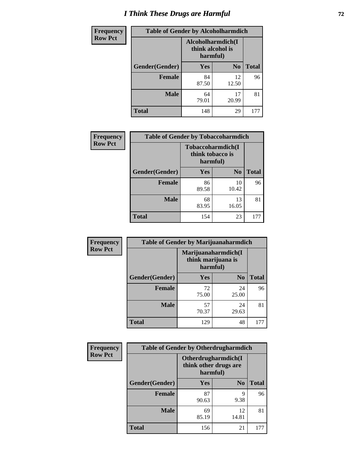# *I Think These Drugs are Harmful* **72**

| <b>Frequency</b> | <b>Table of Gender by Alcoholharmdich</b> |                                                   |                |              |
|------------------|-------------------------------------------|---------------------------------------------------|----------------|--------------|
| <b>Row Pct</b>   |                                           | Alcoholharmdich(I<br>think alcohol is<br>harmful) |                |              |
|                  | Gender(Gender)                            | <b>Yes</b>                                        | N <sub>0</sub> | <b>Total</b> |
|                  | <b>Female</b>                             | 84<br>87.50                                       | 12<br>12.50    | 96           |
|                  | <b>Male</b>                               | 64<br>79.01                                       | 17<br>20.99    | 81           |
|                  | <b>Total</b>                              | 148                                               | 29             | 177          |

| Frequency      | <b>Table of Gender by Tobaccoharmdich</b> |                                                   |                |              |
|----------------|-------------------------------------------|---------------------------------------------------|----------------|--------------|
| <b>Row Pct</b> |                                           | Tobaccoharmdich(I<br>think tobacco is<br>harmful) |                |              |
|                | Gender(Gender)                            | Yes                                               | N <sub>0</sub> | <b>Total</b> |
|                | <b>Female</b>                             | 86<br>89.58                                       | 10<br>10.42    | 96           |
|                | <b>Male</b>                               | 68<br>83.95                                       | 13<br>16.05    | 81           |
|                | <b>Total</b>                              | 154                                               | 23             | 177          |

| Frequency      | <b>Table of Gender by Marijuanaharmdich</b> |                                                       |                |              |  |
|----------------|---------------------------------------------|-------------------------------------------------------|----------------|--------------|--|
| <b>Row Pct</b> |                                             | Marijuanaharmdich(I<br>think marijuana is<br>harmful) |                |              |  |
|                | Gender(Gender)                              | <b>Yes</b>                                            | N <sub>0</sub> | <b>Total</b> |  |
|                | <b>Female</b>                               | 72<br>75.00                                           | 24<br>25.00    | 96           |  |
|                | <b>Male</b>                                 | 57<br>70.37                                           | 24<br>29.63    | 81           |  |
|                | <b>Total</b>                                | 129                                                   | 48             | 177          |  |

| <b>Frequency</b> | <b>Table of Gender by Otherdrugharmdich</b> |                                                          |                |              |  |
|------------------|---------------------------------------------|----------------------------------------------------------|----------------|--------------|--|
| <b>Row Pct</b>   |                                             | Otherdrugharmdich(I<br>think other drugs are<br>harmful) |                |              |  |
|                  | Gender(Gender)                              | <b>Yes</b>                                               | N <sub>0</sub> | <b>Total</b> |  |
|                  | <b>Female</b>                               | 87<br>90.63                                              | 9<br>9.38      | 96           |  |
|                  | <b>Male</b>                                 | 69<br>85.19                                              | 12<br>14.81    | 81           |  |
|                  | <b>Total</b>                                | 156                                                      | 21             | 177          |  |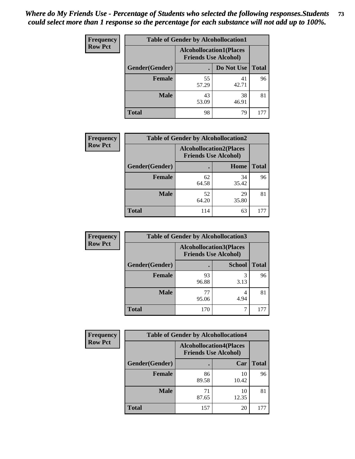| <b>Frequency</b> | <b>Table of Gender by Alcohollocation1</b> |                                                               |             |              |
|------------------|--------------------------------------------|---------------------------------------------------------------|-------------|--------------|
| <b>Row Pct</b>   |                                            | <b>Alcohollocation1(Places</b><br><b>Friends Use Alcohol)</b> |             |              |
|                  | Gender(Gender)                             |                                                               | Do Not Use  | <b>Total</b> |
|                  | <b>Female</b>                              | 55<br>57.29                                                   | 41<br>42.71 | 96           |
|                  | <b>Male</b>                                | 43<br>53.09                                                   | 38<br>46.91 | 81           |
|                  | Total                                      | 98                                                            | 79          | 177          |

| <b>Frequency</b> | <b>Table of Gender by Alcohollocation2</b> |             |                                                               |              |
|------------------|--------------------------------------------|-------------|---------------------------------------------------------------|--------------|
| <b>Row Pct</b>   |                                            |             | <b>Alcohollocation2(Places</b><br><b>Friends Use Alcohol)</b> |              |
|                  | Gender(Gender)                             |             | Home                                                          | <b>Total</b> |
|                  | <b>Female</b>                              | 62<br>64.58 | 34<br>35.42                                                   | 96           |
|                  | <b>Male</b>                                | 52<br>64.20 | 29<br>35.80                                                   | 81           |
|                  | <b>Total</b>                               | 114         | 63                                                            | 177          |

| Frequency      | <b>Table of Gender by Alcohollocation3</b> |                                                               |               |              |
|----------------|--------------------------------------------|---------------------------------------------------------------|---------------|--------------|
| <b>Row Pct</b> |                                            | <b>Alcohollocation3(Places</b><br><b>Friends Use Alcohol)</b> |               |              |
|                | Gender(Gender)                             |                                                               | <b>School</b> | <b>Total</b> |
|                | <b>Female</b>                              | 93<br>96.88                                                   | 3<br>3.13     | 96           |
|                | <b>Male</b>                                | 77<br>95.06                                                   | 4.94          | 81           |
|                | <b>Total</b>                               | 170                                                           |               | 177          |

| <b>Frequency</b> | <b>Table of Gender by Alcohollocation4</b> |                                                               |             |              |
|------------------|--------------------------------------------|---------------------------------------------------------------|-------------|--------------|
| <b>Row Pct</b>   |                                            | <b>Alcohollocation4(Places</b><br><b>Friends Use Alcohol)</b> |             |              |
|                  | Gender(Gender)                             |                                                               | Car         | <b>Total</b> |
|                  | <b>Female</b>                              | 86<br>89.58                                                   | 10<br>10.42 | 96           |
|                  | <b>Male</b>                                | 71<br>87.65                                                   | 10<br>12.35 | 81           |
|                  | <b>Total</b>                               | 157                                                           | 20          | 177          |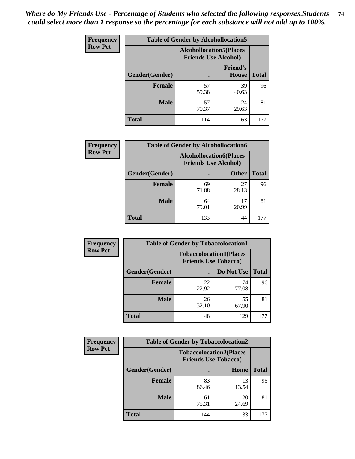| <b>Frequency</b> |                | <b>Table of Gender by Alcohollocation5</b> |                                                                |              |
|------------------|----------------|--------------------------------------------|----------------------------------------------------------------|--------------|
| <b>Row Pct</b>   |                |                                            | <b>Alcohollocation5</b> (Places<br><b>Friends Use Alcohol)</b> |              |
|                  | Gender(Gender) | ċ                                          | <b>Friend's</b><br>House                                       | <b>Total</b> |
|                  | <b>Female</b>  | 57<br>59.38                                | 39<br>40.63                                                    | 96           |
|                  | <b>Male</b>    | 57<br>70.37                                | 24<br>29.63                                                    | 81           |
|                  | <b>Total</b>   | 114                                        | 63                                                             | 177          |

| <b>Frequency</b> |                | <b>Table of Gender by Alcohollocation6</b>                    |              |              |
|------------------|----------------|---------------------------------------------------------------|--------------|--------------|
| <b>Row Pct</b>   |                | <b>Alcohollocation6(Places</b><br><b>Friends Use Alcohol)</b> |              |              |
|                  | Gender(Gender) |                                                               | <b>Other</b> | <b>Total</b> |
|                  | <b>Female</b>  | 69<br>71.88                                                   | 27<br>28.13  | 96           |
|                  | <b>Male</b>    | 64<br>79.01                                                   | 17<br>20.99  | 81           |
|                  | <b>Total</b>   | 133                                                           | 44           |              |

| Frequency      | <b>Table of Gender by Tobaccolocation1</b> |                                                               |             |              |  |
|----------------|--------------------------------------------|---------------------------------------------------------------|-------------|--------------|--|
| <b>Row Pct</b> |                                            | <b>Tobaccolocation1(Places</b><br><b>Friends Use Tobacco)</b> |             |              |  |
|                | Gender(Gender)                             |                                                               | Do Not Use  | <b>Total</b> |  |
|                | Female                                     | 22<br>22.92                                                   | 74<br>77.08 | 96           |  |
|                | <b>Male</b>                                | 26<br>32.10                                                   | 55<br>67.90 | 81           |  |
|                | <b>Total</b>                               | 48                                                            | 129         | 177          |  |

| <b>Frequency</b> | <b>Table of Gender by Tobaccolocation2</b> |                                                               |             |              |
|------------------|--------------------------------------------|---------------------------------------------------------------|-------------|--------------|
| <b>Row Pct</b>   |                                            | <b>Tobaccolocation2(Places</b><br><b>Friends Use Tobacco)</b> |             |              |
|                  | Gender(Gender)                             |                                                               | Home        | <b>Total</b> |
|                  | Female                                     | 83<br>86.46                                                   | 13<br>13.54 | 96           |
|                  | <b>Male</b>                                | 61<br>75.31                                                   | 20<br>24.69 | 81           |
|                  | <b>Total</b>                               | 144                                                           | 33          |              |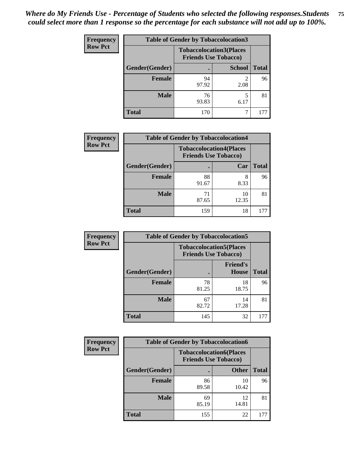| <b>Frequency</b> | <b>Table of Gender by Tobaccolocation3</b> |             |                                                               |              |
|------------------|--------------------------------------------|-------------|---------------------------------------------------------------|--------------|
| <b>Row Pct</b>   |                                            |             | <b>Tobaccolocation3(Places</b><br><b>Friends Use Tobacco)</b> |              |
|                  | Gender(Gender)                             |             | <b>School</b>                                                 | <b>Total</b> |
|                  | Female                                     | 94<br>97.92 | 2.08                                                          | 96           |
|                  | <b>Male</b>                                | 76<br>93.83 | 6.17                                                          | 81           |
|                  | <b>Total</b>                               | 170         |                                                               | 177          |

| <b>Frequency</b> | <b>Table of Gender by Tobaccolocation4</b> |                                                               |             |              |
|------------------|--------------------------------------------|---------------------------------------------------------------|-------------|--------------|
| <b>Row Pct</b>   |                                            | <b>Tobaccolocation4(Places</b><br><b>Friends Use Tobacco)</b> |             |              |
|                  | Gender(Gender)                             |                                                               | Car         | <b>Total</b> |
|                  | <b>Female</b>                              | 88<br>91.67                                                   | 8<br>8.33   | 96           |
|                  | <b>Male</b>                                | 71<br>87.65                                                   | 10<br>12.35 | 81           |
|                  | <b>Total</b>                               | 159                                                           | 18          | 177          |

| <b>Frequency</b> | <b>Table of Gender by Tobaccolocation5</b> |                                                               |                                 |              |
|------------------|--------------------------------------------|---------------------------------------------------------------|---------------------------------|--------------|
| <b>Row Pct</b>   |                                            | <b>Tobaccolocation5(Places</b><br><b>Friends Use Tobacco)</b> |                                 |              |
|                  | Gender(Gender)                             |                                                               | <b>Friend's</b><br><b>House</b> | <b>Total</b> |
|                  | <b>Female</b>                              | 78<br>81.25                                                   | 18<br>18.75                     | 96           |
|                  | <b>Male</b>                                | 67<br>82.72                                                   | 14<br>17.28                     | 81           |
|                  | <b>Total</b>                               | 145                                                           | 32                              | 177          |

| <b>Frequency</b> | <b>Table of Gender by Tobaccolocation6</b> |                                                               |              |              |
|------------------|--------------------------------------------|---------------------------------------------------------------|--------------|--------------|
| <b>Row Pct</b>   |                                            | <b>Tobaccolocation6(Places</b><br><b>Friends Use Tobacco)</b> |              |              |
|                  | Gender(Gender)                             |                                                               | <b>Other</b> | <b>Total</b> |
|                  | Female                                     | 86<br>89.58                                                   | 10<br>10.42  | 96           |
|                  | <b>Male</b>                                | 69<br>85.19                                                   | 12<br>14.81  | 81           |
|                  | <b>Total</b>                               | 155                                                           | 22           | 177          |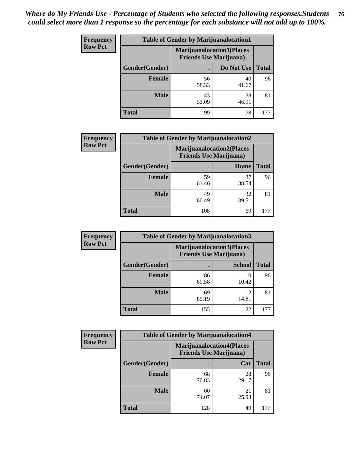| <b>Frequency</b> | <b>Table of Gender by Marijuanalocation1</b> |                                                                    |             |              |
|------------------|----------------------------------------------|--------------------------------------------------------------------|-------------|--------------|
| <b>Row Pct</b>   |                                              | <b>Marijuanalocation1(Places</b><br><b>Friends Use Marijuana</b> ) |             |              |
|                  | Gender(Gender)                               |                                                                    | Do Not Use  | <b>Total</b> |
|                  | <b>Female</b>                                | 56<br>58.33                                                        | 40<br>41.67 | 96           |
|                  | <b>Male</b>                                  | 43<br>53.09                                                        | 38<br>46.91 | 81           |
|                  | Total                                        | 99                                                                 | 78          | 177          |

| <b>Frequency</b> |                | <b>Table of Gender by Marijuanalocation2</b>                       |             |              |
|------------------|----------------|--------------------------------------------------------------------|-------------|--------------|
| <b>Row Pct</b>   |                | <b>Marijuanalocation2(Places</b><br><b>Friends Use Marijuana</b> ) |             |              |
|                  | Gender(Gender) |                                                                    | Home        | <b>Total</b> |
|                  | Female         | 59<br>61.46                                                        | 37<br>38.54 | 96           |
|                  | <b>Male</b>    | 49<br>60.49                                                        | 32<br>39.51 | 81           |
|                  | <b>Total</b>   | 108                                                                | 69          | 177          |

| Frequency      | <b>Table of Gender by Marijuanalocation3</b> |                                                                    |               |              |
|----------------|----------------------------------------------|--------------------------------------------------------------------|---------------|--------------|
| <b>Row Pct</b> |                                              | <b>Marijuanalocation3(Places</b><br><b>Friends Use Marijuana</b> ) |               |              |
|                | Gender(Gender)                               |                                                                    | <b>School</b> | <b>Total</b> |
|                | Female                                       | 86<br>89.58                                                        | 10<br>10.42   | 96           |
|                | <b>Male</b>                                  | 69<br>85.19                                                        | 12<br>14.81   | 81           |
|                | <b>Total</b>                                 | 155                                                                | 22            | 177          |

| <b>Frequency</b> | <b>Table of Gender by Marijuanalocation4</b> |                                                                    |             |              |
|------------------|----------------------------------------------|--------------------------------------------------------------------|-------------|--------------|
| <b>Row Pct</b>   |                                              | <b>Marijuanalocation4(Places</b><br><b>Friends Use Marijuana</b> ) |             |              |
|                  | Gender(Gender)                               |                                                                    | Car         | <b>Total</b> |
|                  | Female                                       | 68<br>70.83                                                        | 28<br>29.17 | 96           |
|                  | <b>Male</b>                                  | 60<br>74.07                                                        | 21<br>25.93 | 81           |
|                  | <b>Total</b>                                 | 128                                                                | 49          |              |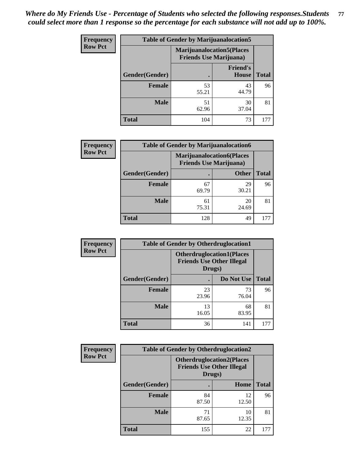| <b>Frequency</b> | <b>Table of Gender by Marijuanalocation5</b> |                                                                    |                          |              |
|------------------|----------------------------------------------|--------------------------------------------------------------------|--------------------------|--------------|
| <b>Row Pct</b>   |                                              | <b>Marijuanalocation5(Places</b><br><b>Friends Use Marijuana</b> ) |                          |              |
|                  | Gender(Gender)                               |                                                                    | <b>Friend's</b><br>House | <b>Total</b> |
|                  | <b>Female</b>                                | 53<br>55.21                                                        | 43<br>44.79              | 96           |
|                  | <b>Male</b>                                  | 51<br>62.96                                                        | 30<br>37.04              | 81           |
|                  | <b>Total</b>                                 | 104                                                                | 73                       | 177          |

| <b>Frequency</b> | <b>Table of Gender by Marijuanalocation6</b> |                                |                                  |              |  |
|------------------|----------------------------------------------|--------------------------------|----------------------------------|--------------|--|
| <b>Row Pct</b>   |                                              | <b>Friends Use Marijuana</b> ) | <b>Marijuanalocation6(Places</b> |              |  |
|                  | <b>Gender</b> (Gender)                       |                                | <b>Other</b>                     | <b>Total</b> |  |
|                  | <b>Female</b>                                | 67<br>69.79                    | 29<br>30.21                      | 96           |  |
|                  | <b>Male</b>                                  | 61<br>75.31                    | 20<br>24.69                      | 81           |  |
|                  | Total                                        | 128                            | 49                               |              |  |

| Frequency      | <b>Table of Gender by Otherdruglocation1</b> |                                                                                |             |              |
|----------------|----------------------------------------------|--------------------------------------------------------------------------------|-------------|--------------|
| <b>Row Pct</b> |                                              | <b>Otherdruglocation1(Places</b><br><b>Friends Use Other Illegal</b><br>Drugs) |             |              |
|                | Gender(Gender)                               |                                                                                | Do Not Use  | <b>Total</b> |
|                | <b>Female</b>                                | 23<br>23.96                                                                    | 73<br>76.04 | 96           |
|                | <b>Male</b>                                  | 13<br>16.05                                                                    | 68<br>83.95 | 81           |
|                | <b>Total</b>                                 | 36                                                                             | 141         | 177          |

| <b>Frequency</b> | <b>Table of Gender by Otherdruglocation2</b> |                                            |                                  |              |
|------------------|----------------------------------------------|--------------------------------------------|----------------------------------|--------------|
| <b>Row Pct</b>   |                                              | <b>Friends Use Other Illegal</b><br>Drugs) | <b>Otherdruglocation2(Places</b> |              |
|                  | Gender(Gender)                               |                                            | Home                             | <b>Total</b> |
|                  | <b>Female</b>                                | 84<br>87.50                                | 12<br>12.50                      | 96           |
|                  | <b>Male</b>                                  | 71<br>87.65                                | 10<br>12.35                      | 81           |
|                  | <b>Total</b>                                 | 155                                        | 22                               | 177          |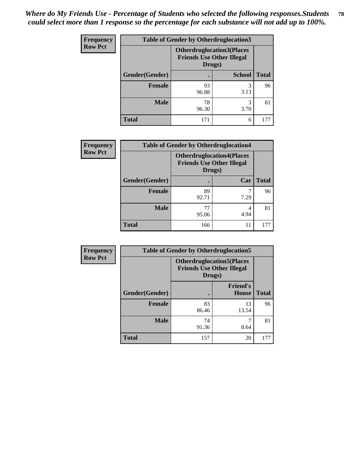| Frequency      | <b>Table of Gender by Otherdruglocation3</b> |                                                                                |               |              |
|----------------|----------------------------------------------|--------------------------------------------------------------------------------|---------------|--------------|
| <b>Row Pct</b> |                                              | <b>Otherdruglocation3(Places</b><br><b>Friends Use Other Illegal</b><br>Drugs) |               |              |
|                | Gender(Gender)                               |                                                                                | <b>School</b> | <b>Total</b> |
|                | <b>Female</b>                                | 93<br>96.88                                                                    | 3<br>3.13     | 96           |
|                | <b>Male</b>                                  | 78<br>96.30                                                                    | 3<br>3.70     | 81           |
|                | <b>Total</b>                                 | 171                                                                            | 6             | 177          |

| Frequency      | <b>Table of Gender by Otherdruglocation4</b> |                                                                                |           |              |
|----------------|----------------------------------------------|--------------------------------------------------------------------------------|-----------|--------------|
| <b>Row Pct</b> |                                              | <b>Otherdruglocation4(Places</b><br><b>Friends Use Other Illegal</b><br>Drugs) |           |              |
|                | Gender(Gender)                               |                                                                                | Car       | <b>Total</b> |
|                | Female                                       | 89<br>92.71                                                                    | 7.29      | 96           |
|                | <b>Male</b>                                  | 77<br>95.06                                                                    | 4<br>4.94 | 81           |
|                | <b>Total</b>                                 | 166                                                                            | 11        | 177          |

| Frequency      | <b>Table of Gender by Otherdruglocation5</b> |                                                                                |                                 |              |
|----------------|----------------------------------------------|--------------------------------------------------------------------------------|---------------------------------|--------------|
| <b>Row Pct</b> |                                              | <b>Otherdruglocation5(Places</b><br><b>Friends Use Other Illegal</b><br>Drugs) |                                 |              |
|                | Gender(Gender)                               |                                                                                | <b>Friend's</b><br><b>House</b> | <b>Total</b> |
|                | <b>Female</b>                                | 83<br>86.46                                                                    | 13<br>13.54                     | 96           |
|                | <b>Male</b>                                  | 74<br>91.36                                                                    | 8.64                            | 81           |
|                | <b>Total</b>                                 | 157                                                                            | 20                              | 177          |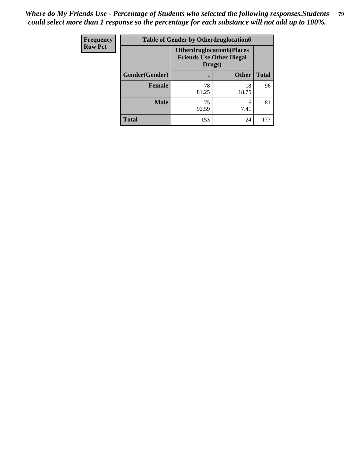| <b>Frequency</b> | <b>Table of Gender by Otherdruglocation6</b> |                                                                                |              |              |
|------------------|----------------------------------------------|--------------------------------------------------------------------------------|--------------|--------------|
| <b>Row Pct</b>   |                                              | <b>Otherdruglocation6(Places</b><br><b>Friends Use Other Illegal</b><br>Drugs) |              |              |
|                  | Gender(Gender)                               |                                                                                | <b>Other</b> | <b>Total</b> |
|                  | Female                                       | 78<br>81.25                                                                    | 18<br>18.75  | 96           |
|                  | <b>Male</b>                                  | 75<br>92.59                                                                    | 6<br>7.41    | 81           |
|                  | <b>Total</b>                                 | 153                                                                            | 24           | 177          |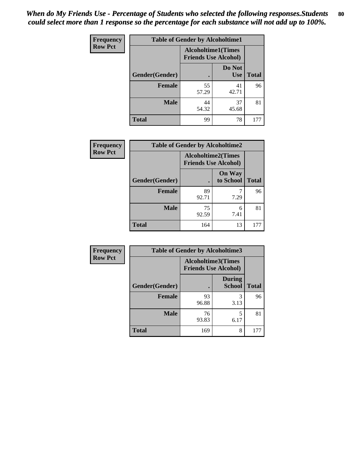| <b>Frequency</b> | <b>Table of Gender by Alcoholtime1</b> |                                                          |                      |              |
|------------------|----------------------------------------|----------------------------------------------------------|----------------------|--------------|
| <b>Row Pct</b>   |                                        | <b>Alcoholtime1(Times</b><br><b>Friends Use Alcohol)</b> |                      |              |
|                  | Gender(Gender)                         | $\bullet$                                                | Do Not<br><b>Use</b> | <b>Total</b> |
|                  | <b>Female</b>                          | 55<br>57.29                                              | 41<br>42.71          | 96           |
|                  | <b>Male</b>                            | 44<br>54.32                                              | 37<br>45.68          | 81           |
|                  | <b>Total</b>                           | 99                                                       | 78                   | 177          |

| <b>Frequency</b> | <b>Table of Gender by Alcoholtime2</b> |                                                          |                            |              |
|------------------|----------------------------------------|----------------------------------------------------------|----------------------------|--------------|
| <b>Row Pct</b>   |                                        | <b>Alcoholtime2(Times</b><br><b>Friends Use Alcohol)</b> |                            |              |
|                  | Gender(Gender)                         |                                                          | <b>On Way</b><br>to School | <b>Total</b> |
|                  | <b>Female</b>                          | 89<br>92.71                                              | 7.29                       | 96           |
|                  | <b>Male</b>                            | 75<br>92.59                                              | 6<br>7.41                  | 81           |
|                  | <b>Total</b>                           | 164                                                      | 13                         | 177          |

| Frequency      | <b>Table of Gender by Alcoholtime3</b> |                                                          |                         |              |
|----------------|----------------------------------------|----------------------------------------------------------|-------------------------|--------------|
| <b>Row Pct</b> |                                        | <b>Alcoholtime3(Times</b><br><b>Friends Use Alcohol)</b> |                         |              |
|                | Gender(Gender)                         |                                                          | <b>During</b><br>School | <b>Total</b> |
|                | Female                                 | 93<br>96.88                                              | 3<br>3.13               | 96           |
|                | <b>Male</b>                            | 76<br>93.83                                              | 5<br>6.17               | 81           |
|                | <b>Total</b>                           | 169                                                      | 8                       | 177          |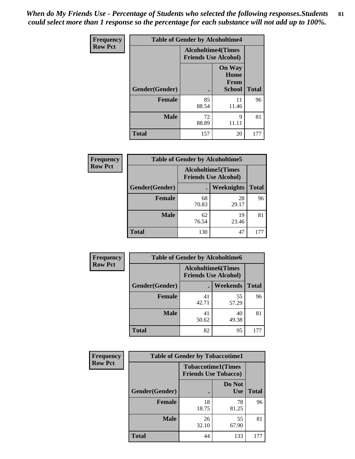*When do My Friends Use - Percentage of Students who selected the following responses.Students could select more than 1 response so the percentage for each substance will not add up to 100%.* **81**

| <b>Frequency</b> | <b>Table of Gender by Alcoholtime4</b> |                                                          |                                                |              |
|------------------|----------------------------------------|----------------------------------------------------------|------------------------------------------------|--------------|
| <b>Row Pct</b>   |                                        | <b>Alcoholtime4(Times</b><br><b>Friends Use Alcohol)</b> |                                                |              |
|                  | Gender(Gender)                         | $\bullet$                                                | <b>On Way</b><br>Home<br>From<br><b>School</b> | <b>Total</b> |
|                  | <b>Female</b>                          | 85<br>88.54                                              | 11<br>11.46                                    | 96           |
|                  | <b>Male</b>                            | 72<br>88.89                                              | 9<br>11.11                                     | 81           |
|                  | <b>Total</b>                           | 157                                                      | 20                                             | 177          |

| <b>Frequency</b> | <b>Table of Gender by Alcoholtime5</b> |                                                           |             |              |
|------------------|----------------------------------------|-----------------------------------------------------------|-------------|--------------|
| <b>Row Pct</b>   |                                        | <b>Alcoholtime5</b> (Times<br><b>Friends Use Alcohol)</b> |             |              |
|                  | Gender(Gender)                         |                                                           | Weeknights  | <b>Total</b> |
|                  | <b>Female</b>                          | 68<br>70.83                                               | 28<br>29.17 | 96           |
|                  | <b>Male</b>                            | 62<br>76.54                                               | 19<br>23.46 | 81           |
|                  | <b>Total</b>                           | 130                                                       | 47          | 177          |

| <b>Frequency</b> | <b>Table of Gender by Alcoholtime6</b> |             |                                                           |              |
|------------------|----------------------------------------|-------------|-----------------------------------------------------------|--------------|
| <b>Row Pct</b>   |                                        |             | <b>Alcoholtime6</b> (Times<br><b>Friends Use Alcohol)</b> |              |
|                  | Gender(Gender)                         |             | Weekends                                                  | <b>Total</b> |
|                  | Female                                 | 41<br>42.71 | 55<br>57.29                                               | 96           |
|                  | <b>Male</b>                            | 41<br>50.62 | 40<br>49.38                                               | 81           |
|                  | <b>Total</b>                           | 82          | 95                                                        | 177          |

| <b>Frequency</b> | <b>Table of Gender by Tobaccotime1</b> |                                                          |                      |              |
|------------------|----------------------------------------|----------------------------------------------------------|----------------------|--------------|
| <b>Row Pct</b>   |                                        | <b>Tobaccotime1(Times</b><br><b>Friends Use Tobacco)</b> |                      |              |
|                  | Gender(Gender)                         |                                                          | Do Not<br><b>Use</b> | <b>Total</b> |
|                  | <b>Female</b>                          | 18<br>18.75                                              | 78<br>81.25          | 96           |
|                  | <b>Male</b>                            | 26<br>32.10                                              | 55<br>67.90          | 81           |
|                  | <b>Total</b>                           | 44                                                       | 133                  | 177          |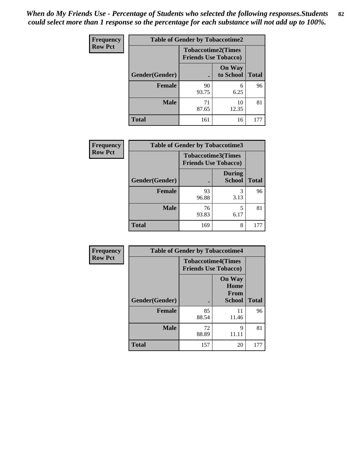| <b>Frequency</b> | <b>Table of Gender by Tobaccotime2</b> |                                                          |                            |              |
|------------------|----------------------------------------|----------------------------------------------------------|----------------------------|--------------|
| <b>Row Pct</b>   |                                        | <b>Tobaccotime2(Times</b><br><b>Friends Use Tobacco)</b> |                            |              |
|                  | Gender(Gender)                         | $\bullet$                                                | <b>On Way</b><br>to School | <b>Total</b> |
|                  | Female                                 | 90<br>93.75                                              | 6<br>6.25                  | 96           |
|                  | <b>Male</b>                            | 71<br>87.65                                              | 10<br>12.35                | 81           |
|                  | <b>Total</b>                           | 161                                                      | 16                         | 177          |

| <b>Frequency</b> | <b>Table of Gender by Tobaccotime3</b> |                                                          |                                |              |
|------------------|----------------------------------------|----------------------------------------------------------|--------------------------------|--------------|
| <b>Row Pct</b>   |                                        | <b>Tobaccotime3(Times</b><br><b>Friends Use Tobacco)</b> |                                |              |
|                  | Gender(Gender)                         |                                                          | <b>During</b><br><b>School</b> | <b>Total</b> |
|                  | <b>Female</b>                          | 93<br>96.88                                              | 3<br>3.13                      | 96           |
|                  | <b>Male</b>                            | 76<br>93.83                                              | 5<br>6.17                      | 81           |
|                  | <b>Total</b>                           | 169                                                      | 8                              |              |

| Frequency      | <b>Table of Gender by Tobaccotime4</b> |                                                          |                                                |              |
|----------------|----------------------------------------|----------------------------------------------------------|------------------------------------------------|--------------|
| <b>Row Pct</b> |                                        | <b>Tobaccotime4(Times</b><br><b>Friends Use Tobacco)</b> |                                                |              |
|                | Gender(Gender)                         |                                                          | <b>On Way</b><br>Home<br>From<br><b>School</b> | <b>Total</b> |
|                | <b>Female</b>                          | 85<br>88.54                                              | 11<br>11.46                                    | 96           |
|                | <b>Male</b>                            | 72<br>88.89                                              | q                                              | 81           |
|                | <b>Total</b>                           | 157                                                      | 20                                             | 177          |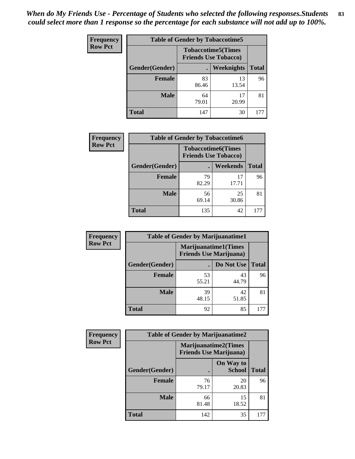| <b>Frequency</b> | <b>Table of Gender by Tobaccotime5</b> |                                                          |                   |              |  |
|------------------|----------------------------------------|----------------------------------------------------------|-------------------|--------------|--|
| <b>Row Pct</b>   |                                        | <b>Tobaccotime5(Times</b><br><b>Friends Use Tobacco)</b> |                   |              |  |
|                  | Gender(Gender)                         |                                                          | <b>Weeknights</b> | <b>Total</b> |  |
|                  | <b>Female</b>                          | 83<br>86.46                                              | 13<br>13.54       | 96           |  |
|                  | <b>Male</b>                            | 64<br>79.01                                              | 17<br>20.99       | 81           |  |
|                  | Total                                  | 147                                                      | 30                | 177          |  |

| <b>Frequency</b> | <b>Table of Gender by Tobaccotime6</b> |                                                          |             |              |
|------------------|----------------------------------------|----------------------------------------------------------|-------------|--------------|
| <b>Row Pct</b>   |                                        | <b>Tobaccotime6(Times</b><br><b>Friends Use Tobacco)</b> |             |              |
|                  | Gender(Gender)                         |                                                          | Weekends    | <b>Total</b> |
|                  | Female                                 | 79<br>82.29                                              | 17<br>17.71 | 96           |
|                  | <b>Male</b>                            | 56<br>69.14                                              | 25<br>30.86 | 81           |
|                  | <b>Total</b>                           | 135                                                      | 42          | 177          |

| <b>Frequency</b> |                | <b>Table of Gender by Marijuanatime1</b>                      |             |              |
|------------------|----------------|---------------------------------------------------------------|-------------|--------------|
| <b>Row Pct</b>   |                | <b>Marijuanatime1(Times</b><br><b>Friends Use Marijuana</b> ) |             |              |
|                  | Gender(Gender) |                                                               | Do Not Use  | <b>Total</b> |
|                  | <b>Female</b>  | 53<br>55.21                                                   | 43<br>44.79 | 96           |
|                  | <b>Male</b>    | 39<br>48.15                                                   | 42<br>51.85 | 81           |
|                  | <b>Total</b>   | 92                                                            | 85          | 177          |

| Frequency      | <b>Table of Gender by Marijuanatime2</b> |                                                               |                            |              |
|----------------|------------------------------------------|---------------------------------------------------------------|----------------------------|--------------|
| <b>Row Pct</b> |                                          | <b>Marijuanatime2(Times</b><br><b>Friends Use Marijuana</b> ) |                            |              |
|                | Gender(Gender)                           |                                                               | On Way to<br><b>School</b> | <b>Total</b> |
|                | <b>Female</b>                            | 76<br>79.17                                                   | 20<br>20.83                | 96           |
|                | <b>Male</b>                              | 66<br>81.48                                                   | 15<br>18.52                | 81           |
|                | <b>Total</b>                             | 142                                                           | 35                         | 177          |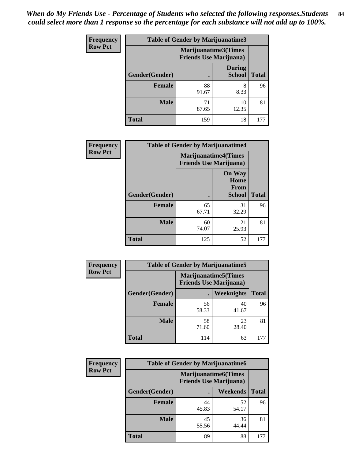| Frequency      | <b>Table of Gender by Marijuanatime3</b> |                                                        |                                |              |
|----------------|------------------------------------------|--------------------------------------------------------|--------------------------------|--------------|
| <b>Row Pct</b> |                                          | Marijuanatime3(Times<br><b>Friends Use Marijuana</b> ) |                                |              |
|                | Gender(Gender)                           |                                                        | <b>During</b><br><b>School</b> | <b>Total</b> |
|                | <b>Female</b>                            | 88<br>91.67                                            | 8<br>8.33                      | 96           |
|                | <b>Male</b>                              | 71<br>87.65                                            | 10<br>12.35                    | 81           |
|                | <b>Total</b>                             | 159                                                    | 18                             | 177          |

| Frequency      | <b>Table of Gender by Marijuanatime4</b> |                                                               |                                                       |              |
|----------------|------------------------------------------|---------------------------------------------------------------|-------------------------------------------------------|--------------|
| <b>Row Pct</b> |                                          | <b>Marijuanatime4(Times</b><br><b>Friends Use Marijuana</b> ) |                                                       |              |
|                | Gender(Gender)                           |                                                               | <b>On Way</b><br>Home<br><b>From</b><br><b>School</b> | <b>Total</b> |
|                | <b>Female</b>                            | 65<br>67.71                                                   | 31<br>32.29                                           | 96           |
|                | <b>Male</b>                              | 60<br>74.07                                                   | 21<br>25.93                                           | 81           |
|                | <b>Total</b>                             | 125                                                           | 52                                                    | 177          |

| <b>Frequency</b> | <b>Table of Gender by Marijuanatime5</b> |             |                                                                |              |  |
|------------------|------------------------------------------|-------------|----------------------------------------------------------------|--------------|--|
| <b>Row Pct</b>   |                                          |             | <b>Marijuanatime5</b> (Times<br><b>Friends Use Marijuana</b> ) |              |  |
|                  | Gender(Gender)                           |             | Weeknights                                                     | <b>Total</b> |  |
|                  | Female                                   | 56<br>58.33 | 40<br>41.67                                                    | 96           |  |
|                  | <b>Male</b>                              | 58<br>71.60 | 23<br>28.40                                                    | 81           |  |
|                  | <b>Total</b>                             | 114         | 63                                                             | 177          |  |

| Frequency      | <b>Table of Gender by Marijuanatime6</b> |                                                               |                 |              |  |
|----------------|------------------------------------------|---------------------------------------------------------------|-----------------|--------------|--|
| <b>Row Pct</b> |                                          | <b>Marijuanatime6(Times</b><br><b>Friends Use Marijuana</b> ) |                 |              |  |
|                | Gender(Gender)                           |                                                               | <b>Weekends</b> | <b>Total</b> |  |
|                | <b>Female</b>                            | 44<br>45.83                                                   | 52<br>54.17     | 96           |  |
|                | <b>Male</b>                              | 45<br>55.56                                                   | 36<br>44.44     | 81           |  |
|                | <b>Total</b>                             | 89                                                            | 88              | 177          |  |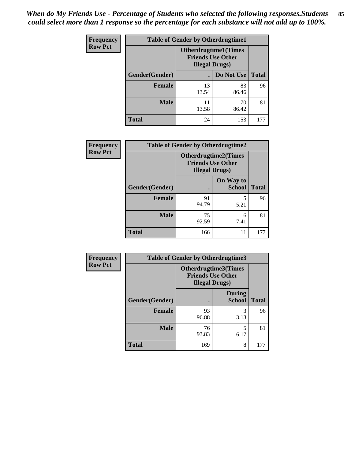*When do My Friends Use - Percentage of Students who selected the following responses.Students could select more than 1 response so the percentage for each substance will not add up to 100%.* **85**

| <b>Frequency</b> | <b>Table of Gender by Otherdrugtime1</b> |                        |                                                          |              |
|------------------|------------------------------------------|------------------------|----------------------------------------------------------|--------------|
| <b>Row Pct</b>   |                                          | <b>Illegal Drugs</b> ) | <b>Otherdrugtime1</b> (Times<br><b>Friends Use Other</b> |              |
|                  | Gender(Gender)                           |                        | Do Not Use                                               | <b>Total</b> |
|                  | <b>Female</b>                            | 13<br>13.54            | 83<br>86.46                                              | 96           |
|                  | <b>Male</b>                              | 11<br>13.58            | 70<br>86.42                                              | 81           |
|                  | <b>Total</b>                             | 24                     | 153                                                      | 177          |

| Frequency      | <b>Table of Gender by Otherdrugtime2</b> |                                                                                   |                            |              |
|----------------|------------------------------------------|-----------------------------------------------------------------------------------|----------------------------|--------------|
| <b>Row Pct</b> |                                          | <b>Otherdrugtime2(Times</b><br><b>Friends Use Other</b><br><b>Illegal Drugs</b> ) |                            |              |
|                | Gender(Gender)                           |                                                                                   | On Way to<br><b>School</b> | <b>Total</b> |
|                | <b>Female</b>                            | 91<br>94.79                                                                       | 5<br>5.21                  | 96           |
|                | <b>Male</b>                              | 75<br>92.59                                                                       | 6<br>7.41                  | 81           |
|                | <b>Total</b>                             | 166                                                                               | 11                         | 177          |

| Frequency      | <b>Table of Gender by Otherdrugtime3</b> |                                                    |                                |              |
|----------------|------------------------------------------|----------------------------------------------------|--------------------------------|--------------|
| <b>Row Pct</b> |                                          | <b>Friends Use Other</b><br><b>Illegal Drugs</b> ) | Otherdrugtime3(Times           |              |
|                | Gender(Gender)                           |                                                    | <b>During</b><br><b>School</b> | <b>Total</b> |
|                | <b>Female</b>                            | 93<br>96.88                                        | 3<br>3.13                      | 96           |
|                | <b>Male</b>                              | 76<br>93.83                                        | 5<br>6.17                      | 81           |
|                | <b>Total</b>                             | 169                                                | 8                              | 177          |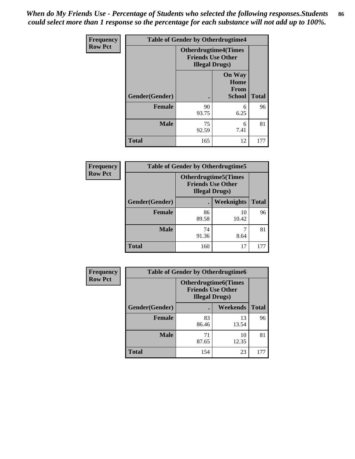*When do My Friends Use - Percentage of Students who selected the following responses.Students could select more than 1 response so the percentage for each substance will not add up to 100%.* **86**

| <b>Frequency</b> | <b>Table of Gender by Otherdrugtime4</b> |                        |                                                         |              |
|------------------|------------------------------------------|------------------------|---------------------------------------------------------|--------------|
| <b>Row Pct</b>   |                                          | <b>Illegal Drugs</b> ) | <b>Otherdrugtime4(Times</b><br><b>Friends Use Other</b> |              |
|                  | Gender(Gender)                           |                        | <b>On Way</b><br>Home<br><b>From</b><br><b>School</b>   | <b>Total</b> |
|                  | <b>Female</b>                            | 90<br>93.75            | 6<br>6.25                                               | 96           |
|                  | <b>Male</b>                              | 75<br>92.59            | 6<br>7.41                                               | 81           |
|                  | <b>Total</b>                             | 165                    | 12                                                      | 177          |

| Frequency      | <b>Table of Gender by Otherdrugtime5</b> |                                                                                    |             |              |
|----------------|------------------------------------------|------------------------------------------------------------------------------------|-------------|--------------|
| <b>Row Pct</b> |                                          | <b>Otherdrugtime5</b> (Times<br><b>Friends Use Other</b><br><b>Illegal Drugs</b> ) |             |              |
|                | Gender(Gender)                           |                                                                                    | Weeknights  | <b>Total</b> |
|                | <b>Female</b>                            | 86<br>89.58                                                                        | 10<br>10.42 | 96           |
|                | <b>Male</b>                              | 74<br>91.36                                                                        | 8.64        | 81           |
|                | <b>Total</b>                             | 160                                                                                | 17          | 177          |

| <b>Frequency</b> | <b>Table of Gender by Otherdrugtime6</b> |                                                                                   |             |              |
|------------------|------------------------------------------|-----------------------------------------------------------------------------------|-------------|--------------|
| <b>Row Pct</b>   |                                          | <b>Otherdrugtime6(Times</b><br><b>Friends Use Other</b><br><b>Illegal Drugs</b> ) |             |              |
|                  | Gender(Gender)                           |                                                                                   | Weekends    | <b>Total</b> |
|                  | <b>Female</b>                            | 83<br>86.46                                                                       | 13<br>13.54 | 96           |
|                  | <b>Male</b>                              | 71<br>87.65                                                                       | 10<br>12.35 | 81           |
|                  | <b>Total</b>                             | 154                                                                               | 23          | 177          |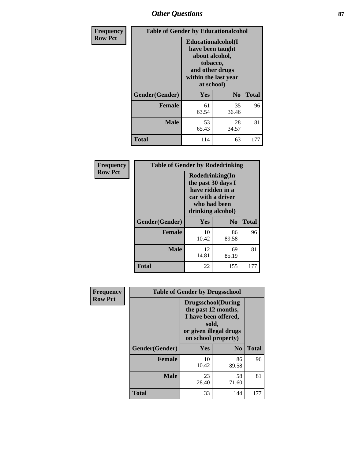# *Other Questions* **87**

| Frequency      | <b>Table of Gender by Educationalcohol</b> |                                                                                                                               |                |              |
|----------------|--------------------------------------------|-------------------------------------------------------------------------------------------------------------------------------|----------------|--------------|
| <b>Row Pct</b> |                                            | Educationalcohol(I<br>have been taught<br>about alcohol,<br>tobacco,<br>and other drugs<br>within the last year<br>at school) |                |              |
|                | Gender(Gender)                             | Yes                                                                                                                           | N <sub>0</sub> | <b>Total</b> |
|                | <b>Female</b>                              | 61<br>63.54                                                                                                                   | 35<br>36.46    | 96           |
|                | <b>Male</b>                                | 53<br>65.43                                                                                                                   | 28<br>34.57    | 81           |
|                | <b>Total</b>                               | 114                                                                                                                           | 63             | 177          |

| Frequency      | <b>Table of Gender by Rodedrinking</b> |                                                                                                                     |             |              |
|----------------|----------------------------------------|---------------------------------------------------------------------------------------------------------------------|-------------|--------------|
| <b>Row Pct</b> |                                        | Rodedrinking(In<br>the past 30 days I<br>have ridden in a<br>car with a driver<br>who had been<br>drinking alcohol) |             |              |
|                | Gender(Gender)                         | Yes                                                                                                                 | $\bf N_0$   | <b>Total</b> |
|                | <b>Female</b>                          | 10<br>10.42                                                                                                         | 86<br>89.58 | 96           |
|                | <b>Male</b>                            | 12<br>14.81                                                                                                         | 69<br>85.19 | 81           |
|                | <b>Total</b>                           | 22                                                                                                                  | 155         | 177          |

| Frequency      | <b>Table of Gender by Drugsschool</b> |                                                                                                                                     |                |              |  |
|----------------|---------------------------------------|-------------------------------------------------------------------------------------------------------------------------------------|----------------|--------------|--|
| <b>Row Pct</b> |                                       | <b>Drugsschool</b> (During<br>the past 12 months,<br>I have been offered,<br>sold,<br>or given illegal drugs<br>on school property) |                |              |  |
|                | Gender(Gender)                        | <b>Yes</b>                                                                                                                          | N <sub>0</sub> | <b>Total</b> |  |
|                | <b>Female</b>                         | 10<br>10.42                                                                                                                         | 86<br>89.58    | 96           |  |
|                | <b>Male</b>                           | 23<br>28.40                                                                                                                         | 58<br>71.60    | 81           |  |
|                | <b>Total</b>                          | 33                                                                                                                                  | 144            | 177          |  |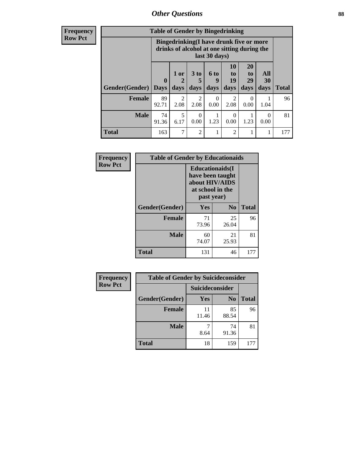# *Other Questions* **88**

**Frequency Row Pct**

| <b>Table of Gender by Bingedrinking</b> |                         |                                                                                                         |                   |                   |                        |                               |                   |              |
|-----------------------------------------|-------------------------|---------------------------------------------------------------------------------------------------------|-------------------|-------------------|------------------------|-------------------------------|-------------------|--------------|
|                                         |                         | Bingedrinking(I have drunk five or more<br>drinks of alcohol at one sitting during the<br>last 30 days) |                   |                   |                        |                               |                   |              |
| <b>Gender</b> (Gender)                  | $\bf{0}$<br><b>Days</b> | $1$ or<br>days                                                                                          | 3 to<br>5<br>days | 6 to<br>9<br>days | 10<br>to<br>19<br>days | <b>20</b><br>to<br>29<br>days | All<br>30<br>days | <b>Total</b> |
|                                         |                         |                                                                                                         |                   |                   |                        |                               |                   |              |
| <b>Female</b>                           | 89<br>92.71             | 2<br>2.08                                                                                               | 2<br>2.08         | ∩<br>0.00         | 2<br>2.08              | $\Omega$<br>0.00              | 1.04              | 96           |
| <b>Male</b>                             | 74<br>91.36             | 5<br>6.17                                                                                               | 0<br>0.00         | 1.23              | $\theta$<br>0.00       | 1.23                          | $\Omega$<br>0.00  | 81           |

| Frequency      | <b>Table of Gender by Educationaids</b> |                                                                                                 |                |              |
|----------------|-----------------------------------------|-------------------------------------------------------------------------------------------------|----------------|--------------|
| <b>Row Pct</b> |                                         | <b>Educationaids</b> (I<br>have been taught<br>about HIV/AIDS<br>at school in the<br>past year) |                |              |
|                | Gender(Gender)                          | Yes                                                                                             | N <sub>0</sub> | <b>Total</b> |
|                | <b>Female</b>                           | 71<br>73.96                                                                                     | 25<br>26.04    | 96           |
|                | <b>Male</b>                             | 60<br>74.07                                                                                     | 21<br>25.93    | 81           |
|                | <b>Total</b>                            | 131                                                                                             | 46             | 177          |

| <b>Frequency</b> | <b>Table of Gender by Suicideconsider</b> |                 |                |              |  |
|------------------|-------------------------------------------|-----------------|----------------|--------------|--|
| <b>Row Pct</b>   |                                           | Suicideconsider |                |              |  |
|                  | Gender(Gender)                            | Yes             | N <sub>0</sub> | <b>Total</b> |  |
|                  | Female                                    | 11<br>11.46     | 85<br>88.54    | 96           |  |
|                  | <b>Male</b>                               | 8.64            | 74<br>91.36    | 81           |  |
|                  | <b>Total</b>                              | 18              | 159            | 177          |  |